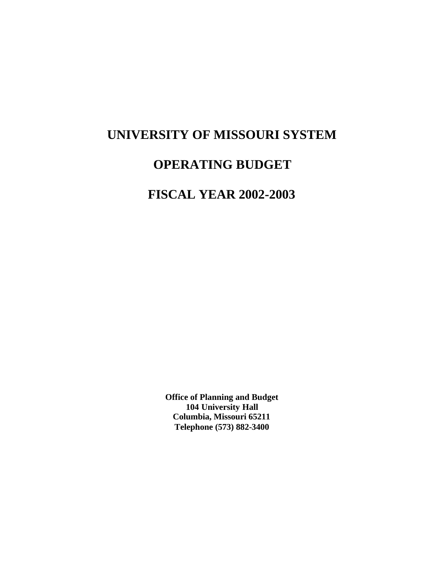# **UNIVERSITY OF MISSOURI SYSTEM**

# **OPERATING BUDGET**

# **FISCAL YEAR 2002-2003**

**Office of Planning and Budget 104 University Hall Columbia, Missouri 65211 Telephone (573) 882-3400**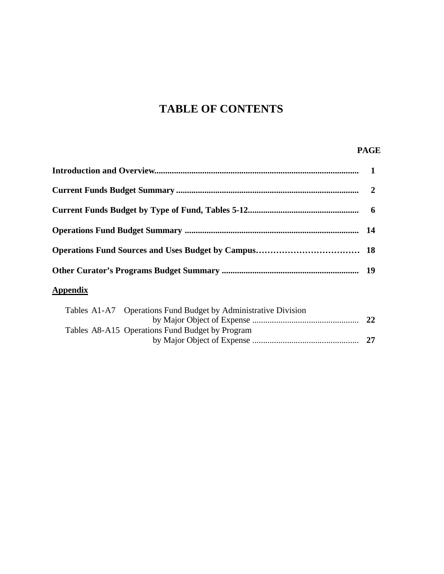# **TABLE OF CONTENTS**

# **PAGE**

| <b>Appendix</b> |  |
|-----------------|--|
|                 |  |

|  | Tables A1-A7 Operations Fund Budget by Administrative Division |      |
|--|----------------------------------------------------------------|------|
|  |                                                                | -22  |
|  | Tables A8-A15 Operations Fund Budget by Program                |      |
|  |                                                                | - 27 |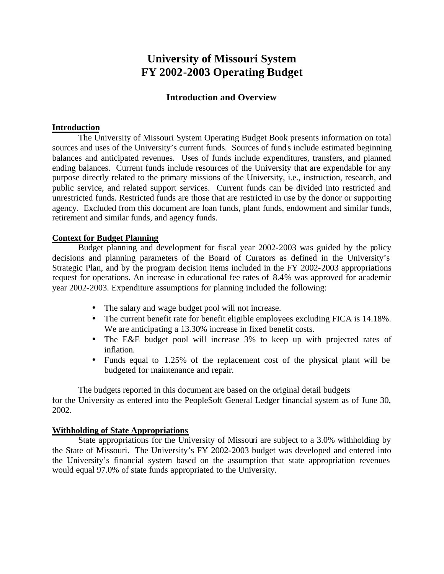# **University of Missouri System FY 2002-2003 Operating Budget**

# **Introduction and Overview**

# **Introduction**

The University of Missouri System Operating Budget Book presents information on total sources and uses of the University's current funds. Sources of funds include estimated beginning balances and anticipated revenues. Uses of funds include expenditures, transfers, and planned ending balances. Current funds include resources of the University that are expendable for any purpose directly related to the primary missions of the University, i.e., instruction, research, and public service, and related support services. Current funds can be divided into restricted and unrestricted funds. Restricted funds are those that are restricted in use by the donor or supporting agency. Excluded from this document are loan funds, plant funds, endowment and similar funds, retirement and similar funds, and agency funds.

# **Context for Budget Planning**

Budget planning and development for fiscal year 2002-2003 was guided by the policy decisions and planning parameters of the Board of Curators as defined in the University's Strategic Plan, and by the program decision items included in the FY 2002-2003 appropriations request for operations. An increase in educational fee rates of 8.4% was approved for academic year 2002-2003. Expenditure assumptions for planning included the following:

- The salary and wage budget pool will not increase.
- The current benefit rate for benefit eligible employees excluding FICA is 14.18%. We are anticipating a 13.30% increase in fixed benefit costs.
- The E&E budget pool will increase 3% to keep up with projected rates of inflation.
- Funds equal to 1.25% of the replacement cost of the physical plant will be budgeted for maintenance and repair.

The budgets reported in this document are based on the original detail budgets for the University as entered into the PeopleSoft General Ledger financial system as of June 30, 2002.

## **Withholding of State Appropriations**

State appropriations for the University of Missouri are subject to a 3.0% withholding by the State of Missouri. The University's FY 2002-2003 budget was developed and entered into the University's financial system based on the assumption that state appropriation revenues would equal 97.0% of state funds appropriated to the University.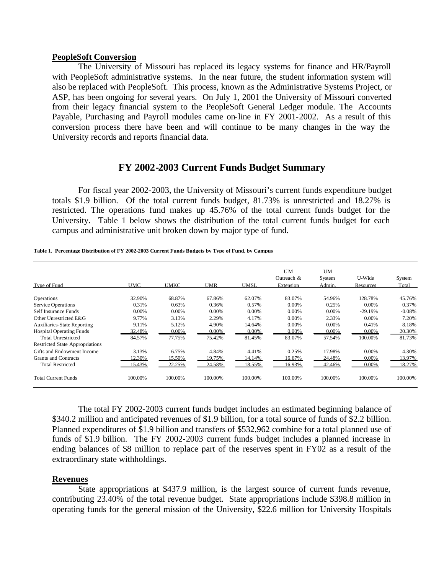### **PeopleSoft Conversion**

The University of Missouri has replaced its legacy systems for finance and HR/Payroll with PeopleSoft administrative systems. In the near future, the student information system will also be replaced with PeopleSoft. This process, known as the Administrative Systems Project, or ASP, has been ongoing for several years. On July 1, 2001 the University of Missouri converted from their legacy financial system to the PeopleSoft General Ledger module. The Accounts Payable, Purchasing and Payroll modules came on-line in FY 2001-2002. As a result of this conversion process there have been and will continue to be many changes in the way the University records and reports financial data.

# **FY 2002-2003 Current Funds Budget Summary**

For fiscal year 2002-2003, the University of Missouri's current funds expenditure budget totals \$1.9 billion. Of the total current funds budget, 81.73% is unrestricted and 18.27% is restricted. The operations fund makes up 45.76% of the total current funds budget for the University. Table 1 below shows the distribution of the total current funds budget for each campus and administrative unit broken down by major type of fund.

| Type of Fund                       | <b>UMC</b> | UMKC    | UMR     | UMSL    | <b>UM</b><br>Outreach &<br>Extension | UM<br>System<br>Admin. | U-Wide<br>Resources | System<br>Total |
|------------------------------------|------------|---------|---------|---------|--------------------------------------|------------------------|---------------------|-----------------|
| Operations                         | 32.90%     | 68.87%  | 67.86%  | 62.07%  | 83.07%                               | 54.96%                 | 128.78%             | 45.76%          |
| <b>Service Operations</b>          | 0.31%      | 0.63%   | 0.36%   | 0.57%   | 0.00%                                | 0.25%                  | 0.00%               | 0.37%           |
| Self Insurance Funds               | 0.00%      | 0.00%   | 0.00%   | 0.00%   | 0.00%                                | 0.00%                  | $-29.19%$           | $-0.08%$        |
| Other Unrestricted E&G             | 9.77%      | 3.13%   | 2.29%   | 4.17%   | $0.00\%$                             | 2.33%                  | 0.00%               | 7.20%           |
| <b>Auxiliaries-State Reporting</b> | 9.11%      | 5.12%   | 4.90%   | 14.64%  | 0.00%                                | 0.00%                  | 0.41%               | 8.18%           |
| <b>Hospital Operating Funds</b>    | 32.48%     | 0.00%   | 0.00%   | 0.00%   | 0.00%                                | 0.00%                  | 0.00%               | 20.30%          |
| <b>Total Unrestricted</b>          | 84.57%     | 77.75%  | 75.42%  | 81.45%  | 83.07%                               | 57.54%                 | 100.00%             | 81.73%          |
| Restricted State Appropriations    |            |         |         |         |                                      |                        |                     |                 |
| Gifts and Endowment Income         | 3.13%      | 6.75%   | 4.84%   | 4.41%   | 0.25%                                | 17.98%                 | 0.00%               | 4.30%           |
| Grants and Contracts               | 12.30%     | 15.50%  | 19.75%  | 14.14%  | 16.67%                               | 24.48%                 | $0.00\%$            | 13.97%          |
| <b>Total Restricted</b>            | 15.43%     | 22.25%  | 24.58%  | 18.55%  | 16.93%                               | 42.46%                 | $0.00\%$            | 18.27%          |
| <b>Total Current Funds</b>         | 100.00%    | 100.00% | 100.00% | 100.00% | 100.00%                              | 100.00%                | 100.00%             | 100.00%         |

**Table 1. Percentage Distribution of FY 2002-2003 Current Funds Budgets by Type of Fund, by Campus**

The total FY 2002-2003 current funds budget includes an estimated beginning balance of \$340.2 million and anticipated revenues of \$1.9 billion, for a total source of funds of \$2.2 billion. Planned expenditures of \$1.9 billion and transfers of \$532,962 combine for a total planned use of funds of \$1.9 billion. The FY 2002-2003 current funds budget includes a planned increase in ending balances of \$8 million to replace part of the reserves spent in FY02 as a result of the extraordinary state withholdings.

## **Revenues**

State appropriations at \$437.9 million, is the largest source of current funds revenue, contributing 23.40% of the total revenue budget. State appropriations include \$398.8 million in operating funds for the general mission of the University, \$22.6 million for University Hospitals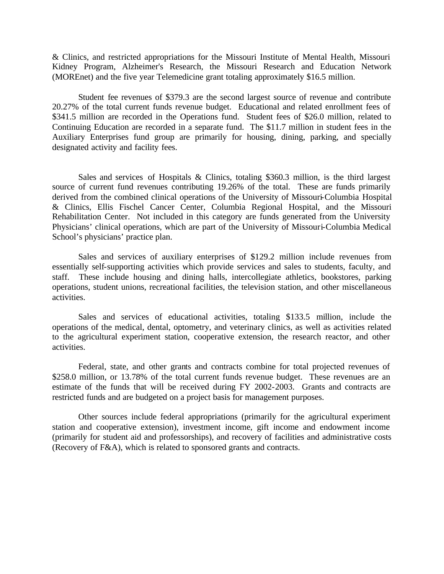& Clinics, and restricted appropriations for the Missouri Institute of Mental Health, Missouri Kidney Program, Alzheimer's Research, the Missouri Research and Education Network (MOREnet) and the five year Telemedicine grant totaling approximately \$16.5 million.

Student fee revenues of \$379.3 are the second largest source of revenue and contribute 20.27% of the total current funds revenue budget. Educational and related enrollment fees of \$341.5 million are recorded in the Operations fund. Student fees of \$26.0 million, related to Continuing Education are recorded in a separate fund. The \$11.7 million in student fees in the Auxiliary Enterprises fund group are primarily for housing, dining, parking, and specially designated activity and facility fees.

Sales and services of Hospitals & Clinics, totaling \$360.3 million, is the third largest source of current fund revenues contributing 19.26% of the total. These are funds primarily derived from the combined clinical operations of the University of Missouri-Columbia Hospital & Clinics, Ellis Fischel Cancer Center, Columbia Regional Hospital, and the Missouri Rehabilitation Center. Not included in this category are funds generated from the University Physicians' clinical operations, which are part of the University of Missouri-Columbia Medical School's physicians' practice plan.

Sales and services of auxiliary enterprises of \$129.2 million include revenues from essentially self-supporting activities which provide services and sales to students, faculty, and staff. These include housing and dining halls, intercollegiate athletics, bookstores, parking operations, student unions, recreational facilities, the television station, and other miscellaneous activities.

Sales and services of educational activities, totaling \$133.5 million, include the operations of the medical, dental, optometry, and veterinary clinics, as well as activities related to the agricultural experiment station, cooperative extension, the research reactor, and other activities.

Federal, state, and other grants and contracts combine for total projected revenues of \$258.0 million, or 13.78% of the total current funds revenue budget. These revenues are an estimate of the funds that will be received during FY 2002-2003. Grants and contracts are restricted funds and are budgeted on a project basis for management purposes.

Other sources include federal appropriations (primarily for the agricultural experiment station and cooperative extension), investment income, gift income and endowment income (primarily for student aid and professorships), and recovery of facilities and administrative costs (Recovery of F&A), which is related to sponsored grants and contracts.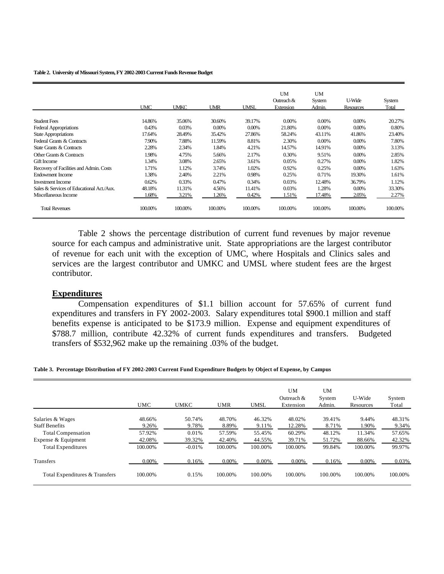#### **Table 2. University of Missouri System, FY 2002-2003 Current Funds Revenue Budget**

|                                           | <b>UMC</b> | <b>UMKC</b> | <b>UMR</b> | UMSL     | <b>UM</b><br>Outreach $&$<br>Extension | <b>UM</b><br>System<br>Admin. | U-Wide<br>Resources | System<br>Total |
|-------------------------------------------|------------|-------------|------------|----------|----------------------------------------|-------------------------------|---------------------|-----------------|
| <b>Student Fees</b>                       | 14.86%     | 35.06%      | 30.60%     | 39.17%   | $0.00\%$                               | 0.00%                         | 0.00%               | 20.27%          |
| <b>Federal Appropriations</b>             | 0.43%      | 0.03%       | 0.00%      | $0.00\%$ | 21.80%                                 | $0.00\%$                      | 0.00%               | 0.80%           |
| <b>State Appropriations</b>               | 17.64%     | 28.49%      | 35.42%     | 27.86%   | 58.24%                                 | 43.11%                        | 41.86%              | 23.40%          |
| Federal Grants & Contracts                | 7.90%      | 7.88%       | 11.59%     | 8.81%    | 2.30%                                  | 0.00%                         | 0.00%               | 7.80%           |
| State Grants & Contracts                  | 2.28%      | 2.34%       | 1.84%      | 4.21%    | 14.57%                                 | 14.91%                        | $0.00\%$            | 3.13%           |
| Other Grants & Contracts                  | 1.98%      | 4.75%       | 5.66%      | 2.17%    | 0.30%                                  | 9.51%                         | 0.00%               | 2.85%           |
| Gift Income                               | 1.34%      | 3.08%       | 2.65%      | 3.61%    | 0.05%                                  | 0.27%                         | 0.00%               | 1.82%           |
| Recovery of Facilities and Admin. Costs   | 1.71%      | 1.12%       | 3.74%      | 1.02%    | 0.92%                                  | 0.25%                         | 0.00%               | 1.63%           |
| <b>Endowment Income</b>                   | 1.38%      | 2.40%       | 2.21%      | 0.98%    | 0.25%                                  | 0.71%                         | 19.30%              | 1.61%           |
| <b>Investment Income</b>                  | 0.62%      | 0.33%       | 0.47%      | 0.34%    | 0.03%                                  | 12.48%                        | 36.79%              | 1.12%           |
| Sales & Services of Educational Act./Aux. | 48.18%     | 11.31%      | 4.56%      | 11.41%   | 0.03%                                  | 1.28%                         | 0.00%               | 33.30%          |
| Miscellaneous Income                      | 1.68%      | 3.21%       | 1.26%      | 0.42%    | 1.51%                                  | 17.48%                        | 2.05%               | 2.27%           |
| <b>Total Revenues</b>                     | 100.00%    | 100.00%     | 100.00%    | 100.00%  | 100.00%                                | 100.00%                       | 100.00%             | 100.00%         |

Table 2 shows the percentage distribution of current fund revenues by major revenue source for each campus and administrative unit. State appropriations are the largest contributor of revenue for each unit with the exception of UMC, where Hospitals and Clinics sales and services are the largest contributor and UMKC and UMSL where student fees are the largest contributor.

### **Expenditures**

Compensation expenditures of \$1.1 billion account for 57.65% of current fund expenditures and transfers in FY 2002-2003. Salary expenditures total \$900.1 million and staff benefits expense is anticipated to be \$173.9 million. Expense and equipment expenditures of \$788.7 million, contribute 42.32% of current funds expenditures and transfers. Budgeted transfers of \$532,962 make up the remaining .03% of the budget.

**Table 3. Percentage Distribution of FY 2002-2003 Current Fund Expenditure Budgets by Object of Expense, by Campus**

|                                | <b>UMC</b> | <b>UMKC</b> | <b>UMR</b> | <b>UMSL</b> | UM<br>Outreach &<br>Extension | UM<br>System<br>Admin. | U-Wide<br>Resources | System<br>Total |
|--------------------------------|------------|-------------|------------|-------------|-------------------------------|------------------------|---------------------|-----------------|
| Salaries & Wages               | 48.66%     | 50.74%      | 48.70%     | 46.32%      | 48.02%                        | 39.41%                 | 9.44%               | 48.31%          |
| <b>Staff Benefits</b>          | 9.26%      | 9.78%       | 8.89%      | 9.11%       | 12.28%                        | 8.71%                  | 1.90%               | 9.34%           |
| <b>Total Compensation</b>      | 57.92%     | 0.01%       | 57.59%     | 55.45%      | 60.29%                        | 48.12%                 | 11.34%              | 57.65%          |
| Expense & Equipment            | 42.08%     | 39.32%      | 42.40%     | 44.55%      | 39.71%                        | 51.72%                 | 88.66%              | 42.32%          |
| <b>Total Expenditures</b>      | 100.00%    | $-0.01%$    | 100.00%    | 100.00%     | 100.00%                       | 99.84%                 | 100.00%             | 99.97%          |
| <b>Transfers</b>               | 0.00%      | 0.16%       | 0.00%      | 0.00%       | 0.00%                         | 0.16%                  | 0.00%               | 0.03%           |
| Total Expenditures & Transfers | 100.00%    | 0.15%       | 100.00%    | 100.00%     | 100.00%                       | 100.00%                | 100.00%             | 100.00%         |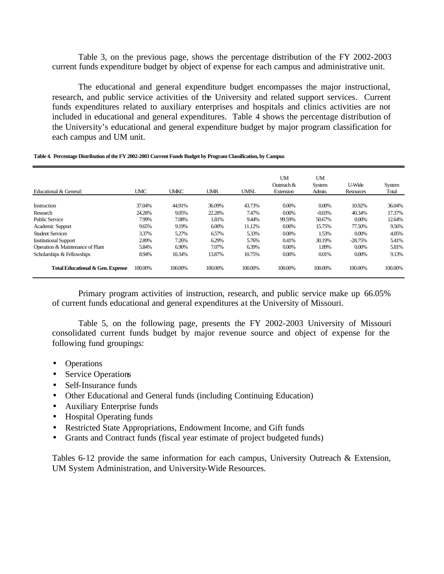Table 3, on the previous page, shows the percentage distribution of the FY 2002-2003 current funds expenditure budget by object of expense for each campus and administrative unit.

The educational and general expenditure budget encompasses the major instructional, research, and public service activities of the University and related support services. Current funds expenditures related to auxiliary enterprises and hospitals and clinics activities are not included in educational and general expenditures. Table 4 shows the percentage distribution of the University's educational and general expenditure budget by major program classification for each campus and UM unit.

**Table 4. Percentage Distribution of the FY 2002-2003 Current Funds Budget by Program Classification, by Campus**

| Educational & General:           | <b>UMC</b> | <b>UMKC</b> | <b>UMR</b> | <b>UMSL</b> | <b>UM</b><br>Outreach $&$<br>Extension | UM<br><b>System</b><br>Admin. | U-Wide<br>Resources | System<br>Total |
|----------------------------------|------------|-------------|------------|-------------|----------------------------------------|-------------------------------|---------------------|-----------------|
| Instruction                      | 37.04%     | 44.91%      | 36.09%     | 43.73%      | $0.00\%$                               | $0.00\%$                      | 10.92%              | 36.04%          |
| Research                         | 24.28%     | 9.05%       | 22.28%     | 7.47%       | $0.00\%$                               | $-0.03%$                      | 40.34%              | 17.37%          |
| <b>Public Service</b>            | 7.99%      | 7.08%       | 1.81%      | 9.44%       | 99.59%                                 | 50.67%                        | 0.00%               | 12.64%          |
| Academic Support                 | 9.65%      | 9.19%       | 6.00%      | 11.12%      | $0.00\%$                               | 15.75%                        | 77.50%              | 9.56%           |
| <b>Student Services</b>          | 3.37%      | 5.27%       | 6.57%      | 5.33%       | $0.00\%$                               | 1.53%                         | 0.00%               | 4.05%           |
| <b>Institutional Support</b>     | 2.89%      | 7.26%       | 6.29%      | 5.76%       | 0.41%                                  | 30.19%                        | $-28.75%$           | 5.41%           |
| Operation & Maintenance of Plant | 5.84%      | 6.90%       | 7.07%      | 6.39%       | $0.00\%$                               | 1.89%                         | 0.00%               | 5.81%           |
| Scholarships & Fellowships       | 8.94%      | 10.34%      | 13.87%     | 10.75%      | $0.00\%$                               | 0.01%                         | 0.00%               | 9.13%           |
| Total Educational & Gen. Expense | 100.00%    | 100.00%     | 100.00%    | 100.00%     | 100.00%                                | 100.00%                       | 100.00%             | 100.00%         |

Primary program activities of instruction, research, and public service make up 66.05% of current funds educational and general expenditures at the University of Missouri.

Table 5, on the following page, presents the FY 2002-2003 University of Missouri consolidated current funds budget by major revenue source and object of expense for the following fund groupings:

- Operations
- Service Operations
- Self-Insurance funds
- Other Educational and General funds (including Continuing Education)
- Auxiliary Enterprise funds
- Hospital Operating funds
- Restricted State Appropriations, Endowment Income, and Gift funds
- Grants and Contract funds (fiscal year estimate of project budgeted funds)

Tables 6-12 provide the same information for each campus, University Outreach & Extension, UM System Administration, and University-Wide Resources.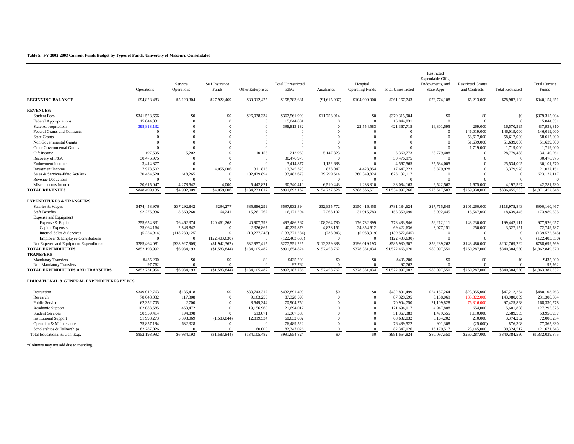#### **Table 5. FY 2002-2003 Current Funds Budget by Types of Funds, University of Missouri, Consolidated**

|                                             | Operations               | Service<br>Operations | Self Insurance<br>Funds | Other Enterprises      | <b>Total Unrestricted</b><br>E&G | Auxiliaries    | Hospital<br><b>Operating Funds</b> | <b>Total Unrestricted</b> | Restricted<br>Expendable Gifts,<br>Endowments, and<br><b>State Appr</b> | <b>Restricted Grants</b><br>and Contracts | <b>Total Restricted</b> | <b>Total Current</b><br>Funds |
|---------------------------------------------|--------------------------|-----------------------|-------------------------|------------------------|----------------------------------|----------------|------------------------------------|---------------------------|-------------------------------------------------------------------------|-------------------------------------------|-------------------------|-------------------------------|
| <b>BEGINNING BALANCE</b>                    | \$94,828,483             | \$5,120,304           | \$27,922,469            | \$30,912,425           | \$158,783,681                    | (S1, 615, 937) | \$104,000,000                      | \$261,167,743             | \$73,774,108                                                            | \$5,213,000                               | \$78,987,108            | \$340,154,851                 |
| <b>REVENUES:</b>                            |                          |                       |                         |                        |                                  |                |                                    |                           |                                                                         |                                           |                         |                               |
| <b>Student Fees</b>                         | \$341,523,656            | \$0                   | \$0                     | \$26,038,334           | \$367,561,990                    | \$11,753,914   | \$0                                | \$379,315,904             | \$0                                                                     | \$0                                       | \$0                     | \$379,315,904                 |
| <b>Federal Appropriations</b>               | 15,044,831               | $\Omega$              | $\overline{0}$          | $\Omega$               | 15,044,831                       | $\Omega$       | $\Omega$                           | 15,044,831                | $\Omega$                                                                | $\overline{0}$                            | $\overline{0}$          | 15,044,831                    |
| State Appropriations                        | 398.813.132              | $\Omega$              | $\Omega$                | $\Omega$               | 398,813,132                      | $\Omega$       | 22.554.583                         | 421,367,715               | 16,301,595                                                              | 269,000                                   | 16.570.595              | 437,938,310                   |
| <b>Federal Grants and Contracts</b>         | $\Omega$                 | $\Omega$              | $\Omega$                | $\Omega$               | $\Omega$                         | $\Omega$       | $\Omega$                           | $\Omega$                  | $\Omega$                                                                | 146,019,000                               | 146.019.000             | 146,019,000                   |
| <b>State Grants</b>                         | $\Omega$                 | $\Omega$              | $\Omega$                | $\Omega$               | $\Omega$                         | $\Omega$       | $\Omega$                           | $\Omega$                  | $\Omega$                                                                | 58,617,000                                | 58,617,000              | 58,617,000                    |
| Non Governmental Grants                     | $\Omega$                 | $\Omega$              | $\Omega$                | $\Omega$               | $\Omega$                         | $\Omega$       | $\Omega$                           | $\Omega$                  | $\Omega$                                                                | 51,639,000                                | 51,639,000              | 51,639,000                    |
| Other Governmental Grants                   | $\Omega$                 | $\Omega$              | $\Omega$                | $\Omega$               |                                  | $\Omega$       | $\Omega$                           |                           | $\Omega$                                                                | 1,719,000                                 | 1,719,000               | 1,719,000                     |
| Gift Income                                 | 197.595                  | 5.202                 | $\Omega$                | 10.153                 | 212,950                          | 5,147,823      | $\Omega$                           | 5.360,773                 | 28,779,488                                                              | $\Omega$                                  | 28,779,488              | 34,140,261                    |
| Recovery of F&A                             | 30,476,975               | $\Omega$              | $\Omega$                | $\Omega$               | 30,476,975                       | $\Omega$       | $\Omega$                           | 30,476,975                | $\Omega$                                                                | $\Omega$                                  | $\overline{0}$          | 30,476,975                    |
| <b>Endowment Income</b>                     | 3,414,877                | $\Omega$              | $\Omega$                | $\Omega$               | 3,414,877                        | 1,152,688      | $\Omega$                           | 4,567,565                 | 25,534,005                                                              | $\Omega$                                  | 25,534,005              | 30,101,570                    |
| <b>Investment Income</b>                    | 7,978,502                | $\Omega$              | 4,055,006               | 311,815                | 12,345,323                       | 873,047        | 4,428,854                          | 17,647,223                | 3,379,928                                                               | $\Omega$                                  | 3,379,928               | 21,027,151                    |
| Sales & Services-Educ Act/Aux               | 30,434,520               | 618,265               | $\Omega$                | 102,429,894            | 133,482,679                      | 129,299,614    | 360,349,824                        | 623,132,117               | $\Omega$                                                                | $\Omega$                                  | $\overline{0}$          | 623,132,117                   |
| <b>Revenue Deductions</b>                   | $\Omega$                 | $\Omega$              | $\Omega$                | $\Omega$               | $\Omega$                         | $\Omega$       | $\Omega$                           | $\Omega$                  | $\Omega$                                                                | $\Omega$                                  | $\Omega$                | $\Omega$                      |
| Miscellaneous Income                        | 20.615.047               | 4.278.542             | 4.000                   | 5.442.821              | 30,340,410                       | 6.510.443      | 1.233.310                          | 38,084,163                | 2.522.567                                                               | 1,675,000                                 | 4,197,567               | 42.281.730                    |
| <b>TOTAL REVENUES</b>                       | \$848,499,135            | \$4,902,009           | \$4,059,006             | \$134,233,017          | \$991,693,167                    | \$154,737,528  | \$388,566,571                      | \$1,534,997,266           | \$76,517,583                                                            | \$259,938,000                             | \$336,455,583           | \$1,871,452,848               |
|                                             |                          |                       |                         |                        |                                  |                |                                    |                           |                                                                         |                                           |                         |                               |
| <b>EXPENDITURES &amp; TRANSFERS</b>         |                          |                       |                         |                        |                                  |                |                                    |                           |                                                                         |                                           |                         |                               |
| Salaries & Wages                            | \$474,458,976            | \$37,292,842          | \$294,277               | \$85,886,299           | \$597,932,394                    | \$32,835,772   | \$150,416,458                      | \$781,184,624             | \$17,715,843                                                            | \$101.260,000                             | \$118,975,843           | \$900,160,467                 |
| <b>Staff Benefits</b>                       | 92,275,936               | 8,569,260             | 64,241                  | 15,261,767             | 116, 171, 204                    | 7,263,102      | 31,915,783                         | 155,350,090               | 3,092,445                                                               | 15,547,000                                | 18,639,445              | 173,989,535                   |
| Expense and Equipment                       |                          |                       |                         |                        |                                  |                |                                    |                           |                                                                         |                                           |                         |                               |
| Expense & Equip                             | 255,654,831              | 76,462,374            | 120,461,268             | 40,907,793             | 493,486,267                      | 108,264,780    | 176,732,899                        | 778,483,946               | 56,212,111                                                              | 143,230,000                               | 199,442,111             | 977,926,057                   |
| <b>Capital Expenses</b>                     | 35,064,164               | 2,848,842             | $\Omega$                | 2,326,867              | 40,239,873                       | 4,828,151      | 24,354,612                         | 69,422,636                | 3,077,151                                                               | 250,000                                   | 3,327,151               | 72,749,787                    |
| Internal Sales & Services                   | (5,254,914)              | (118, 239, 125)       | $\Omega$                | (10, 277, 245)         | (133, 771, 284)                  | (733, 043)     | (5,068,319)                        | (139, 572, 645)           | $\Omega$                                                                | $\Omega$                                  | $\overline{0}$          | (139, 572, 645)               |
| Employer & Employee Contributions           | $\Omega$                 | $\Omega$              | (122, 403, 630)         | $\Omega$               | (122, 403, 630)                  | $\Omega$       | $\Omega$                           | (122, 403, 630)           | $\Omega$                                                                | $\Omega$                                  | $\Omega$                | (122, 403, 630)               |
| Net Expense and Equipment Expenditures      | \$285,464,081            | (S38.927.909)         | (S1.942.362)            | \$32,957,415           | \$277,551,225                    | \$112,359,888  | \$196,019,193                      | \$585,930,307             | \$59,289,262                                                            | \$143,480,000                             | \$202,769,262           | \$788,699,569                 |
| <b>TOTAL EXPENDITURES</b>                   | \$852,198,992            | \$6,934,193           | (S1.583.844)            | \$134,105,482          | \$991,654,824                    | \$152,458,762  | \$378,351,434                      | \$1,522,465,020           | \$80,097,550                                                            | \$260,287,000                             | \$340,384,550           | \$1,862,849,570               |
| <b>TRANSFERS</b>                            |                          |                       |                         |                        |                                  |                |                                    |                           |                                                                         |                                           |                         |                               |
| <b>Mandatory Transfers</b>                  | \$435,200                | \$0                   | \$0                     | \$0                    | \$435,200                        | \$0            | \$0                                | \$435,200                 | \$0                                                                     | \$0                                       | \$0                     | \$435,200                     |
| Non Mandatory Transfers                     | 97,762                   | $\Omega$              | $\Omega$                | $\Omega$               | 97,762                           | $\overline{0}$ | $\overline{0}$                     | 97,762                    | $\Omega$                                                                | $\overline{0}$                            | $\overline{0}$          | 97,762                        |
| TOTAL EXPENDITURES AND TRANSFERS            | \$852,731,954            | \$6,934,193           | (S1, 583, 844)          | \$134,105,482          | \$992,187,786                    | \$152,458,762  | \$378,351,434                      | \$1,522,997,982           | \$80,097,550                                                            | \$260,287,000                             | \$340,384,550           | \$1,863,382,532               |
|                                             |                          |                       |                         |                        |                                  |                |                                    |                           |                                                                         |                                           |                         |                               |
| EDUCATIONAL & GENERAL EXPENDITURES BY PCS   |                          |                       |                         |                        |                                  |                |                                    |                           |                                                                         |                                           |                         |                               |
| Instruction                                 | \$349,012,763            | \$135,418             | \$0                     | \$83,743,317           | \$432,891,499                    | \$0            | \$0                                | \$432,891,499             | \$24,157,264                                                            | \$23,055,000                              | \$47,212,264            | \$480,103,763                 |
|                                             |                          |                       | $\Omega$                |                        |                                  | $\overline{0}$ | $\overline{0}$                     | 87.328.595                |                                                                         | 135,822,000                               | 143,980,069             |                               |
| Research<br>Public Service                  | 78,048,032<br>62,352,705 | 117,308<br>2,700      | $\Omega$                | 9,163,255<br>8,549,344 | 87,328,595<br>70,904,750         | $\Omega$       | $\Omega$                           | 70,904,750                | 8,158,069<br>21,109,828                                                 | 76,316,000                                | 97,425,828              | 231,308,664<br>168,330,578    |
|                                             | 102.083.585              | 453,472               | $\Omega$                |                        |                                  | $\Omega$       | $\Omega$                           |                           |                                                                         |                                           |                         |                               |
| Academic Support<br><b>Student Services</b> | 50.559.414               | 194.898               | $\mathbf{0}$            | 19,156,960<br>613.071  | 121,694,017<br>51.367.383        | $\Omega$       | $\Omega$                           | 121,694,017<br>51.367.383 | 4,947,808<br>1.479.555                                                  | 654,000<br>1,110,000                      | 5,601,808<br>2.589.555  | 127,295,825<br>53,956,937     |
|                                             |                          |                       | (1.583.844)             |                        | 68,632,032                       | $\Omega$       | $\Omega$                           |                           |                                                                         |                                           |                         |                               |
| <b>Institutional Support</b>                | 51.998.273               | 5.398.069             | $\Omega$                | 12.819.534<br>$\Omega$ | 76,489,522                       | $\Omega$       | $\Omega$                           | 68.632.032                | 3,164,202                                                               | 210,000                                   | 3.374.202<br>876,308    | 72,006.234<br>77,365,830      |
| Operation & Maintenance                     | 75,857,194               | 632,328<br>$\Omega$   | $\Omega$                |                        |                                  | $\Omega$       | $\Omega$                           | 76,489,522                | 901,308                                                                 | (25,000)                                  |                         |                               |
| Scholarships & Fellowships                  | 82,287,026               |                       |                         | 60,000                 | 82,347,026                       |                |                                    | 82,347,026                | 16,179,517                                                              | 23,145,000                                | 39,324,517              | 121,671,543                   |
| Total Educational & Gen. Exp.               | \$852,198,992            | \$6,934,193           | (\$1,583,844)           | \$134,105,482          | \$991,654,824                    | \$0            | \$0                                | \$991,654,824             | \$80,097,550                                                            | \$260,287,000                             | \$340,384,550           | \$1,332,039,375               |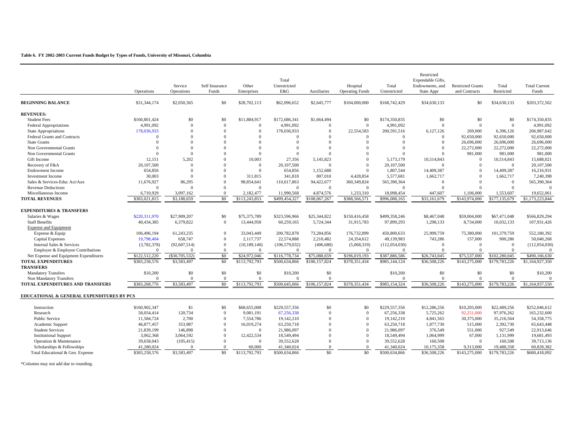#### **Table 6. FY 2002-2003 Current Funds Budget by Types of Funds, University of Missouri, Columbia**

|                                           | Operations               | Service<br>Operations | Self Insurance<br>Funds  | Other<br>Enterprises | Total<br>Unrestricted<br>E&G | Auxiliaries    | Hospital<br><b>Operating Funds</b> | Total<br>Unrestricted | Restricted<br>Expendable Gifts,<br>Endowments, and<br>State Appr | <b>Restricted Grants</b><br>and Contracts | Total<br>Restricted     | <b>Total Current</b><br>Funds |
|-------------------------------------------|--------------------------|-----------------------|--------------------------|----------------------|------------------------------|----------------|------------------------------------|-----------------------|------------------------------------------------------------------|-------------------------------------------|-------------------------|-------------------------------|
| <b>BEGINNING BALANCE</b>                  | \$31,344,174             | \$2,050,365           | \$0                      | \$28,702,113         | \$62,096,652                 | \$2,645,777    | \$104,000,000                      | \$168,742,429         | \$34,630,133                                                     | \$0                                       | \$34,630,133            | \$203,372,562                 |
| <b>REVENUES:</b>                          |                          |                       |                          |                      |                              |                |                                    |                       |                                                                  |                                           |                         |                               |
| <b>Student Fees</b>                       | \$160,801,424            | \$0                   | \$0                      | \$11,884,917         | \$172,686,341                | \$1,664,494    | \$0                                | \$174,350,835         | \$0                                                              | \$0                                       | \$0                     | \$174,350,835                 |
| <b>Federal Appropriations</b>             | 4,991,092                | $\Omega$              | $\overline{0}$           | $\overline{0}$       | 4,991,092                    | $\Omega$       | $\overline{0}$                     | 4.991.092             | $\Omega$                                                         | $\overline{0}$                            | $\Omega$                | 4,991,092                     |
| State Appropriations                      | 178,036,933              | $\Omega$              | $\mathbf{0}$             | $\Omega$             | 178,036,933                  | $\Omega$       | 22,554,583                         | 200,591,516           | 6,127,126                                                        | 269,000                                   | 6,396,126               | 206,987,642                   |
| Federal Grants and Contracts              | $\Omega$                 | $\Omega$              | $\Omega$                 | $\Omega$             | $\theta$                     | $\Omega$       | $\overline{0}$                     | $\Omega$              | $\Omega$                                                         | 92,650,000                                | 92,650,000              | 92,650,000                    |
| <b>State Grants</b>                       | $\Omega$                 | $\Omega$              | $\Omega$                 | $\Omega$             | $\Omega$                     | $\Omega$       | $\Omega$                           | $\Omega$              | $\Omega$                                                         | 26,696,000                                | 26,696,000              | 26,696,000                    |
| Non Governmental Grants                   | $\Omega$                 | $\Omega$              | $\Omega$                 | $\Omega$             | $\Omega$                     | $\Omega$       | $\theta$                           | $\Omega$              | $\Omega$                                                         | 22,272,000                                | 22,272,000              | 22,272,000                    |
| Non Governmental Grants                   | $\Omega$                 | $\Omega$              | $\Omega$                 | $\Omega$             | $\Omega$                     |                | $\Omega$                           | $\Omega$              | $\Omega$                                                         | 981,000                                   | 981,000                 | 981,000                       |
| Gift Income                               | 12,151                   | 5,202                 | $\Omega$                 | 10,003               | 27,356                       | 5,145,823      | $\theta$                           | 5,173,179             | 10,514,843                                                       | $\overline{0}$                            | 10,514,843              | 15,688,021                    |
| Recovery of F&A                           | 20,107,500               | $\Omega$              | $\Omega$                 | $\Omega$             | 20,107,500                   | $\Omega$       | $\Omega$                           | 20.107.500            | $\Omega$                                                         | $\overline{0}$                            | $\Omega$                | 20,107,500                    |
| <b>Endowment Income</b>                   | 654,856                  | $\Omega$              | $\Omega$                 | $\Omega$             | 654,856                      | 1,152,688      | $\Omega$                           | 1,807,544             | 14,409,387                                                       | $\Omega$                                  | 14,409,387              | 16,216,931                    |
| <b>Investment</b> Income                  | 30,003                   | $\Omega$              | $\Omega$                 | 311.815              | 341,818                      | 807,010        | 4.428.854                          | 5.577.681             | 1,662,717                                                        | $\overline{0}$                            | 1,662,717               | 7,240,398                     |
| Sales & Services-Educ Act/Aux             | 11,676,927               | 86,295                | $\Omega$                 | 98,854,641           | 110,617,863                  | 94,422,677     | 360,349,824                        | 565,390,364           | $\Omega$                                                         | $\Omega$                                  | $\Omega$                | 565,390,364                   |
| <b>Revenue Deductions</b>                 | $\Omega$                 | $\Omega$              | $\overline{0}$           | $\overline{0}$       | $\Omega$                     | $\Omega$       | $\overline{0}$                     | $\Omega$              | $\Omega$                                                         | $\overline{0}$                            | $\Omega$                | $\sqrt{ }$                    |
| Miscellaneous Income                      | 6.710.929                | 3.097.162             | $\Omega$                 | 2.182.477            | 11,990,568                   | 4,874,576      | 1.233.310                          | 18.098.454            | 447,607                                                          | 1,106,000                                 | 1.553.607               | 19.652.061                    |
| <b>TOTAL REVENUES</b>                     | \$383,021,815            | \$3,188,659           | \$0                      | \$113,243,853        | \$499,454,327                | \$108,067,267  | \$388,566,571                      | \$996,088,165         | \$33,161,679                                                     | \$143,974,000                             | \$177,135,679           | \$1,173,223,844               |
|                                           |                          |                       |                          |                      |                              |                |                                    |                       |                                                                  |                                           |                         |                               |
| <b>EXPENDITURES &amp; TRANSFERS</b>       |                          |                       |                          |                      |                              |                |                                    |                       |                                                                  |                                           |                         |                               |
| Salaries & Wages                          | \$220,311,970            | \$27,909,207          | \$0                      | \$75,375,789         | \$323,596,966                | \$25,344,822   | \$150,416,458                      | \$499,358,246         | \$8,467,048                                                      | \$59,004,000                              | \$67,471,048            | \$566,829,294                 |
| <b>Staff Benefits</b>                     | 40,434,385               | 6,379,822             | $\overline{0}$           | 13,444,958           | 60,259,165                   | 5,724,344      | 31,915,783                         | 97,899,293            | 1,298,133                                                        | 8,734,000                                 | 10,032,133              | 107,931,426                   |
| <b>Expense and Equipment</b>              |                          |                       |                          |                      |                              |                |                                    |                       |                                                                  |                                           |                         |                               |
| Expense & Equip                           | 106,496,194              | 61,243,235            | $\mathbf{0}$             | 33,043,449           | 200,782,878                  | 73,284,856     | 176,732,899                        | 450,800,633           | 25,999,759                                                       | 75,380,000                                | 101,379,759             | 552,180,392                   |
| <b>Capital Expenses</b>                   | 19,798,404               | 658,747               | $\Omega$                 | 2,117,737            | 22,574,888                   | 2,210,482      | 24,354,612                         | 49.139.983            | 743,286                                                          | 157,000                                   | 900,286                 | 50,040,268                    |
| Internal Sales & Services                 | (3,782,378)              | (92,607,514)          | $\Omega$                 | (10, 189, 140)       | (106, 579, 032)              | (406, 680)     | (5,068,319)                        | (112, 054, 030)       | $\Omega$                                                         | $\Omega$                                  | $\Omega$                | (112, 054, 030)               |
| Employer & Employee Contributions         | $\Omega$                 | $\Omega$              | $\overline{0}$           | $\Omega$             | $\overline{0}$               | $\overline{0}$ | $\overline{0}$                     | $\overline{0}$        | $\Omega$                                                         | $\overline{0}$                            | $\Omega$                | $\overline{0}$                |
| Net Expense and Equipment Expenditures    | \$122,512,220            | $(\$30,705,532)$      | \$0                      | \$24,972,046         | \$116,778,734                | \$75,088,659   | \$196,019,193                      | \$387,886,586         | \$26,743,045                                                     | \$75,537,000                              | \$102,280,045           | \$490,166,630                 |
| <b>TOTAL EXPENDITURES</b>                 | \$383,258,576            | \$3,583,497           | \$0                      | \$113,792,793        | \$500,634,866                | \$106,157,824  | \$378,351,434                      | \$985,144,124         | \$36,508,226                                                     | \$143,275,000                             | \$179,783,226           | \$1,164,927,350               |
| <b>TRANSFERS</b>                          |                          |                       |                          |                      |                              |                |                                    |                       |                                                                  |                                           |                         |                               |
| <b>Mandatory Transfers</b>                | \$10,200                 | \$0                   | \$0                      | \$0                  | \$10,200                     | \$0            |                                    | \$10,200              | \$0                                                              | \$0                                       | \$0                     | \$10,200                      |
| Non Mandatory Transfers                   | $\Omega$                 | $\Omega$              | $\Omega$                 | $\Omega$             | $\Omega$                     | $\Omega$       |                                    | $\Omega$              | $\Omega$                                                         | $\overline{0}$                            | $\Omega$                | $\Omega$                      |
| TOTAL EXPENDITURES AND TRANSFERS          | \$383,268,776            | \$3,583,497           | \$0                      | \$113,792,793        | \$500,645,066                | \$106,157,824  | \$378,351,434                      | \$985,154,324         | \$36,508,226                                                     | \$143,275,000                             | \$179,783,226           | \$1,164,937,550               |
| EDUCATIONAL & GENERAL EXPENDITURES BY PCS |                          |                       |                          |                      |                              |                |                                    |                       |                                                                  |                                           |                         |                               |
| Instruction                               | \$160,902,347            | \$1                   | \$0                      | \$68,655,008         | \$229,557,356                | \$0            | \$0                                | \$229,557,356         | \$12,286,256                                                     | \$10,203,000                              | \$22,489,256            | \$252,046,612                 |
| Research                                  | 58,054,414               | 120,734               | $\overline{0}$           | 9.081.191            | 67,256,338                   | $\theta$       | $\overline{0}$                     | 67.256.338            |                                                                  | 92.251.000                                | 97.976.262              | 165,232,600                   |
| <b>Public Service</b>                     |                          |                       | $\overline{0}$           | 7.554.786            |                              | $\theta$       | $\overline{0}$                     | 19.142.210            | 5,725,262                                                        |                                           |                         |                               |
|                                           | 11,584,724<br>46,877,457 | 2,700<br>353.987      | $\overline{0}$           | 16.019.274           | 19,142,210<br>63,250,718     | $\theta$       | $\overline{0}$                     | 63,250,718            | 4,841,565<br>1,877,730                                           | 30,375,000                                | 35,216,564<br>2.392.730 | 54, 358, 775<br>65,643,448    |
| Academic Support                          |                          |                       |                          | $\Omega$             |                              | $\Omega$       |                                    |                       |                                                                  | 515,000                                   |                         |                               |
| <b>Student Services</b>                   | 21.839.199               | 146,898               | $\Omega$<br>$\Omega$     |                      | 21,986,097                   | $\Omega$       | $\overline{0}$<br>$\mathbf{0}$     | 21.986.097            | 376,549                                                          | 551.000                                   | 927.549                 | 22,913,646                    |
| <b>Institutional Support</b>              | 3,062,368                | 3,064,592             |                          | 12,422,534           | 18,549,494                   | $\Omega$       | $\overline{0}$                     | 18,549,494            | 1,064,999                                                        | 67,000<br>$\Omega$                        | 1,131,999               | 19,681,493                    |
| Operation & Maintenance                   | 39,658,043               | (105, 415)            | $\mathbf{0}$<br>$\Omega$ | $\Omega$             | 39,552,628                   | $\Omega$       | $\theta$                           | 39,552,628            | 160,508                                                          |                                           | 160,508                 | 39,713,136                    |
| Scholarships & Fellowships                | 41,280,024               | $\Omega$              |                          | 60,000               | 41,340,024                   |                |                                    | 41,340,024            | 10,175,358                                                       | 9.313.000                                 | 19,488,358              | 60,828,382                    |
| Total Educational & Gen. Expense          | \$383,258,576            | \$3,583,497           | \$0                      | \$113,792,793        | \$500,634,866                | \$0            | $\overline{50}$                    | \$500,634,866         | \$36,508,226                                                     | \$143,275,000                             | \$179,783,226           | \$680,418,092                 |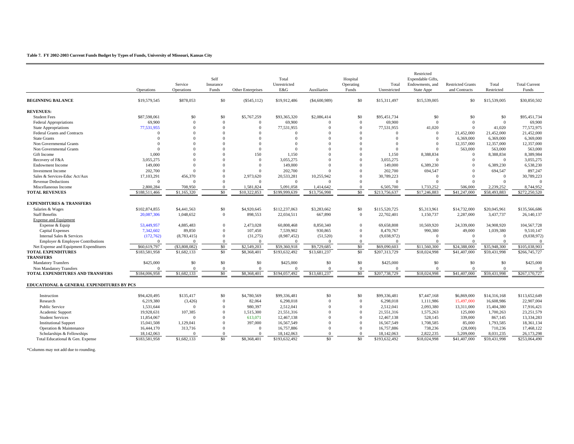#### **Table 7. FY 2002-2003 Current Funds Budget by Types of Funds, University of Missouri, Kansas City**

|                                           | Operations             | Service<br>Operations | Self<br>Insurance<br>Funds   | Other Enterprises | Total<br>Unrestricted<br>E&G | Auxiliaries  | Hospital<br>Operating<br>Funds | Total<br>Unrestricted | Restricted<br>Expendable Gifts.<br>Endowments, and<br>State Appr | <b>Restricted Grants</b><br>and Contracts | Total<br>Restricted | <b>Total Current</b><br>Funds |
|-------------------------------------------|------------------------|-----------------------|------------------------------|-------------------|------------------------------|--------------|--------------------------------|-----------------------|------------------------------------------------------------------|-------------------------------------------|---------------------|-------------------------------|
| <b>BEGINNING BALANCE</b>                  | \$19,579,545           | \$878,053             | \$0                          | $(\$545,112)$     | \$19,912,486                 | (S4,600,989) | \$0                            | \$15,311,497          | \$15,539,005                                                     | \$0                                       | \$15,539,005        | \$30,850,502                  |
| <b>REVENUES:</b>                          |                        |                       |                              |                   |                              |              |                                |                       |                                                                  |                                           |                     |                               |
| <b>Student Fees</b>                       | \$87,598,061           | \$0                   | \$0                          | \$5,767,259       | \$93,365,320                 | \$2,086,414  | \$0                            | \$95,451,734          | \$0                                                              | \$0                                       | \$0                 | \$95,451,734                  |
| <b>Federal Appropriations</b>             | 69,900                 | $\Omega$              | $\Omega$                     | $\Omega$          | 69,900                       | $\Omega$     | $\mathbf{0}$                   | 69,900                | $\mathbf{0}$                                                     | $\mathbf{0}$                              | $\overline{0}$      | 69,900                        |
| <b>State Appropriations</b>               | 77,531,955             | $\Omega$              | $\Omega$                     | $\Omega$          | 77,531,955                   | $\Omega$     | $\Omega$                       | 77,531,955            | 41,020                                                           | $\Omega$                                  | 41,020              | 77,572,975                    |
| Federal Grants and Contracts              | $\Omega$               | $\Omega$              | $\Omega$                     | $\Omega$          | $\Omega$                     | $\Omega$     | $\Omega$                       | $\Omega$              | $\Omega$                                                         | 21,452,000                                | 21,452,000          | 21,452,000                    |
| <b>State Grants</b>                       | $\Omega$               |                       | $\Omega$                     |                   | $\Omega$                     | $\Omega$     | $\Omega$                       | $\Omega$              | $\Omega$                                                         | 6,369,000                                 | 6,369,000           | 6,369,000                     |
| Non Governmental Grants                   | $\Omega$               | $\Omega$              | $\Omega$                     | $\Omega$          | $\Omega$                     | $\Omega$     | $\Omega$                       | $\Omega$              | $\Omega$                                                         | 12,357,000                                | 12,357,000          | 12,357,000                    |
| Non Governmental Grants                   | $\Omega$               | $\Omega$              | $\Omega$                     | $\Omega$          | $\Omega$                     | $\Omega$     | $\Omega$                       | $\Omega$              | $\Omega$                                                         | 563,000                                   | 563,000             | 563,000                       |
| Gift Income                               | 1,000                  | $\Omega$              | $\Omega$                     | 150               | 1,150                        | $\Omega$     | $\Omega$                       | 1,150                 | 8,388,834                                                        | $\Omega$                                  | 8,388,834           | 8,389,984                     |
| Recovery of F&A                           | 3,055,275              | $\Omega$              | $\Omega$                     | $\Omega$          | 3,055,275                    | $\Omega$     | $\Omega$                       | 3,055,275             | $\Omega$                                                         | $\Omega$                                  | $\Omega$            | 3,055,275                     |
| <b>Endowment Income</b>                   | 149,000                |                       | $\Omega$                     | $\Omega$          | 149,000                      | $\Omega$     | $\Omega$                       | 149,000               | 6,389,230                                                        | $\Omega$                                  | 6,389,230           | 6,538,230                     |
| <b>Investment Income</b>                  | 202,700                | $\Omega$              | $\Omega$                     |                   | 202,700                      |              | $\Omega$                       | 202,700               | 694,547                                                          | $\Omega$                                  | 694,547             | 897,247                       |
| Sales & Services-Educ Act/Aux             | 17,103,291             | 456,370               | $\Omega$                     | 2,973,620         | 20,533,281                   | 10,255,942   | $\Omega$                       | 30,789,223            | $\Omega$                                                         | $\Omega$                                  | $\Omega$            | 30,789,223                    |
| <b>Revenue Deductions</b>                 | $\Omega$               | $\Omega$              | $\Omega$                     | $\Omega$          | $\overline{0}$               | $\Omega$     | $\Omega$                       | $\Omega$              | $\Omega$                                                         | $\Omega$                                  |                     | $\Omega$                      |
| Miscellaneous Income                      | 2,800,284              | 708,950               | $\theta$                     | 1,581,824         | 5,091,058                    | 1,414,642    | $\mathbf{0}$                   | 6,505,700             | 1,733,252                                                        | 506,000                                   | 2,239,252           | 8,744,952                     |
| <b>TOTAL REVENUES</b>                     | \$188,511,466          | \$1,165,320           | \$0                          | \$10,322,853      | \$199,999,639                | \$13,756,998 | \$0                            | \$213,756,637         | \$17,246,883                                                     | \$41,247,000                              | \$58,493,883        | \$272,250,520                 |
|                                           |                        |                       |                              |                   |                              |              |                                |                       |                                                                  |                                           |                     |                               |
| <b>EXPENDITURES &amp; TRANSFERS</b>       |                        |                       |                              |                   |                              |              |                                |                       |                                                                  |                                           |                     |                               |
| Salaries & Wages                          | \$102,874,855          | \$4,441,563           | \$0                          | \$4,920,645       | \$112,237,063                | \$3,283,662  | \$0                            | \$115,520,725         | \$5,313,961                                                      | \$14,732,000                              | \$20,045,961        | \$135,566,686                 |
| <b>Staff Benefits</b>                     | 20,087,306             | 1,048,652             | $\mathbf{0}$                 | 898,553           | 22,034,511                   | 667,890      | $\mathbf{0}$                   | 22,702,401            | 1,150,737                                                        | 2,287,000                                 | 3,437,737           | 26,140,137                    |
| <b>Expense and Equipment</b>              |                        |                       |                              |                   |                              |              |                                |                       |                                                                  |                                           |                     |                               |
| Expense & Equip                           | 53,449,957             | 4,885,483             | $\mathbf{0}$                 | 2,473,028         | 60,808,468                   | 8,850,340    | $\Omega$                       | 69,658,808            | 10,569,920                                                       | 24,339,000                                | 34,908,920          | 104,567,728                   |
| <b>Capital Expenses</b>                   | 7,342,602              | 89,850                | $\Omega$                     | 107,450           | 7,539,902                    | 930,865      | $\Omega$                       | 8,470,767             | 990,380                                                          | 49,000                                    | 1.039.380           | 9,510,147                     |
| Internal Sales & Services                 | (172,762)              | (8, 783, 415)         | $\Omega$                     | (31,275)          | (8,987,452)                  | (51, 520)    | $\Omega$                       | (9,038,972)           | $\mathbf{0}$                                                     | $\Omega$                                  | $\Omega$            | (9,038,972)                   |
| Employer & Employee Contributions         | $\Omega$               | $\Omega$              | $\Omega$                     | $\Omega$          | $\Omega$                     | $\Omega$     | $\Omega$                       | $\Omega$              | $\Omega$                                                         | $\Omega$                                  |                     | $\Omega$                      |
| Net Expense and Equipment Expenditures    | \$60,619,797           | (\$3,808,082)         | \$0                          | \$2,549,203       | \$59,360,918                 | \$9,729,685  | \$0                            | \$69,090,603          | \$11,560,300                                                     | \$24,388,000                              | \$35,948,300        | \$105,038,903                 |
| <b>TOTAL EXPENDITURES</b>                 | \$183,581,958          | \$1,682,133           | \$0                          | \$8,368,401       | \$193,632,492                | \$13,681,237 | \$0                            | \$207,313,729         | \$18,024,998                                                     | \$41,407,000                              | \$59,431,998        | \$266,745,727                 |
| <b>TRANSFERS</b>                          |                        |                       |                              |                   |                              |              |                                |                       |                                                                  |                                           |                     |                               |
| <b>Mandatory Transfers</b>                | \$425,000              | \$0                   | \$0                          | \$0               | \$425,000                    | \$0          | \$0                            | \$425,000             | \$0                                                              | \$0                                       | \$0                 | \$425,000                     |
| Non Mandatory Transfers                   | $\Omega$               | $\Omega$              | $\Omega$                     | $\mathbf{0}$      | $\Omega$                     | $\mathbf{0}$ | $\mathbf{0}$                   | $\Omega$              | $\mathbf{0}$                                                     | $\Omega$                                  | $\Omega$            | $\Omega$                      |
| TOTAL EXPENDITURES AND TRANSFERS          | \$184,006,958          | \$1,682,133           | \$0                          | \$8,368,401       | \$194,057,492                | \$13,681,237 | \$0                            | \$207,738,729         | \$18,024,998                                                     | \$41,407,000                              | \$59,431,998        | \$267,170,727                 |
| EDUCATIONAL & GENERAL EXPENDITURES BY PCS |                        |                       |                              |                   |                              |              |                                |                       |                                                                  |                                           |                     |                               |
|                                           |                        |                       |                              |                   |                              | \$0          |                                |                       |                                                                  |                                           |                     |                               |
| Instruction<br>Research                   | \$94,420,495           | \$135,417             | \$0                          | \$4,780,569       | \$99,336,481                 | $\Omega$     | \$0<br>$\Omega$                | \$99,336,481          | \$7,447,168                                                      | \$6,869,000                               | \$14,316,168        | \$113,652,649                 |
|                                           | 6,219,380<br>1,531,644 | (3,426)<br>$\Omega$   | $\mathbf{0}$<br>$\mathbf{0}$ | 82,064<br>980,397 | 6.298.018<br>2,512,041       | $\Omega$     | $\Omega$                       | 6.298.018             | 1,111,986<br>2,093,380                                           | 15,497,000                                | 16,608,986          | 22,907,004                    |
| Public Service                            |                        | 107.385               |                              |                   |                              | $\Omega$     | $\Omega$                       | 2,512,041             |                                                                  | 13,311,000                                | 15,404,380          | 17,916,421                    |
| Academic Support                          | 19,928,631             | $\Omega$              | $\mathbf{0}$                 | 1.515.300         | 21.551.316                   | $\Omega$     |                                | 21.551.316            | 1,575,263                                                        | 125,000                                   | 1,700,263           | 23.251.579                    |
| <b>Student Services</b>                   | 11,854,067             |                       | $\Omega$                     | 613,071           | 12,467,138                   | $\Omega$     | $\Omega$                       | 12,467,138            | 528,145                                                          | 339,000                                   | 867,145             | 13,334,283                    |
| <b>Institutional Support</b>              | 15,041,508             | 1,129,041             | $\Omega$                     | 397,000           | 16,567,549                   |              | $\Omega$                       | 16,567,549            | 1,708,585                                                        | 85,000                                    | 1,793,585           | 18,361,134                    |
| Operation & Maintenance                   | 16,444,170             | 313,716               | $\Omega$                     | $\Omega$          | 16,757,886                   | $\Omega$     | $\Omega$                       | 16,757,886            | 738,236                                                          | (28,000)                                  | 710,236             | 17,468,122                    |
| Scholarships & Fellowships                | 18.142.063             |                       | $\Omega$                     | $\Omega$          | 18.142.063                   | $\Omega$     | $\Omega$                       | 18.142.063            | 2,822,235                                                        | 5.209,000                                 | 8.031.235           | 26,173,298                    |
| Total Educational & Gen. Expense          | \$183,581,958          | \$1,682,133           | \$0                          | \$8,368,401       | \$193,632,492                | \$0          | \$0                            | \$193,632,492         | \$18,024,998                                                     | \$41,407,000                              | \$59,431,998        | \$253,064,490                 |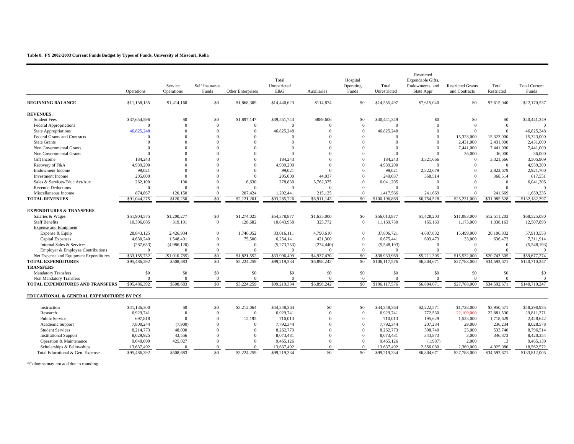#### **Table 8. FY 2002-2003 Current Funds Budget by Types of Funds, University of Missouri, Rolla**

|                                           | Operations   | Service<br>Operations | Self Insurance<br>Funds | Other Enterprises | Total<br>Unrestricted<br>E&G | Auxiliaries          | Hospital<br>Operating<br>Funds | Total<br>Unrestricted | Restricted<br>Expendable Gifts,<br>Endowments, and<br>State Appr | <b>Restricted Grants</b><br>and Contracts | Total<br>Restricted | <b>Total Current</b><br>Funds |
|-------------------------------------------|--------------|-----------------------|-------------------------|-------------------|------------------------------|----------------------|--------------------------------|-----------------------|------------------------------------------------------------------|-------------------------------------------|---------------------|-------------------------------|
| <b>BEGINNING BALANCE</b>                  | \$11,158,155 | \$1,414,160           | \$0                     | \$1,868,309       | \$14,440,623                 | \$114,874            | \$0                            | \$14,555,497          | \$7,615,040                                                      | \$0                                       | \$7,615,040         | \$22,170,537                  |
| <b>REVENUES:</b>                          |              |                       |                         |                   |                              |                      |                                |                       |                                                                  |                                           |                     |                               |
| <b>Student Fees</b>                       | \$37,654,596 | \$0                   | \$0                     | \$1,897,147       | \$39,551,743                 | \$889,606            | \$0                            | \$40,441,349          | \$0                                                              | \$0                                       | \$0                 | \$40,441,349                  |
| <b>Federal Appropriations</b>             | $\Omega$     | $\Omega$              | $\Omega$                | $\Omega$          | $\Omega$                     | $\Omega$             | $\Omega$                       | $\Omega$              | $\Omega$                                                         | $\overline{0}$                            | $\theta$            |                               |
| <b>State Appropriations</b>               | 46,825,248   | $\Omega$              | $\Omega$                | $\Omega$          | 46,825,248                   | $\Omega$             | $\mathbf{0}$                   | 46,825,248            | $\Omega$                                                         | $\overline{0}$                            | $\Omega$            | 46,825,248                    |
| <b>Federal Grants and Contracts</b>       | $\Omega$     | $\Omega$              | $\Omega$                | $\Omega$          | $\Omega$                     | $\Omega$             | $\Omega$                       | $\Omega$              | $\Omega$                                                         | 15,323,000                                | 15,323,000          | 15,323,000                    |
| <b>State Grants</b>                       | $\Omega$     | $\Omega$              | $\Omega$                | $\Omega$          | $\Omega$                     | $\Omega$             | $\mathbf{0}$                   | $\Omega$              | $\Omega$                                                         | 2,431,000                                 | 2,431,000           | 2,431,000                     |
| Non Governmental Grants                   | $\Omega$     | $\Omega$              | $\Omega$                | $\Omega$          | $\Omega$                     | $\Omega$             | $\Omega$                       | $\Omega$              | $\Omega$                                                         | 7,441,000                                 | 7,441,000           | 7,441,000                     |
| Non Governmental Grants                   |              | $\Omega$              | $\Omega$                | $\Omega$          | $\Omega$                     | $\Omega$             | $\Omega$                       | $\Omega$              | $\Omega$                                                         | 36,000                                    | 36,000              | 36,000                        |
| Gift Income                               | 184,243      | $\Omega$              |                         | $\Omega$          | 184,243                      | $\Omega$             | $\Omega$                       | 184,243               | 3,321,666                                                        | $\mathbf{0}$                              | 3,321,666           | 3,505,909                     |
| Recovery of F&A                           | 4,939,200    | $\theta$              | $\Omega$                | $\Omega$          | 4,939,200                    | $\Omega$             | $\Omega$                       | 4,939,200             | $\Omega$                                                         | $\Omega$                                  | $\Omega$            | 4,939,200                     |
| <b>Endowment Income</b>                   | 99,021       | $\Omega$              | $\Omega$                | $\Omega$          | 99,021                       | $\Omega$             | $\Omega$                       | 99,021                | 2,822,679                                                        | $\Omega$                                  | 2,822,679           | 2,921,700                     |
| <b>Investment Income</b>                  | 205,000      | $\Omega$              | $\Omega$                | $\Omega$          | 205,000                      | 44.037               | $\Omega$                       | 249,037               | 368,514                                                          | $\Omega$                                  | 368,514             | 617,551                       |
| Sales & Services-Educ Act/Aux             | 262,100      | 100                   | $\Omega$                | 16,630            | 278,830                      | 5.762.375            | $\Omega$                       | 6,041,205             | $\overline{0}$                                                   | $\Omega$                                  | $\overline{0}$      | 6,041,205                     |
| <b>Revenue Deductions</b>                 | $\Omega$     | $\Omega$              | $\Omega$                | $\Omega$          | $\mathbf{0}$                 | $\Omega$             | $\mathbf{0}$                   | $\Omega$              | $\Omega$                                                         | $\Omega$                                  | $\Omega$            | $\Omega$                      |
| Miscellaneous Income                      | 874,867      | 120,150               | $\mathbf{0}$            | 207,424           | 1,202,441                    | 215,125              | $\mathbf{0}$                   | 1,417,566             | 241,669                                                          | $\overline{0}$                            | 241,669             | 1,659,235                     |
| <b>TOTAL REVENUES</b>                     | \$91,044,275 | \$120,250             | \$0                     | \$2,121,201       | \$93,285,726                 | \$6,911,143          | \$0                            | \$100,196,869         | \$6,754,528                                                      | \$25,231,000                              | \$31,985,528        | \$132,182,397                 |
|                                           |              |                       |                         |                   |                              |                      |                                |                       |                                                                  |                                           |                     |                               |
| <b>EXPENDITURES &amp; TRANSFERS</b>       |              |                       |                         |                   |                              |                      |                                |                       |                                                                  |                                           |                     |                               |
| Salaries & Wages                          | \$51,904,575 | \$1,200,277           | \$0                     | \$1,274,025       | \$54,378,877                 | \$1,635,000          | \$0                            | \$56,013,877          | \$1,428,203                                                      | \$11,083,000                              | \$12,511,203        | \$68,525,080                  |
| <b>Staff Benefits</b>                     | 10,396,085   | 319,191               | $\mathbf{0}$            | 128,682           | 10,843,958                   | 325,772              | $\overline{0}$                 | 11,169,730            | 165,163                                                          | 1,173,000                                 | 1,338,163           | 12,507,893                    |
| <b>Expense and Equipment</b>              |              |                       |                         |                   |                              |                      |                                |                       |                                                                  |                                           |                     |                               |
| Expense & Equip                           | 28.843.125   | 2.426.934             | $\Omega$                | 1,746,052         | 33,016,111                   | 4,790,610            | $\mathbf{0}$                   | 37,806,721            | 4,607,832                                                        | 15,499,000                                | 20,106,832          | 57,913,553                    |
| <b>Capital Expenses</b>                   | 4,630,240    | 1,548,401             | $\mathbf{0}$            | 75,500            | 6,254,141                    | 421,300              | $\mathbf{0}$                   | 6,675,441             | 603,473                                                          | 33,000                                    | 636,473             | 7,311,914                     |
| Internal Sales & Services                 | (287, 633)   | (4,986,120)           | $\Omega$                | $\Omega$          | (5,273,753)                  | (274, 440)           | $\overline{0}$                 | (5,548,193)           | $\overline{0}$                                                   | $\overline{0}$                            | $\Omega$            | (5,548,193)                   |
| Employer & Employee Contributions         | $\Omega$     | $\Omega$              | $\mathbf{0}$            |                   | $\Omega$                     | $\Omega$             | $\Omega$                       | $\Omega$              | $\Omega$                                                         | $\Omega$                                  |                     | $\Omega$                      |
| Net Expense and Equipment Expenditures    | \$33,185,732 | (\$1,010,785)         | \$0                     | \$1,821,552       | \$33,996,499                 | \$4,937,470          | \$0                            | \$38,933,969          | \$5,211,305                                                      | \$15,532,000                              | \$20,743,305        | \$59,677,274                  |
| <b>TOTAL EXPENDITURES</b>                 | \$95,486,392 | \$508,683             | \$0                     | \$3,224,259       | \$99,219,334                 | \$6,898,242          | \$0                            | \$106,117,576         | $\overline{$6,804,671}$                                          | \$27,788,000                              | \$34,592,671        | \$140,710,247                 |
| <b>TRANSFERS</b>                          |              |                       |                         |                   |                              |                      |                                |                       |                                                                  |                                           |                     |                               |
| <b>Mandatory Transfers</b>                | \$0          | \$0                   | \$0                     | \$0               | \$0                          | \$0                  | \$0                            | \$0                   | \$0                                                              | \$0                                       | \$0                 | \$0                           |
| Non Mandatory Transfers                   | $\Omega$     | $\theta$              | $\mathbf{0}$            | $\Omega$          | $\theta$                     | $\Omega$             | $\Omega$                       | $\Omega$              | $\Omega$                                                         | $\overline{0}$                            | $\Omega$            | $\Omega$                      |
| TOTAL EXPENDITURES AND TRANSFERS          | \$95,486,392 | \$508,683             | \$0                     | \$3,224,259       | \$99.219.334                 | \$6,898,242          | $\overline{50}$                | \$106,117,576         | \$6,804,671                                                      | \$27,788,000                              | \$34,592,671        | \$140,710,247                 |
| EDUCATIONAL & GENERAL EXPENDITURES BY PCS |              |                       |                         |                   |                              |                      |                                |                       |                                                                  |                                           |                     |                               |
|                                           |              | \$0                   | \$0                     |                   |                              | \$0                  | \$0                            |                       |                                                                  |                                           |                     |                               |
| Instruction                               | \$41,136,300 |                       |                         | \$3,212,064       | \$44,348,364                 |                      |                                | \$44,348,364          | \$2,222,571                                                      | \$1,728,000                               | \$3,950,571         | \$48,298,935                  |
| Research                                  | 6,929,741    | $\Omega$              | $\Omega$                | $\Omega$          | 6,929,741                    | $\Omega$             | $\mathbf{0}$                   | 6,929,741             | 772,530                                                          | 22,109,000                                | 22,881,530          | 29,811,271                    |
| <b>Public Service</b>                     | 697,818      | $\Omega$              | $\Omega$                | 12,195            | 710,013                      | $\Omega$<br>$\Omega$ | $\Omega$                       | 710,013               | 195,629                                                          | 1,523,000                                 | 1,718,629           | 2,428,642                     |
| Academic Support                          | 7,800,244    | (7,900)               | $\Omega$                | $\Omega$          | 7,792,344                    |                      | $\mathbf{0}$                   | 7,792,344             | 207,234                                                          | 29,000                                    | 236,234             | 8,028,578                     |
| <b>Student Services</b>                   | 8.214.773    | 48,000                | $\Omega$                | $\Omega$          | 8,262,773                    | $\Omega$             | $\Omega$                       | 8.262.773             | 508,740                                                          | 25,000                                    | 533,740             | 8,796,514                     |
| <b>Institutional Support</b>              | 8,029,925    | 43,556                | $\Omega$                | $\Omega$          | 8,073,481                    | $\Omega$             | $\mathbf{0}$                   | 8,073,481             | 343,873                                                          | 3,000                                     | 346,873             | 8,420,354                     |
| Operation & Maintenance                   | 9,040,099    | 425,027               | $\Omega$                | $\Omega$          | 9,465,126                    | $\Omega$             | $\Omega$                       | 9,465,126             | (1,987)                                                          | 2,000                                     | 13                  | 9,465,139                     |
| Scholarships & Fellowships                | 13,637,492   |                       | $\Omega$                |                   | 13,637,492                   | $\Omega$             | $\Omega$                       | 13,637,492            | 2,556,080                                                        | 2,369,000                                 | 4,925,080           | 18,562,572                    |
| Total Educational & Gen. Expense          | \$95,486,392 | \$508,683             | \$0                     | \$3,224,259       | \$99,219,334                 | \$0                  | \$0                            | \$99,219,334          | \$6,804,671                                                      | \$27,788,000                              | \$34,592,671        | \$133,812,005                 |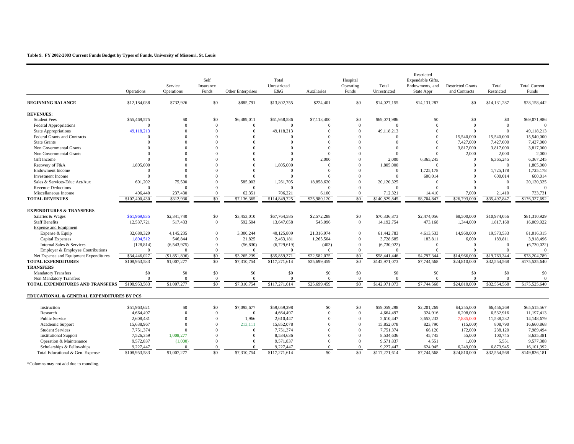#### **Table 9. FY 2002-2003 Current Funds Budget by Types of Funds, University of Missouri, St. Louis**

|                                                      | Operations    | Service<br>Operations | Self<br>Insurance<br>Funds | Other Enterprises | Total<br>Unrestricted<br>E&G | Auxiliaries  | Hospital<br>Operating<br>Funds | Total<br>Unrestricted | Restricted<br>Expendable Gifts,<br>Endowments, and<br>State Appr | <b>Restricted Grants</b><br>and Contracts | Total<br>Restricted | <b>Total Current</b><br>Funds |
|------------------------------------------------------|---------------|-----------------------|----------------------------|-------------------|------------------------------|--------------|--------------------------------|-----------------------|------------------------------------------------------------------|-------------------------------------------|---------------------|-------------------------------|
| <b>BEGINNING BALANCE</b>                             | \$12,184,038  | \$732,926             | \$0                        | \$885,791         | \$13,802,755                 | \$224,401    | \$0                            | \$14,027,155          | \$14,131,287                                                     | \$0                                       | \$14,131,287        | \$28,158,442                  |
| <b>REVENUES:</b>                                     |               |                       |                            |                   |                              |              |                                |                       |                                                                  |                                           |                     |                               |
| <b>Student Fees</b>                                  | \$55,469,575  | \$0                   | \$0                        | \$6,489,011       | \$61,958,586                 | \$7,113,400  | \$0                            | \$69,071,986          | \$0                                                              | \$0                                       | \$0                 | \$69,071,986                  |
| <b>Federal Appropriations</b>                        | $\Omega$      | $\Omega$              | $\Omega$                   | $\overline{0}$    | $\Omega$                     | $\Omega$     | $\overline{0}$                 | $\overline{0}$        | $\Omega$                                                         | $\overline{0}$                            | $\overline{0}$      |                               |
| <b>State Appropriations</b>                          | 49,118,213    | $\Omega$              | $\Omega$                   | $\overline{0}$    | 49,118,213                   | $\Omega$     | $\Omega$                       | 49,118,213            | $\Omega$                                                         | $\mathbf{0}$                              | $\Omega$            | 49,118,213                    |
| <b>Federal Grants and Contracts</b>                  | $\Omega$      | $\Omega$              | $\Omega$                   | $\Omega$          | $\Omega$                     | $\Omega$     | $\Omega$                       | $^{\circ}$            | $\Omega$                                                         | 15,540,000                                | 15,540,000          | 15,540,000                    |
| <b>State Grants</b>                                  | $\Omega$      | $\Omega$              |                            | $\Omega$          | $\Omega$                     | $\Omega$     | $\Omega$                       | $\Omega$              | $\Omega$                                                         | 7,427,000                                 | 7,427,000           | 7,427,000                     |
| Non Governmental Grants                              | $\Omega$      | $\Omega$              |                            | $\Omega$          | $\Omega$                     | $\Omega$     | $\Omega$                       | $\Omega$              | $\Omega$                                                         | 3,817,000                                 | 3,817,000           | 3,817,000                     |
| Non Governmental Grants                              |               | $\Omega$              |                            | $\Omega$          | $\Omega$                     | $\Omega$     | $\Omega$                       | $\Omega$              | $\Omega$                                                         | 2,000                                     | 2,000               | 2,000                         |
| Gift Income                                          | $\Omega$      | $\Omega$              |                            | $\Omega$          | $\Omega$                     | 2,000        | $\Omega$                       | 2,000                 | 6,365,245                                                        | $\overline{0}$                            | 6,365,245           | 6,367,245                     |
| Recovery of F&A                                      | 1,805,000     | $\Omega$              |                            | $\theta$          | 1,805,000                    | $\Omega$     | $\Omega$                       | 1,805,000             | $\Omega$                                                         | $\Omega$                                  | $\Omega$            | 1,805,000                     |
| <b>Endowment Income</b>                              | $\Omega$      | $\Omega$              |                            | $\Omega$          | $\Omega$                     | $\Omega$     | $\Omega$                       | $\overline{0}$        | 1,725,178                                                        | $\overline{0}$                            | 1,725,178           | 1,725,178                     |
| <b>Investment Income</b>                             | $\Omega$      | $\Omega$              |                            | $\overline{0}$    | $\Omega$                     | $\Omega$     | $\Omega$                       | $\overline{0}$        | 600,014                                                          | $\overline{0}$                            | 600,014             | 600,014                       |
| Sales & Services-Educ Act/Aux                        | 601,202       | 75,500                |                            | 585,003           | 1,261,705                    | 18,858,620   | $\Omega$                       | 20,120,325            | $\Omega$                                                         | $\mathbf{0}$                              | $\overline{0}$      | 20,120,325                    |
| <b>Revenue Deductions</b>                            | $\Omega$      | $\Omega$              | $\Omega$                   | $\Omega$          | $\Omega$                     | $\Omega$     | $\Omega$                       | $\Omega$              | $\Omega$                                                         | $\Omega$                                  | $\Omega$            | $\Omega$                      |
| Miscellaneous Income                                 | 406,440       | 237,430               | $\Omega$                   | 62,351            | 706,221                      | 6,100        | $\overline{0}$                 | 712,321               | 14,410                                                           | 7,000                                     | 21,410              | 733,731                       |
| <b>TOTAL REVENUES</b>                                | \$107,400,430 | \$312,930             | $\overline{50}$            | \$7,136,365       | \$114,849,725                | \$25,980,120 | \$0                            | \$140,829,845         | \$8,704,847                                                      | \$26,793,000                              | \$35,497,847        | \$176,327,692                 |
|                                                      |               |                       |                            |                   |                              |              |                                |                       |                                                                  |                                           |                     |                               |
| <b>EXPENDITURES &amp; TRANSFERS</b>                  |               |                       |                            |                   |                              |              |                                |                       |                                                                  |                                           |                     |                               |
| Salaries & Wages                                     | \$61,969,835  | \$2,341,740           | \$0                        | \$3,453,010       | \$67,764,585                 | \$2,572,288  | \$0                            | \$70,336,873          | \$2,474,056                                                      | \$8,500,000                               | \$10,974,056        | \$81,310,929                  |
| <b>Staff Benefits</b>                                | 12,537,721    | 517,433               | $\mathbf{0}$               | 592,504           | 13,647,658                   | 545,096      | $\overline{0}$                 | 14,192,754            | 473,168                                                          | 1,344,000                                 | 1,817,168           | 16,009,922                    |
| <b>Expense and Equipment</b>                         |               |                       |                            |                   |                              |              |                                |                       |                                                                  |                                           |                     |                               |
| Expense & Equip                                      | 32,680,329    | 4,145,235             | $\Omega$                   | 3,300,244         | 40,125,809                   | 21,316,974   | $\Omega$                       | 61,442,783            | 4,613,533                                                        | 14,960,000                                | 19,573,533          | 81,016,315                    |
| <b>Capital Expenses</b>                              | 1,894,512     | 546,844               | $\Omega$                   | 21,825            | 2,463,181                    | 1,265,504    | $\Omega$                       | 3,728,685             | 183,811                                                          | 6,000                                     | 189,811             | 3,918,496                     |
| Internal Sales & Services                            | (128, 814)    | (6,543,975)           | $\Omega$                   | (56, 830)         | (6,729,619)                  | (403)        | $\overline{0}$                 | (6,730,022)           | $\mathbf{0}$                                                     | $\overline{0}$                            | $\mathbf{0}$        | (6,730,022)                   |
| Employer & Employee Contributions                    | $\Omega$      | $\Omega$              | $\Omega$                   | $\Omega$          | $\Omega$                     | $\Omega$     | $\overline{0}$                 | $^{\circ}$            | $\Omega$                                                         | $\Omega$                                  |                     | $\Omega$                      |
| Net Expense and Equipment Expenditures               | \$34,446,027  | (\$1,851,896)         | \$0                        | \$3,265,239       | \$35,859,371                 | \$22,582,075 | \$0                            | \$58,441,446          | \$4,797,344                                                      | \$14,966,000                              | \$19,763,344        | \$78,204,789                  |
| <b>TOTAL EXPENDITURES</b>                            | \$108,953,583 | \$1,007,277           | \$0                        | \$7,310,754       | \$117,271,614                | \$25,699,459 | \$0                            | \$142,971,073         | \$7,744,568                                                      | \$24,810,000                              | \$32,554,568        | \$175,525,640                 |
| <b>TRANSFERS</b>                                     |               |                       |                            |                   |                              |              |                                |                       |                                                                  |                                           |                     |                               |
| <b>Mandatory Transfers</b>                           | \$0           | \$0                   | \$0                        | \$0               | \$0                          | \$0          | \$0                            | \$0                   | \$0                                                              | \$0                                       | \$0                 | \$0                           |
| Non Mandatory Transfers                              | $\Omega$      | $\theta$              | $\Omega$                   | $\overline{0}$    | $\Omega$                     | $\Omega$     | $\overline{0}$                 | $\Omega$              | $\Omega$                                                         | $\Omega$                                  | $\Omega$            | $\Omega$                      |
| TOTAL EXPENDITURES AND TRANSFERS                     | \$108,953,583 | \$1,007,277           | \$0                        | \$7,310,754       | \$117,271,614                | \$25,699,459 | \$0                            | \$142,971,073         | \$7,744,568                                                      | \$24,810,000                              | \$32,554,568        | \$175,525,640                 |
| <b>EDUCATIONAL &amp; GENERAL EXPENDITURES BY PCS</b> |               |                       |                            |                   |                              |              |                                |                       |                                                                  |                                           |                     |                               |
| Instruction                                          | \$51,963,621  | \$0                   | \$0                        | \$7,095,677       | \$59,059,298                 | \$0          | \$0                            | \$59,059,298          | \$2,201,269                                                      | \$4,255,000                               | \$6,456,269         | \$65,515,567                  |
|                                                      |               | $\Omega$              | $\Omega$                   | $\overline{0}$    |                              | $\Omega$     | $\Omega$                       |                       |                                                                  |                                           |                     |                               |
| Research                                             | 4,664,497     | $\Omega$              |                            |                   | 4,664,497                    |              |                                | 4,664,497             | 324,916                                                          | 6,208,000                                 | 6,532,916           | 11,197,413                    |
| <b>Public Service</b>                                | 2,608,481     |                       | $\Omega$                   | 1,966             | 2,610,447                    | $\Omega$     | $\Omega$                       | 2,610,447             | 3,653,232                                                        | 7,885,000                                 | 11,538,232          | 14,148,679                    |
| Academic Support                                     | 15,638,967    | $\Omega$              | $\Omega$                   | 213,111           | 15,852,078                   | $\Omega$     | $\Omega$                       | 15,852,078            | 823,790                                                          | (15,000)                                  | 808,790             | 16,660,868                    |
| <b>Student Services</b>                              | 7,751,374     | $\Omega$              |                            | $\overline{0}$    | 7,751,374                    | $\Omega$     | $\Omega$                       | 7,751,374             | 66,120                                                           | 172,000                                   | 238,120             | 7,989,494                     |
| <b>Institutional Support</b>                         | 7,526,359     | 1,008,277             | $\Omega$                   | $\overline{0}$    | 8,534,636                    | $\Omega$     | $\Omega$                       | 8,534,636             | 45,745                                                           | 55,000                                    | 100,745             | 8,635,381                     |
| Operation & Maintenance                              | 9,572,837     | (1,000)               | $\Omega$                   | $\Omega$          | 9,571,837                    | $\Omega$     | $\Omega$                       | 9,571,837             | 4,551                                                            | 1,000                                     | 5,551               | 9,577,388                     |
| Scholarships & Fellowships                           | 9,227,447     |                       | $\Omega$                   | $\Omega$          | 9,227,447                    | $\Omega$     | $\overline{0}$                 | 9,227,447             | 624,945                                                          | 6,249,000                                 | 6,873,945           | 16,101,392                    |
| Total Educational & Gen. Expense                     | \$108,953,583 | \$1,007,277           | \$0                        | \$7,310,754       | \$117,271,614                | \$0          | \$0                            | \$117,271,614         | \$7,744,568                                                      | \$24,810,000                              | \$32,554,568        | \$149,826,181                 |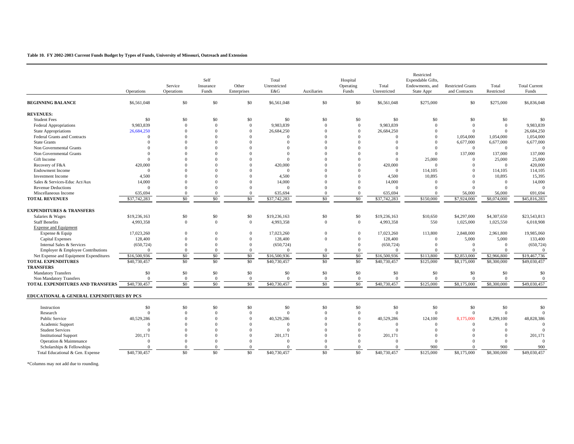#### **Table 10. FY 2002-2003 Current Funds Budget by Types of Funds, University of Missouri, Outreach and Extension**

|                                           | Operations   | Service<br>Operations | Self<br>Insurance<br>Funds | Other<br>Enterprises | Total<br>Unrestricted<br>E&G | Auxiliaries | Hospital<br>Operating<br>Funds | Total<br>Unrestricted | Restricted<br>Expendable Gifts,<br>Endowments, and<br>State Appr | <b>Restricted Grants</b><br>and Contracts | Total<br>Restricted | <b>Total Current</b><br>Funds |
|-------------------------------------------|--------------|-----------------------|----------------------------|----------------------|------------------------------|-------------|--------------------------------|-----------------------|------------------------------------------------------------------|-------------------------------------------|---------------------|-------------------------------|
| <b>BEGINNING BALANCE</b>                  | \$6,561,048  | \$0                   | \$0                        | \$0                  | \$6,561,048                  | \$0         | \$0                            | \$6,561,048           | \$275,000                                                        | \$0                                       | \$275,000           | \$6,836,048                   |
| <b>REVENUES:</b>                          |              |                       |                            |                      |                              |             |                                |                       |                                                                  |                                           |                     |                               |
| <b>Student Fees</b>                       | \$0          | \$0                   | \$0                        | \$0                  | \$0                          | \$0         | \$0                            | \$0                   | \$0                                                              | \$0                                       | \$0                 | \$0                           |
| <b>Federal Appropriations</b>             | 9,983,839    | $\Omega$              | $\Omega$                   | $\overline{0}$       | 9,983,839                    | $\Omega$    | $\overline{0}$                 | 9,983,839             | $\Omega$                                                         | $\mathbf{0}$                              | $\mathbf{0}$        | 9,983,839                     |
| <b>State Appropriations</b>               | 26,684,250   | $\Omega$              | $\Omega$                   | $\Omega$             | 26.684.250                   | $\Omega$    | $\Omega$                       | 26,684,250            | $\Omega$                                                         | $\overline{0}$                            | $\mathbf{0}$        | 26,684,250                    |
| Federal Grants and Contracts              | $\Omega$     | $\Omega$              | $\Omega$                   | $\Omega$             | $\Omega$                     | $\Omega$    | $\Omega$                       | $\Omega$              | $\Omega$                                                         | 1,054,000                                 | 1,054,000           | 1,054,000                     |
| <b>State Grants</b>                       | $\Omega$     | $\Omega$              | $\Omega$                   | $\Omega$             | $\Omega$                     | $\Omega$    | $\Omega$                       | $\Omega$              | $\mathbf{0}$                                                     | 6,677,000                                 | 6,677,000           | 6,677,000                     |
| Non Governmental Grants                   | $\Omega$     | $\Omega$              | $\Omega$                   | $\Omega$             | $\Omega$                     | $\Omega$    | $\Omega$                       | $\Omega$              | $\Omega$                                                         | $\mathbf{0}$                              | $\mathbf{0}$        | $\Omega$                      |
| Non Governmental Grants                   | $\Omega$     | $\Omega$              |                            | $\Omega$             | $\Omega$                     |             | $\Omega$                       | $\Omega$              | $\Omega$                                                         | 137,000                                   | 137,000             | 137,000                       |
| Gift Income                               | $\Omega$     | $\Omega$              |                            | $\Omega$             | $\Omega$                     |             | $\Omega$                       | $\Omega$              | 25,000                                                           | $\overline{0}$                            | 25,000              | 25,000                        |
| Recovery of F&A                           | 420,000      | $\Omega$              |                            | $\Omega$             | 420,000                      |             | $\Omega$                       | 420,000               | $\Omega$                                                         | $\Omega$                                  | $\theta$            | 420,000                       |
| <b>Endowment Income</b>                   | $\Omega$     | $\Omega$              |                            | $\Omega$             | $\Omega$                     |             | $\theta$                       | $\mathbf{0}$          | 114,105                                                          | $\Omega$                                  | 114,105             | 114,105                       |
| <b>Investment</b> Income                  | 4,500        | $\Omega$              |                            | $\Omega$             | 4,500                        | $\Omega$    | $\Omega$                       | 4,500                 | 10,895                                                           | $\Omega$                                  | 10,895              | 15,395                        |
| Sales & Services-Educ Act/Aux             | 14,000       | $\Omega$              |                            | $\theta$             | 14,000                       | $\Omega$    | $\Omega$                       | 14,000                | $\overline{0}$                                                   | $\Omega$                                  | $\mathbf{0}$        | 14,000                        |
| <b>Revenue Deductions</b>                 | $\Omega$     | $\Omega$              | $\Omega$                   | $\Omega$             | $\Omega$                     | $\Omega$    | $\Omega$                       | $\Omega$              | $\Omega$                                                         | $\Omega$                                  | $\Omega$            | $\Omega$                      |
| Miscellaneous Income                      | 635,694      | $\Omega$              | $\Omega$                   | $\mathbf{0}$         | 635,694                      | $\Omega$    | $\overline{0}$                 | 635,694               | $\Omega$                                                         | 56,000                                    | 56,000              | 691,694                       |
| <b>TOTAL REVENUES</b>                     | \$37,742,283 | \$0                   | \$0                        | \$0                  | \$37,742,283                 | \$0         | \$0                            | \$37,742,283          | \$150,000                                                        | \$7,924,000                               | \$8,074,000         | \$45,816,283                  |
| <b>EXPENDITURES &amp; TRANSFERS</b>       |              |                       |                            |                      |                              |             |                                |                       |                                                                  |                                           |                     |                               |
| Salaries & Wages                          | \$19,236,163 | \$0                   | \$0                        | \$0                  | \$19,236,163                 | \$0         | \$0                            | \$19,236,163          | \$10,650                                                         | \$4,297,000                               | \$4,307,650         | \$23,543,813                  |
| <b>Staff Benefits</b>                     | 4,993,358    | $\overline{0}$        | $\overline{0}$             | $\mathbf{0}$         | 4,993,358                    | $\Omega$    | $\overline{0}$                 | 4,993,358             | 550                                                              | 1,025,000                                 | 1,025,550           | 6,018,908                     |
| <b>Expense and Equipment</b>              |              |                       |                            |                      |                              |             |                                |                       |                                                                  |                                           |                     |                               |
| Expense & Equip                           | 17.023.260   | $\Omega$              | $\Omega$                   | $\mathbf{0}$         | 17.023.260                   | $\Omega$    | $\mathbf{0}$                   | 17.023.260            | 113,800                                                          | 2,848,000                                 | 2,961,800           | 19,985,060                    |
| <b>Capital Expenses</b>                   | 128,400      | $\Omega$              | $\Omega$                   | $\boldsymbol{0}$     | 128,400                      | $\Omega$    | $\overline{0}$                 | 128,400               | $\overline{0}$                                                   | 5,000                                     | 5,000               | 133,400                       |
| Internal Sales & Services                 | (650, 724)   | $\Omega$              | $\Omega$                   | $\Omega$             | (650, 724)                   |             | $\Omega$                       | (650, 724)            | $\Omega$                                                         | $\theta$                                  | $\theta$            | (650, 724)                    |
| Employer & Employee Contributions         | $\Omega$     | $\Omega$              | $\overline{0}$             | $\overline{0}$       | $\Omega$                     | $\Omega$    | $\mathbf{0}$                   | $\mathbf{0}$          | $\Omega$                                                         | $\overline{0}$                            | $\theta$            | $\overline{0}$                |
| Net Expense and Equipment Expenditures    | \$16,500,936 | \$0                   | \$0                        | \$0                  | \$16,500,936                 | \$0         | \$0                            | \$16,500,936          | \$113,800                                                        | \$2,853,000                               | \$2,966,800         | \$19,467,736                  |
| <b>TOTAL EXPENDITURES</b>                 | \$40,730,457 | \$0                   | \$0                        | \$0                  | \$40,730,457                 | \$0         | $\overline{50}$                | \$40,730,457          | \$125,000                                                        | \$8,175,000                               | \$8,300,000         | \$49,030,457                  |
| <b>TRANSFERS</b>                          |              |                       |                            |                      |                              |             |                                |                       |                                                                  |                                           |                     |                               |
| <b>Mandatory Transfers</b>                | \$0          | \$0                   | \$0                        | \$0                  | \$0                          | \$0         | \$0                            | \$0                   | \$0                                                              | \$0                                       | \$0                 | \$0                           |
| Non Mandatory Transfers                   | $\Omega$     | $\overline{0}$        | $\Omega$                   | $\overline{0}$       | $\Omega$                     | $\Omega$    | $\overline{0}$                 | $\Omega$              | $\Omega$                                                         | $\Omega$                                  | $\Omega$            | $\mathbf{0}$                  |
| TOTAL EXPENDITURES AND TRANSFERS          | \$40,730,457 | \$0                   | \$0                        | \$0                  | \$40,730,457                 | \$0         | \$0                            | \$40,730,457          | \$125,000                                                        | \$8,175,000                               | \$8,300,000         | \$49,030,457                  |
| EDUCATIONAL & GENERAL EXPENDITURES BY PCS |              |                       |                            |                      |                              |             |                                |                       |                                                                  |                                           |                     |                               |
| Instruction                               | \$0          | \$0                   | \$0                        | \$0                  | \$0                          | \$0         | \$0                            | \$0                   | \$0                                                              | \$0                                       | \$0                 | \$0                           |
| Research                                  | $\Omega$     | $\Omega$              | $\mathbf{0}$               | $\overline{0}$       | $\Omega$                     | $\Omega$    | $\mathbf{0}$                   | $\mathbf{0}$          | $\overline{0}$                                                   | $\overline{0}$                            | $\mathbf{0}$        | $\Omega$                      |
| <b>Public Service</b>                     | 40,529,286   | $\Omega$              | $\Omega$                   | $\mathbf{0}$         | 40,529,286                   | $\Omega$    | $\Omega$                       | 40,529,286            | 124,100                                                          | 8,175,000                                 | 8,299,100           | 48,828,386                    |
| Academic Support                          | $\Omega$     | $\Omega$              | $\Omega$                   | $\Omega$             | $\Omega$                     | $\Omega$    | $\Omega$                       | $\Omega$              | $\Omega$                                                         | $\Omega$                                  | $\Omega$            | $\Omega$                      |
| <b>Student Services</b>                   | $\Omega$     | $\Omega$              | $\Omega$                   | $\Omega$             | $\Omega$                     | $\Omega$    | $\Omega$                       | $\theta$              | $\Omega$                                                         | $\Omega$                                  | $\Omega$            | $\Omega$                      |
| <b>Institutional Support</b>              | 201,171      | $\Omega$              | $\Omega$                   | $\Omega$             | 201,171                      | $\Omega$    | $\Omega$                       | 201,171               | $\Omega$                                                         | $\Omega$                                  | $\Omega$            | 201,171                       |
| Operation & Maintenance                   | $\Omega$     | $\Omega$              | $\Omega$                   | $\Omega$             | $\Omega$                     | $\Omega$    | $\Omega$                       | $\Omega$              | $\Omega$                                                         | $\Omega$                                  | $\Omega$            | $\theta$                      |
| Scholarships & Fellowships                | $\Omega$     | $\Omega$              | $\Omega$                   | $\overline{0}$       | $\Omega$                     | $\Omega$    | $\Omega$                       | $\Omega$              | 900                                                              | $\Omega$                                  | 900                 | 900                           |
| Total Educational & Gen. Expense          | \$40,730,457 | \$0                   | \$0                        | \$0                  | \$40,730,457                 | \$0         | $\overline{50}$                | \$40,730,457          | \$125,000                                                        | \$8,175,000                               | \$8,300,000         | \$49,030,457                  |
|                                           |              |                       |                            |                      |                              |             |                                |                       |                                                                  |                                           |                     |                               |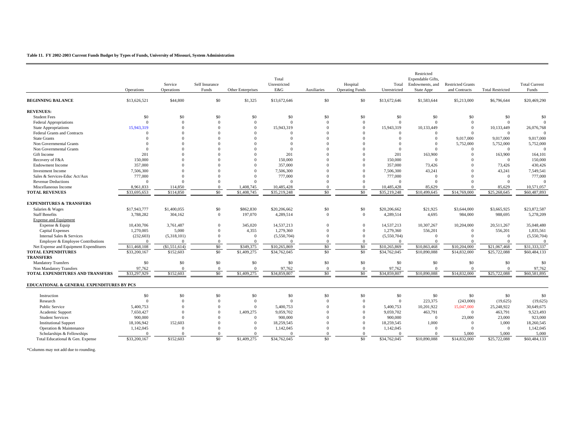#### **Table 11. FY 2002-2003 Current Funds Budget by Types of Funds, University of Missouri, System Administration**

|                                           |              |               |                |                   |                        |                |                          |                        | Restricted        |                          |                         |                         |
|-------------------------------------------|--------------|---------------|----------------|-------------------|------------------------|----------------|--------------------------|------------------------|-------------------|--------------------------|-------------------------|-------------------------|
|                                           |              |               |                |                   | Total                  |                |                          |                        | Expendable Gifts, |                          |                         |                         |
|                                           |              | Service       | Self Insurance |                   | Unrestricted           |                | Hospital                 | Total                  | Endowments, and   | <b>Restricted Grants</b> |                         | <b>Total Current</b>    |
|                                           | Operations   | Operations    | Funds          | Other Enterprises | E&G                    | Auxiliaries    | <b>Operating Funds</b>   | Unrestricted           | State Appr        | and Contracts            | <b>Total Restricted</b> | Funds                   |
| <b>BEGINNING BALANCE</b>                  | \$13,626,521 | \$44,800      | \$0            | \$1,325           | \$13,672,646           | \$0            | \$0                      | \$13,672,646           | \$1,583,644       | \$5,213,000              | \$6,796,644             | \$20,469,290            |
| <b>REVENUES:</b>                          |              |               |                |                   |                        |                |                          |                        |                   |                          |                         |                         |
| <b>Student Fees</b>                       | \$0          | \$0           | \$0            | \$0               | \$0                    | \$0            | \$0                      | \$0                    | \$0               | \$0                      | \$0                     | \$0                     |
| <b>Federal Appropriations</b>             | $\Omega$     | $\Omega$      | $\Omega$       | $\overline{0}$    | $\Omega$               | $\Omega$       | $\mathbf{0}$             | $\Omega$               | $\Omega$          | $\overline{0}$           | $\Omega$                | $\Omega$                |
| <b>State Appropriations</b>               | 15.943.319   | $\Omega$      | $\theta$       | $\Omega$          | 15.943.319             | $\Omega$       | $\Omega$                 | 15,943,319             | 10.133.449        | $\overline{0}$           | 10,133,449              | 26,076,768              |
| Federal Grants and Contracts              | $\Omega$     | $\Omega$      | $\Omega$       | $\Omega$          | $\Omega$               | $\Omega$       | $\Omega$                 | $\Omega$               | $\Omega$          | $\Omega$                 | $\Omega$                | $\Omega$                |
| <b>State Grants</b>                       |              |               | $\Omega$       | $\Omega$          | $\Omega$               | $\Omega$       | $\Omega$                 | $\Omega$               | $\mathbf{0}$      | 9,017,000                | 9,017,000               | 9,017,000               |
| Non Governmental Grants                   |              |               | $\Omega$       | $\Omega$          | $\Omega$               | $\Omega$       | $\Omega$                 | $\Omega$               | $\Omega$          | 5,752,000                | 5,752,000               | 5,752,000               |
| Non Governmental Grants                   | $\Omega$     |               | $\Omega$       | $\Omega$          | $\Omega$               | $\Omega$       | $\Omega$                 | $\Omega$               | $\Omega$          | $\overline{0}$           | $\Omega$                | $\theta$                |
| Gift Income                               | 201          |               | $\Omega$       | $\Omega$          | 201                    | $\Omega$       | $\Omega$                 | 201                    | 163,900           | $\Omega$                 | 163,900                 | 164,101                 |
| Recovery of F&A                           | 150,000      |               | $\Omega$       | $\Omega$          | 150,000                | $\Omega$       | $\Omega$                 | 150,000                | $\Omega$          | $\Omega$                 | $\Omega$                | 150,000                 |
| <b>Endowment Income</b>                   | 357,000      |               | $\Omega$       | $\Omega$          | 357,000                | $\Omega$       | $\Omega$                 | 357,000                | 73,426            | $\Omega$                 | 73,426                  | 430,426                 |
| <b>Investment Income</b>                  | 7,506,300    |               | $\Omega$       | $\Omega$          | 7,506,300              |                | $\Omega$                 | 7,506,300              | 43,241            | $\Omega$                 | 43,241                  | 7,549,541               |
| Sales & Services-Educ Act/Aux             | 777,000      | $\Omega$      | $\Omega$       | $\Omega$          | 777,000                | $\Omega$       | $\Omega$                 | 777,000                | $\overline{0}$    | $\Omega$                 | $\overline{0}$          | 777,000                 |
| <b>Revenue Deductions</b>                 | $\Omega$     | $\Omega$      | $\Omega$       | $\Omega$          | $\Omega$               | $\Omega$       | $\mathbf{0}$             | $\Omega$               | $\Omega$          |                          | $\Omega$                | $\theta$                |
| Miscellaneous Income                      | 8,961,833    | 114,850       | $\Omega$       | 1,408,745         | 10,485,428             | $\Omega$       | $\overline{0}$           | 10,485,428             | 85,629            | $\Omega$                 | 85,629                  | 10,571,057              |
| <b>TOTAL REVENUES</b>                     | \$33,695,653 | \$114,850     | \$0            | \$1,408,745       | \$35,219,248           | \$0            | \$0                      | \$35,219,248           | \$10,499,645      | \$14,769,000             | \$25,268,645            | \$60,487,893            |
|                                           |              |               |                |                   |                        |                |                          |                        |                   |                          |                         |                         |
| <b>EXPENDITURES &amp; TRANSFERS</b>       |              |               |                |                   |                        |                |                          |                        |                   |                          |                         |                         |
| Salaries & Wages                          | \$17,943,777 | \$1,400,055   | \$0            | \$862,830         | \$20,206,662           | \$0            | \$0                      | \$20,206,662           | \$21,925          | \$3,644,000              | \$3,665,925             | \$23,872,587            |
| <b>Staff Benefits</b>                     | 3,788,282    | 304,162       | $\overline{0}$ | 197,070           | 4,289,514              | $\overline{0}$ | $\mathbf{0}$             | 4,289,514              | 4,695             | 984,000                  | 988,695                 | 5,278,209               |
| <b>Expense and Equipment</b>              |              |               |                |                   |                        |                |                          |                        |                   |                          |                         |                         |
| Expense & Equip                           | 10.430.706   | 3,761,487     | $\Omega$       | 345,020           | 14,537,213             | $\Omega$       | $\overline{0}$           | 14,537,213             | 10,307,267        | 10,204,000               | 20,511,267              | 35,048,480              |
| <b>Capital Expenses</b>                   | 1,270,005    | 5.000         | $\Omega$       | 4,355             | 1,279,360              | $\Omega$       | $\Omega$                 | 1,279,360              | 556,201           | $\overline{0}$           | 556,201                 | 1,835,561               |
| Internal Sales & Services                 | (232, 603)   | (5,318,101)   | $\Omega$       | $\overline{0}$    | (5,550,704)            | $\Omega$       | $\mathbf{0}$             | (5,550,704)            | $\Omega$          | $\Omega$                 | $\Omega$                | (5,550,704)             |
| Employer & Employee Contributions         |              | $\Omega$      | $\Omega$       | $\Omega$          | $\Omega$               | $\Omega$       | $\Omega$                 | $\Omega$               | $\Omega$          | $\Omega$                 | $\Omega$                | $\Omega$                |
| Net Expense and Equipment Expenditures    | \$11,468,108 | (\$1,551,614) | \$0            | \$349,375         | \$10,265,869           | \$0            | \$0                      | \$10,265,869           | \$10,863,468      | \$10,204,000             | \$21,067,468            | \$31,333,337            |
| <b>TOTAL EXPENDITURES</b>                 | \$33,200,167 | \$152,603     | \$0            | \$1,409,275       | \$34,762,045           | \$0            | \$0                      | \$34,762,045           | \$10,890,088      | \$14,832,000             | \$25,722,088            | \$60,484,133            |
| <b>TRANSFERS</b>                          |              |               |                |                   |                        |                |                          |                        |                   |                          |                         |                         |
| <b>Mandatory Transfers</b>                | \$0          | \$0           | \$0            | \$0               | \$0                    | \$0            | \$0                      | \$0                    | \$0               | \$0                      | \$0                     | \$0                     |
| Non Mandatory Transfers                   | 97,762       | $\Omega$      | $\overline{0}$ | $\Omega$          | 97,762                 | $\overline{0}$ | $\mathbf{0}$             | 97,762                 | $\overline{0}$    | $\Omega$                 | $\Omega$                | 97,762                  |
| TOTAL EXPENDITURES AND TRANSFERS          | \$33,297,929 | \$152,603     | \$0            | \$1,409,275       | \$34,859,807           | \$0            | \$0                      | \$34,859,807           | \$10,890,088      | \$14,832,000             | \$25,722,088            | \$60,581,895            |
|                                           |              |               |                |                   |                        |                |                          |                        |                   |                          |                         |                         |
| EDUCATIONAL & GENERAL EXPENDITURES BY PCS |              |               |                |                   |                        |                |                          |                        |                   |                          |                         |                         |
| Instruction                               | \$0          | \$0           | \$0            | \$0               | \$0                    | \$0            | \$0                      | \$0                    | \$0               | \$0                      | \$0                     | \$0                     |
| Research                                  | $\Omega$     | $\Omega$      | $\Omega$       | $\overline{0}$    | $\Omega$               | $\Omega$       | $\mathbf{0}$             | $\mathbf{0}$           | 223,375           | (243,000)                | (19,625)                |                         |
|                                           |              | $\Omega$      | $\Omega$       | $\Omega$          |                        | $\Omega$       |                          |                        | 10,201,922        |                          |                         | (19,625)                |
| Public Service                            | 5,400,753    | $\Omega$      | $\Omega$       | 1,409,275         | 5,400,753<br>9,059,702 | $\Omega$       | $\mathbf{0}$<br>$\Omega$ | 5,400,753<br>9,059,702 | 463,791           | 15,047,000<br>$\Omega$   | 25,248,922<br>463,791   | 30,649,675<br>9,523,493 |
| Academic Support                          | 7,650,427    | $\Omega$      | $\Omega$       | $\Omega$          |                        | $\Omega$       | $\Omega$                 |                        | $\Omega$          |                          |                         |                         |
| <b>Student Services</b>                   | 900,000      |               |                |                   | 900,000                |                |                          | 900,000                |                   | 23,000                   | 23,000                  | 923,000                 |
| <b>Institutional Support</b>              | 18,106,942   | 152,603       | $\Omega$       | $\Omega$          | 18,259,545             | $\Omega$       | $\Omega$                 | 18,259,545             | 1,000             | $\Omega$                 | 1,000                   | 18,260,545              |
| Operation & Maintenance                   | 1,142,045    | $\Omega$      | $\Omega$       | $\Omega$          | 1,142,045              | $\Omega$       | $\Omega$                 | 1,142,045              | $\Omega$          | $\Omega$                 | $\Omega$                | 1,142,045               |
| Scholarships & Fellowships                | $\Omega$     | $\Omega$      | $\Omega$       | $\Omega$          | $\Omega$               | $\Omega$       | $\mathbf{0}$             | $\Omega$               | $\Omega$          | 5,000                    | 5.000                   | 5.000                   |
| Total Educational & Gen. Expense          | \$33,200,167 | \$152,603     | \$0            | \$1,409,275       | \$34,762,045           | \$0            | \$0                      | \$34,762,045           | \$10,890,088      | \$14,832,000             | \$25,722,088            | \$60,484,133            |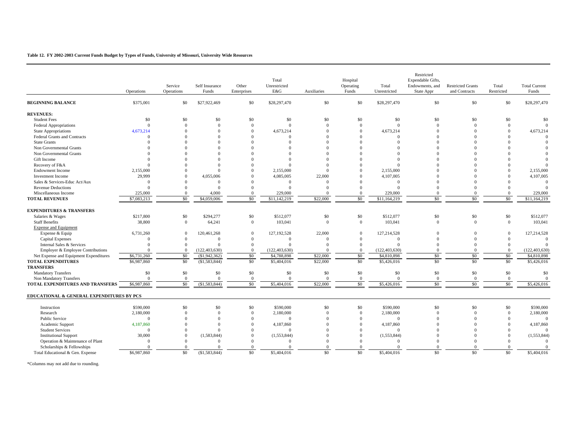#### **Table 12. FY 2002-2003 Current Funds Budget by Types of Funds, University of Missouri, University Wide Resources**

|                                               | Operations  | Service<br>Operations | Self Insurance<br>Funds | Other<br>Enterprises  | Total<br>Unrestricted<br>E&G | Auxiliaries    | Hospital<br>Operating<br>Funds | Total<br>Unrestricted | Restricted<br>Expendable Gifts,<br>Endowments, and<br>State Appr | <b>Restricted Grants</b><br>and Contracts | Total<br>Restricted | <b>Total Current</b><br>Funds |
|-----------------------------------------------|-------------|-----------------------|-------------------------|-----------------------|------------------------------|----------------|--------------------------------|-----------------------|------------------------------------------------------------------|-------------------------------------------|---------------------|-------------------------------|
| <b>BEGINNING BALANCE</b>                      | \$375,001   | \$0                   | \$27,922,469            | \$0                   | \$28,297,470                 | \$0            | \$0                            | \$28,297,470          | $\$0$                                                            | \$0                                       | \$0                 | \$28,297,470                  |
| <b>REVENUES:</b>                              |             |                       |                         |                       |                              |                |                                |                       |                                                                  |                                           |                     |                               |
| <b>Student Fees</b>                           | \$0         | \$0                   | \$0                     | \$0                   | \$0                          | \$0            | \$0                            | \$0                   | \$0                                                              | \$0                                       | \$0                 | \$0                           |
| Federal Appropriations                        | $\Omega$    | $\Omega$              | $\Omega$                | $\mathbf{0}$          | $\Omega$                     | $\Omega$       | $\overline{0}$                 | $\Omega$              | $\overline{0}$                                                   | $\Omega$                                  | $\Omega$            | $\Omega$                      |
| <b>State Appropriations</b>                   | 4,673,214   | $\Omega$              | $\Omega$                | $\Omega$              | 4,673,214                    | $\Omega$       | $\Omega$                       | 4,673,214             | $\Omega$                                                         | $\Omega$                                  | $\Omega$            | 4,673,214                     |
| <b>Federal Grants and Contracts</b>           | $\Omega$    | $\Omega$              | $\Omega$                | $\Omega$              | $\Omega$                     | $\Omega$       | $\Omega$                       | $\Omega$              | $\Omega$                                                         | $\Omega$                                  | $\Omega$            | $\Omega$                      |
| <b>State Grants</b>                           | $\Omega$    | $\Omega$              | $\Omega$                | $\Omega$              | $\Omega$                     | $\Omega$       | $\Omega$                       | $\Omega$              | $\Omega$                                                         | $\Omega$                                  | $\Omega$            |                               |
| Non Governmental Grants                       | $\Omega$    | $\Omega$              | $\Omega$                | $\Omega$              | $\Omega$                     | $\Omega$       | $\Omega$                       | $\Omega$              | $\Omega$                                                         | $\Omega$                                  | $\Omega$            |                               |
| Non Governmental Grants                       | $\Omega$    | $\Omega$              | $\Omega$                | $\Omega$              | $\Omega$                     | $\Omega$       | $\Omega$                       | $\Omega$              | $\Omega$                                                         | $\Omega$                                  | $\Omega$            |                               |
| Gift Income                                   | $\Omega$    |                       | $\Omega$                | $\Omega$              | $\Omega$                     | $\Omega$       | $\Omega$                       | $\Omega$              |                                                                  |                                           | $\Omega$            |                               |
| Recovery of F&A                               | $\Omega$    | $\Omega$              | $\Omega$                | $\Omega$              | $\Omega$                     | $\Omega$       | $\Omega$                       | $\Omega$              | $\Omega$                                                         |                                           |                     | $\Omega$                      |
| <b>Endowment Income</b>                       | 2,155,000   | $\Omega$              | $\Omega$                | $\Omega$              | 2.155,000                    | $\Omega$       | $\Omega$                       | 2,155,000             | $\Omega$                                                         | $\Omega$                                  | $\Omega$            | 2,155,000                     |
| <b>Investment Income</b>                      | 29,999      | $\Omega$              | 4,055,006               | $\Omega$              | 4,085,005                    | 22,000         | $\Omega$                       | 4,107,005             | $\Omega$                                                         | $\Omega$                                  | $\Omega$            | 4,107,005                     |
| Sales & Services-Educ Act/Aux                 | $\Omega$    | $\Omega$              | $\Omega$                | $\Omega$              | $\Omega$                     | $\Omega$       | $\Omega$                       | $\Omega$              | $\Omega$                                                         | $\Omega$                                  | $\Omega$            | $\Omega$                      |
| <b>Revenue Deductions</b>                     | $\Omega$    | $\Omega$              | $\Omega$                | $\Omega$              | $\Omega$                     | $\Omega$       | $\Omega$                       | $\Omega$              | $\Omega$                                                         | $\Omega$                                  | $\Omega$            | $\Omega$                      |
| Miscellaneous Income                          | 225,000     | $\Omega$              | 4.000                   | $\Omega$              | 229,000                      |                | $\overline{0}$                 | 229,000               | $\Omega$                                                         | $\Omega$                                  | $\Omega$            | 229,000                       |
| <b>TOTAL REVENUES</b>                         | \$7,083,213 | $\overline{50}$       | \$4,059,006             | $\overline{50}$       | \$11.142.219                 | \$22,000       | $\overline{50}$                | \$11,164,219          | $\overline{50}$                                                  | \$0                                       | $\overline{50}$     | \$11,164,219                  |
| <b>EXPENDITURES &amp; TRANSFERS</b>           |             |                       |                         |                       |                              |                |                                |                       |                                                                  |                                           |                     |                               |
| Salaries & Wages                              | \$217,800   | \$0                   | \$294,277               | \$0                   | \$512,077                    | \$0            | \$0                            | \$512,077             | \$0                                                              | \$0                                       | \$0                 | \$512,077                     |
| <b>Staff Benefits</b>                         | 38,800      | $\overline{0}$        | 64,241                  | $\mathbf{0}$          | 103,041                      | $\overline{0}$ | $\overline{0}$                 | 103,041               | $\overline{0}$                                                   | $\Omega$                                  | $\mathbf{0}$        | 103,041                       |
| <b>Expense and Equipment</b>                  |             |                       |                         |                       |                              |                |                                |                       |                                                                  |                                           |                     |                               |
| Expense & Equip                               | 6,731,260   | $\Omega$              | 120,461,268             | $\mathbf{0}$          | 127, 192, 528                | 22,000         | $\overline{0}$                 | 127,214,528           | $\Omega$                                                         | $\Omega$                                  | $\mathbf{0}$        | 127,214,528                   |
| <b>Capital Expenses</b>                       | $\Omega$    | $\overline{0}$        | $\Omega$                | $\overline{0}$        | $\Omega$                     | $\Omega$       | $\overline{0}$                 | $\Omega$              | $\Omega$                                                         | $\Omega$                                  | $\Omega$            | $\Omega$                      |
| Internal Sales & Services                     | $\Omega$    | $\Omega$              | $\Omega$                | $\mathbf{0}$          | $\Omega$                     | $\Omega$       | $\theta$                       | $\Omega$              | $\Omega$                                                         | $\theta$                                  | $\mathbf{0}$        | $\Omega$                      |
| Employer & Employee Contributions             | $\Omega$    | $\Omega$              | (122, 403, 630)         | $\mathbf{0}$          | (122, 403, 630)              |                | $\overline{0}$                 | (122, 403, 630)       | $\Omega$                                                         | $\Omega$                                  | $\Omega$            | (122, 403, 630)               |
| Net Expense and Equipment Expenditures        | \$6,731,260 | \$0                   | (\$1,942,362)           | \$0                   | \$4,788,898                  | \$22,000       | \$0                            | \$4,810,898           | \$0                                                              | \$0                                       | \$0                 | \$4,810,898                   |
| <b>TOTAL EXPENDITURES</b><br><b>TRANSFERS</b> | \$6,987,860 | \$0                   | (\$1,583,844)           | \$0                   | \$5,404,016                  | \$22,000       | \$0                            | \$5,426,016           | \$0                                                              | \$0                                       | \$0                 | \$5,426,016                   |
| <b>Mandatory Transfers</b>                    | \$0         | $\$0$                 | \$0                     |                       | \$0                          | \$0            | \$0                            | \$0                   | \$0                                                              | \$0                                       | \$0                 | \$0                           |
| Non Mandatory Transfers                       | $\Omega$    | $\overline{0}$        | $\Omega$                | \$0<br>$\overline{0}$ | $\Omega$                     | $\Omega$       | $\overline{0}$                 | $\Omega$              | $\overline{0}$                                                   | $\Omega$                                  | $\overline{0}$      | $\overline{0}$                |
| TOTAL EXPENDITURES AND TRANSFERS              | \$6,987,860 | \$0                   | (\$1,583,844)           | \$0                   | \$5,404,016                  | \$22,000       | \$0                            | \$5,426,016           | \$0                                                              | \$0                                       | \$0                 | \$5,426,016                   |
| EDUCATIONAL & GENERAL EXPENDITURES BY PCS     |             |                       |                         |                       |                              |                |                                |                       |                                                                  |                                           |                     |                               |
| Instruction                                   | \$590,000   | \$0                   | \$0                     | \$0                   | \$590,000                    | \$0            | \$0                            | \$590,000             | \$0                                                              | \$0                                       | \$0                 | \$590,000                     |
| Research                                      | 2,180,000   | $\Omega$              | $\Omega$                | $\overline{0}$        | 2,180,000                    | $\Omega$       | $\overline{0}$                 | 2,180,000             | $\Omega$                                                         | $\Omega$                                  | $\mathbf{0}$        | 2,180,000                     |
| Public Service                                | $\Omega$    | $\Omega$              | $\Omega$                | $\Omega$              | $\Omega$                     | $\Omega$       | $\Omega$                       | $\Omega$              | $\Omega$                                                         | $\theta$                                  | $\Omega$            | $\Omega$                      |
| Academic Support                              | 4,187,860   | $\Omega$              | $\overline{0}$          | $\overline{0}$        | 4,187,860                    | $\Omega$       | $\overline{0}$                 | 4,187,860             | $\Omega$                                                         | $\Omega$                                  | $\Omega$            | 4,187,860                     |
| <b>Student Services</b>                       | $\Omega$    | $\Omega$              | $\Omega$                | $\Omega$              | $\Omega$                     | $\Omega$       | $\Omega$                       | $\Omega$              | $\Omega$                                                         | $\Omega$                                  | $\Omega$            | $\Omega$                      |
| <b>Institutional Support</b>                  | 30,000      | $\Omega$              | (1,583,844)             | $\mathbf{0}$          | (1,553,844)                  | $\Omega$       | $\mathbf{0}$                   | (1, 553, 844)         | $\Omega$                                                         | $\Omega$                                  | $\Omega$            | (1, 553, 844)                 |
| Operation & Maintenance of Plant              | $\Omega$    | $\Omega$              | $\Omega$                | $\overline{0}$        | $\Omega$                     | $\Omega$       | $\Omega$                       | $\Omega$              | $\Omega$                                                         | $\Omega$                                  | $\Omega$            | $\Omega$                      |
| Scholarships & Fellowships                    | $\Omega$    | $\Omega$              | $\Omega$                | $\mathbf{0}$          |                              | $\Omega$       | $\overline{0}$                 |                       | $\Omega$                                                         | $\Omega$                                  | $\Omega$            |                               |
| Total Educational & Gen. Expense              | \$6,987,860 | \$0                   | (\$1,583,844)           | \$0                   | \$5,404,016                  | \$0            | \$0                            | \$5,404,016           | \$0                                                              | \$0                                       | \$0                 | \$5,404,016                   |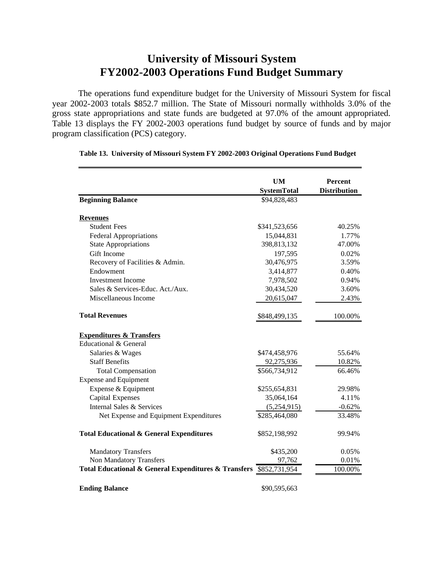# **University of Missouri System FY2002-2003 Operations Fund Budget Summary**

The operations fund expenditure budget for the University of Missouri System for fiscal year 2002-2003 totals \$852.7 million. The State of Missouri normally withholds 3.0% of the gross state appropriations and state funds are budgeted at 97.0% of the amount appropriated. Table 13 displays the FY 2002-2003 operations fund budget by source of funds and by major program classification (PCS) category.

|                                                      | <b>UM</b>          | <b>Percent</b>      |
|------------------------------------------------------|--------------------|---------------------|
|                                                      | <b>SystemTotal</b> | <b>Distribution</b> |
| <b>Beginning Balance</b>                             | \$94,828,483       |                     |
| <b>Revenues</b>                                      |                    |                     |
| <b>Student Fees</b>                                  | \$341,523,656      | 40.25%              |
| <b>Federal Appropriations</b>                        | 15,044,831         | 1.77%               |
| <b>State Appropriations</b>                          | 398,813,132        | 47.00%              |
| Gift Income                                          | 197,595            | 0.02%               |
| Recovery of Facilities & Admin.                      | 30,476,975         | 3.59%               |
| Endowment                                            | 3,414,877          | 0.40%               |
| <b>Investment Income</b>                             | 7,978,502          | 0.94%               |
| Sales & Services-Educ. Act./Aux.                     | 30,434,520         | 3.60%               |
| Miscellaneous Income                                 | 20,615,047         | 2.43%               |
| <b>Total Revenues</b>                                | \$848,499,135      | 100.00%             |
| <b>Expenditures &amp; Transfers</b>                  |                    |                     |
| Educational & General                                |                    |                     |
| Salaries & Wages                                     | \$474,458,976      | 55.64%              |
| <b>Staff Benefits</b>                                | 92,275,936         | 10.82%              |
| <b>Total Compensation</b>                            | \$566,734,912      | 66.46%              |
| <b>Expense and Equipment</b>                         |                    |                     |
| Expense & Equipment                                  | \$255,654,831      | 29.98%              |
| <b>Capital Expenses</b>                              | 35,064,164         | 4.11%               |
| Internal Sales & Services                            | (5,254,915)        | $-0.62%$            |
| Net Expense and Equipment Expenditures               | \$285,464,080      | 33.48%              |
| <b>Total Educational &amp; General Expenditures</b>  | \$852,198,992      | 99.94%              |
| <b>Mandatory Transfers</b>                           | \$435,200          | 0.05%               |
| Non Mandatory Transfers                              | 97,762             | 0.01%               |
| Total Educational & General Expenditures & Transfers | \$852,731,954      | 100.00%             |
| <b>Ending Balance</b>                                | \$90,595,663       |                     |

## **Table 13. University of Missouri System FY 2002-2003 Original Operations Fund Budget**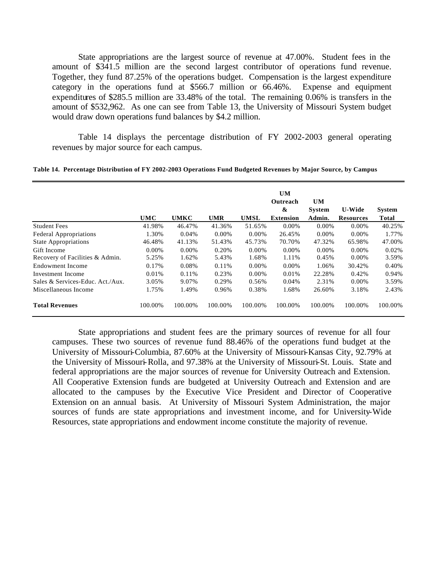State appropriations are the largest source of revenue at 47.00%. Student fees in the amount of \$341.5 million are the second largest contributor of operations fund revenue. Together, they fund 87.25% of the operations budget. Compensation is the largest expenditure category in the operations fund at \$566.7 million or 66.46%. Expense and equipment expenditures of \$285.5 million are 33.48% of the total. The remaining 0.06% is transfers in the amount of \$532,962. As one can see from Table 13, the University of Missouri System budget would draw down operations fund balances by \$4.2 million.

Table 14 displays the percentage distribution of FY 2002-2003 general operating revenues by major source for each campus.

**Table 14. Percentage Distribution of FY 2002-2003 Operations Fund Budgeted Revenues by Major Source, by Campus**

|                                  | <b>UMC</b> | <b>UMKC</b> | <b>UMR</b> | <b>UMSL</b> | UM<br>Outreach<br>&<br><b>Extension</b> | <b>UM</b><br><b>System</b><br>Admin. | <b>U-Wide</b><br><b>Resources</b> | <b>System</b><br><b>Total</b> |
|----------------------------------|------------|-------------|------------|-------------|-----------------------------------------|--------------------------------------|-----------------------------------|-------------------------------|
| <b>Student Fees</b>              | 41.98%     | 46.47%      | 41.36%     | 51.65%      | $0.00\%$                                | 0.00%                                | $0.00\%$                          | 40.25%                        |
| <b>Federal Appropriations</b>    | 1.30%      | 0.04%       | $0.00\%$   | 0.00%       | 26.45%                                  | $0.00\%$                             | $0.00\%$                          | 1.77%                         |
| <b>State Appropriations</b>      | 46.48%     | 41.13%      | 51.43%     | 45.73%      | 70.70%                                  | 47.32%                               | 65.98%                            | 47.00%                        |
| Gift Income                      | $0.00\%$   | $0.00\%$    | 0.20%      | 0.00%       | $0.00\%$                                | $0.00\%$                             | $0.00\%$                          | 0.02%                         |
| Recovery of Facilities & Admin.  | 5.25%      | 1.62%       | 5.43%      | 1.68%       | 1.11%                                   | 0.45%                                | 0.00%                             | 3.59%                         |
| Endowment Income                 | 0.17%      | 0.08%       | 0.11%      | $0.00\%$    | $0.00\%$                                | 1.06%                                | 30.42%                            | 0.40%                         |
| Investment Income                | 0.01%      | 0.11%       | 0.23%      | 0.00%       | 0.01%                                   | 22.28%                               | 0.42%                             | 0.94%                         |
| Sales & Services-Educ. Act./Aux. | 3.05%      | 9.07%       | 0.29%      | 0.56%       | 0.04%                                   | 2.31%                                | $0.00\%$                          | 3.59%                         |
| Miscellaneous Income             | 1.75%      | 1.49%       | 0.96%      | 0.38%       | 1.68%                                   | 26.60%                               | 3.18%                             | 2.43%                         |
| <b>Total Revenues</b>            | 100.00%    | 100.00%     | 100.00%    | 100.00%     | 100.00%                                 | 100.00%                              | 100.00%                           | 100.00%                       |

State appropriations and student fees are the primary sources of revenue for all four campuses. These two sources of revenue fund 88.46% of the operations fund budget at the University of Missouri-Columbia, 87.60% at the University of Missouri-Kansas City, 92.79% at the University of Missouri-Rolla, and 97.38% at the University of Missouri-St. Louis. State and federal appropriations are the major sources of revenue for University Outreach and Extension. All Cooperative Extension funds are budgeted at University Outreach and Extension and are allocated to the campuses by the Executive Vice President and Director of Cooperative Extension on an annual basis. At University of Missouri System Administration, the major sources of funds are state appropriations and investment income, and for University-Wide Resources, state appropriations and endowment income constitute the majority of revenue.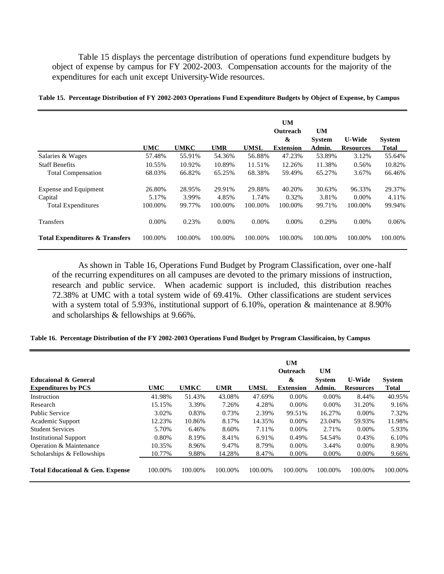Table 15 displays the percentage distribution of operations fund expenditure budgets by object of expense by campus for FY 2002-2003. Compensation accounts for the majority of the expenditures for each unit except University-Wide resources.

|                                           | <b>UMC</b> | <b>UMKC</b> | <b>UMR</b> | <b>UMSL</b> | <b>UM</b><br>Outreach<br>$\boldsymbol{\mathcal{X}}$<br><b>Extension</b> | <b>UM</b><br><b>System</b><br>Admin. | <b>U-Wide</b><br><b>Resources</b> | <b>System</b><br><b>Total</b> |
|-------------------------------------------|------------|-------------|------------|-------------|-------------------------------------------------------------------------|--------------------------------------|-----------------------------------|-------------------------------|
| Salaries & Wages                          | 57.48%     | 55.91%      | 54.36%     | 56.88%      | 47.23%                                                                  | 53.89%                               | 3.12%                             | 55.64%                        |
| <b>Staff Benefits</b>                     | 10.55%     | 10.92%      | 10.89%     | 11.51%      | 12.26%                                                                  | 11.38%                               | 0.56%                             | 10.82%                        |
| <b>Total Compensation</b>                 | 68.03%     | 66.82%      | 65.25%     | 68.38%      | 59.49%                                                                  | 65.27%                               | 3.67%                             | 66.46%                        |
| <b>Expense and Equipment</b>              | 26.80%     | 28.95%      | 29.91%     | 29.88%      | 40.20%                                                                  | 30.63%                               | 96.33%                            | 29.37%                        |
| Capital                                   | 5.17%      | 3.99%       | 4.85%      | 1.74%       | 0.32%                                                                   | 3.81%                                | $0.00\%$                          | 4.11%                         |
| <b>Total Expenditures</b>                 | 100.00%    | 99.77%      | 100.00%    | 100.00%     | 100.00%                                                                 | 99.71%                               | 100.00%                           | 99.94%                        |
| Transfers                                 | 0.00%      | 0.23%       | $0.00\%$   | 0.00%       | $0.00\%$                                                                | 0.29%                                | $0.00\%$                          | 0.06%                         |
| <b>Total Expenditures &amp; Transfers</b> | 100.00%    | 100.00%     | 100.00%    | 100.00%     | 100.00%                                                                 | 100.00%                              | 100.00%                           | 100.00%                       |

**Table 15. Percentage Distribution of FY 2002-2003 Operations Fund Expenditure Budgets by Object of Expense, by Campus**

As shown in Table 16, Operations Fund Budget by Program Classification, over one-half of the recurring expenditures on all campuses are devoted to the primary missions of instruction, research and public service. When academic support is included, this distribution reaches 72.38% at UMC with a total system wide of 69.41%. Other classifications are student services with a system total of 5.93%, institutional support of 6.10%, operation & maintenance at 8.90% and scholarships & fellowships at 9.66%.

**Table 16. Percentage Distribution of the FY 2002-2003 Operations Fund Budget by Program Classificaion, by Campus**

|                                             |            |             |            |             | <b>UM</b>        |               |                  |               |
|---------------------------------------------|------------|-------------|------------|-------------|------------------|---------------|------------------|---------------|
|                                             |            |             |            |             | <b>Outreach</b>  | UM            |                  |               |
| Educaional & General                        |            |             |            |             | &                | <b>System</b> | <b>U-Wide</b>    | <b>System</b> |
| <b>Expenditures by PCS</b>                  | <b>UMC</b> | <b>UMKC</b> | <b>UMR</b> | <b>UMSL</b> | <b>Extension</b> | Admin.        | <b>Resources</b> | <b>Total</b>  |
| Instruction                                 | 41.98%     | 51.43%      | 43.08%     | 47.69%      | $0.00\%$         | $0.00\%$      | 8.44%            | 40.95%        |
| Research                                    | 15.15%     | 3.39%       | 7.26%      | 4.28%       | $0.00\%$         | $0.00\%$      | 31.20%           | 9.16%         |
| <b>Public Service</b>                       | 3.02%      | 0.83%       | 0.73%      | 2.39%       | 99.51%           | 16.27%        | $0.00\%$         | 7.32%         |
| Academic Support                            | 12.23%     | 10.86%      | 8.17%      | 14.35%      | 0.00%            | 23.04%        | 59.93%           | 11.98%        |
| <b>Student Services</b>                     | 5.70%      | 6.46%       | 8.60%      | 7.11%       | 0.00%            | 2.71%         | $0.00\%$         | 5.93%         |
| <b>Institutional Support</b>                | 0.80%      | 8.19%       | 8.41%      | 6.91%       | 0.49%            | 54.54%        | 0.43%            | 6.10%         |
| Operation & Maintenance                     | 10.35%     | 8.96%       | 9.47%      | 8.79%       | 0.00%            | 3.44%         | $0.00\%$         | 8.90%         |
| Scholarships & Fellowships                  | 10.77%     | 9.88%       | 14.28%     | 8.47%       | 0.00%            | $0.00\%$      | $0.00\%$         | 9.66%         |
| <b>Total Educational &amp; Gen. Expense</b> | 100.00%    | 100.00%     | 100.00%    | 100.00%     | 100.00%          | 100.00%       | 100.00%          | 100.00%       |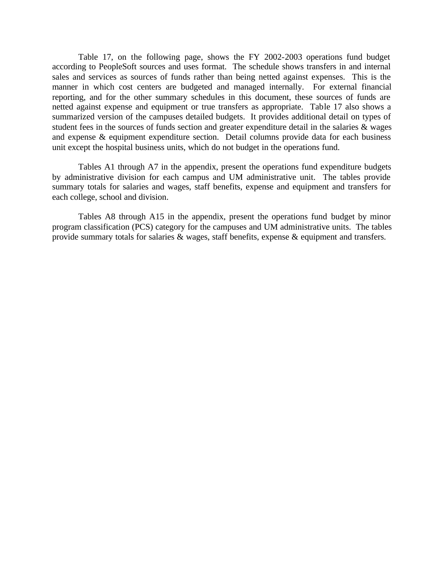Table 17, on the following page, shows the FY 2002-2003 operations fund budget according to PeopleSoft sources and uses format. The schedule shows transfers in and internal sales and services as sources of funds rather than being netted against expenses. This is the manner in which cost centers are budgeted and managed internally. For external financial reporting, and for the other summary schedules in this document, these sources of funds are netted against expense and equipment or true transfers as appropriate. Table 17 also shows a summarized version of the campuses detailed budgets. It provides additional detail on types of student fees in the sources of funds section and greater expenditure detail in the salaries & wages and expense & equipment expenditure section. Detail columns provide data for each business unit except the hospital business units, which do not budget in the operations fund.

Tables A1 through A7 in the appendix, present the operations fund expenditure budgets by administrative division for each campus and UM administrative unit. The tables provide summary totals for salaries and wages, staff benefits, expense and equipment and transfers for each college, school and division.

Tables A8 through A15 in the appendix, present the operations fund budget by minor program classification (PCS) category for the campuses and UM administrative units. The tables provide summary totals for salaries & wages, staff benefits, expense & equipment and transfers.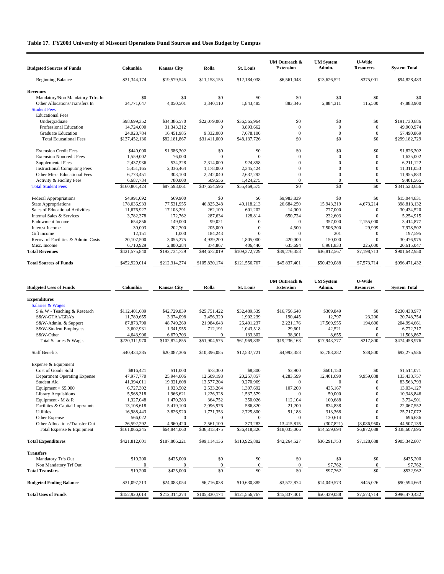# **Table 17. FY2003 University of Missouri Operations Fund Sources and Uses Budget by Campus**

| <b>Budgeted Sources of Funds</b>                                                          | Columbia                    | <b>Kansas City</b>         | Rolla                     | <b>St. Louis</b>          | <b>UM Outreach &amp;</b><br><b>Extension</b> | <b>UM</b> System<br>Admin.   | <b>U-Wide</b><br><b>Resources</b>  | <b>System Total</b>         |
|-------------------------------------------------------------------------------------------|-----------------------------|----------------------------|---------------------------|---------------------------|----------------------------------------------|------------------------------|------------------------------------|-----------------------------|
| <b>Beginning Balance</b>                                                                  | \$31,344,174                | \$19,579,545               | \$11,158,155              | \$12,184,038              | \$6,561,048                                  | \$13,626,521                 | \$375,001                          | \$94,828,483                |
| <b>Revenues</b>                                                                           |                             |                            |                           |                           |                                              |                              |                                    |                             |
| Mandatory/Non Mandatory Trfrs In<br>Other Allocations/Transfers In<br><b>Student Fees</b> | \$0<br>34,771,647           | \$0<br>4,050,501           | \$0<br>3,340,110          | \$0<br>1,843,485          | \$0<br>883,346                               | \$0<br>2,884,311             | \$0<br>115,500                     | \$0<br>47,888,900           |
| <b>Educational Fees</b>                                                                   |                             |                            |                           |                           |                                              |                              |                                    |                             |
| Undergraduate                                                                             | \$98,699,352                | \$34,386,570               | \$22,079,000              | \$36,565,964              | \$0                                          | \$0                          | \$0                                | \$191,730,886               |
| Professional Education                                                                    | 14,724,000                  | 31, 343, 312               | $\mathbf{0}$              | 3,893,662                 | $\mathbf{0}$                                 | $\boldsymbol{0}$             | $\mathbf{0}$                       | 49,960,974                  |
| <b>Graduate Education</b><br><b>Total Educational Fees</b>                                | 24,028,784<br>\$137,452,136 | 16,451,985<br>\$82,181,867 | 9,332,000<br>\$31,411,000 | 7,678,100<br>\$48,137,726 | $\mathbf{0}$<br>\$0                          | $\boldsymbol{0}$<br>\$0      | $\boldsymbol{0}$<br>\$0            | 57,490,869<br>\$299,182,729 |
|                                                                                           |                             |                            |                           |                           |                                              |                              |                                    |                             |
| <b>Extension Credit Fees</b>                                                              | \$440,000                   | \$1,386,302                | \$0                       | \$0                       | \$0                                          | \$0                          | \$0                                | \$1,826,302                 |
| <b>Extension Noncredit Fees</b>                                                           | 1,559,002                   | 76,000                     | $\mathbf{0}$              | $\Omega$                  | $\mathbf{0}$                                 | $\mathbf{0}$                 | $\mathbf{0}$                       | 1,635,002                   |
| Supplemental Fees                                                                         | 2,437,936                   | 534,328                    | 2,314,000                 | 924,858                   | $\boldsymbol{0}$                             | $\mathbf{0}$                 | $\mathbf{0}$                       | 6,211,122                   |
| <b>Instructional Computing Fees</b>                                                       | 5,451,165                   | 2,336,464                  | 1,178,000                 | 2,345,424                 | $\boldsymbol{0}$                             | $\boldsymbol{0}$             | $\overline{0}$                     | 11,311,053                  |
| Other Misc. Educational Fees                                                              | 6,773,451<br>6,687,734      | 303,100<br>780,000         | 2,242,040                 | 2,637,292                 | $\boldsymbol{0}$<br>$\boldsymbol{0}$         | $\mathbf{0}$<br>$\mathbf{0}$ | $\overline{0}$<br>$\boldsymbol{0}$ | 11,955,883                  |
| Activity & Facility Fees<br><b>Total Student Fees</b>                                     | \$160,801,424               | \$87,598,061               | 509,556<br>\$37,654,596   | 1,424,275<br>\$55,469,575 | \$0                                          | \$0                          | \$0                                | 9,401,565<br>\$341,523,656  |
| Federal Appropriations                                                                    | \$4,991,092                 | \$69,900                   | \$0                       | \$0                       | \$9,983,839                                  | \$0                          | \$0                                | \$15,044,831                |
| <b>State Appropriations</b>                                                               | 178,036,933                 | 77,531,955                 | 46,825,248                | 49,118,213                | 26,684,250                                   | 15,943,319                   | 4,673,214                          | 398,813,132                 |
| Sales of Educational Activities                                                           | 11,676,927                  | 17,103,291                 | 262,100                   | 601,202                   | 14,000                                       | 777,000                      | $\mathbf{0}$                       | 30,434,520                  |
| Internal Sales & Services                                                                 | 3,782,378                   | 172,762                    | 287,634                   | 128,814                   | 650,724                                      | 232,603                      | $\overline{0}$                     | 5,254,915                   |
| Endowment Income                                                                          | 654,856                     | 149,000                    | 99,021                    | $\mathbf{0}$              | $\mathbf{0}$                                 | 357,000                      | 2,155,000                          | 3,414,877                   |
| Interest Income                                                                           | 30,003                      | 202,700                    | 205,000                   | $\mathbf{0}$              | 4,500                                        | 7,506,300                    | 29,999                             | 7,978,502                   |
| Gift income                                                                               | 12,151                      | 1,000                      | 184,243                   | $\Omega$                  | $\mathbf{0}$                                 | 201                          | $\mathbf{0}$                       | 197,595                     |
| Recov. of Facilities & Admin. Costs<br>Misc. Income                                       | 20,107,500<br>6,710,929     | 3,055,275<br>2,800,284     | 4,939,200<br>874,867      | 1,805,000<br>406,440      | 420,000<br>635,694                           | 150,000<br>8,961,833         | $\mathbf{0}$<br>225,000            | 30,476,975<br>20,615,047    |
| <b>Total Revenues</b>                                                                     | \$421,575,840               | \$192,734,729              | \$94,672,019              | \$109,372,729             | \$39,276,353                                 | \$36,812,567                 | \$7,198,713                        | \$901,642,950               |
| <b>Total Sources of Funds</b>                                                             | \$452,920,014               | \$212,314,274              | \$105,830,174             | \$121,556,767             | \$45,837,401                                 | \$50,439,088                 | \$7,573,714                        | \$996,471,432               |
|                                                                                           |                             |                            |                           |                           | UM Outreach &                                | <b>UM System</b>             | <b>U-Wide</b>                      |                             |
| <b>Budgeted Uses of Funds</b>                                                             | Columbia                    | <b>Kansas City</b>         | Rolla                     | <b>St. Louis</b>          | <b>Extension</b>                             | Admin.                       | <b>Resources</b>                   | <b>System Total</b>         |
| <b>Expenditures</b>                                                                       |                             |                            |                           |                           |                                              |                              |                                    |                             |
| Salaries & Wages                                                                          |                             |                            |                           |                           |                                              |                              |                                    |                             |
| S & W - Teaching & Research                                                               | \$112,401,689               | \$42,729,839               | \$25,751,422              | \$32,489,539              | \$16,756,640                                 | \$309,849                    | \$0                                | \$230,438,977               |
| S&W-GTA's/GRA's                                                                           | 11,789,655                  | 3,374,098                  | 3,456,320                 | 1,902,239                 | 190,445                                      | 12,797                       | 23,200                             | 20,748,754                  |
| S&W-Admin. & Support<br>S&W-Student Employees                                             | 87,873,790<br>3,602,931     | 48,749,260<br>1,341,955    | 21,984,643<br>712,191     | 26,401,237<br>1,043,518   | 2,221,176<br>29,601                          | 17,569,955<br>42,521         | 194,600<br>$\mathbf{0}$            | 204,994,661<br>6,772,717    |
| S&W-Other                                                                                 | 4,643,906                   | 6,679,703                  | $\mathbf{0}$              | 133,302                   | 38,301                                       | 8,655                        | $\boldsymbol{0}$                   | 11,503,867                  |
| Total Salaries & Wages                                                                    | \$220,311,970               | \$102,874,855              | \$51,904,575              | \$61,969,835              | \$19,236,163                                 | \$17,943,777                 | \$217,800                          | \$474,458,976               |
| <b>Staff Benefits</b>                                                                     | \$40,434,385                | \$20,087,306               | \$10,396,085              | \$12,537,721              | \$4,993,358                                  | \$3,788,282                  | \$38,800                           | \$92,275,936                |
|                                                                                           |                             |                            |                           |                           |                                              |                              |                                    |                             |
| Expense & Equipment                                                                       |                             |                            |                           |                           |                                              |                              |                                    |                             |
| Cost of Goods Sold<br>Department Operating Expense                                        | \$816,421<br>47,977,770     | \$11,000<br>25,944,606     | \$73,300<br>12,609,198    | \$8,300<br>20,257,857     | \$3,900<br>4,283,599                         | \$601,150<br>12,401,690      | \$0<br>9,959,038                   | \$1,514,071<br>133,433,757  |
| Student Aid                                                                               | 41,394,011                  | 19,321,608                 | 13,577,204                | 9,270,969                 | $\boldsymbol{0}$                             | $\overline{0}$               | $\boldsymbol{0}$                   | 83,563,793                  |
| Equipment $> $5,000$                                                                      | 6,727,302                   | 1,923,502                  | 2,533,264                 | 1,307,692                 | 107,200                                      | 435,167                      | $\boldsymbol{0}$                   | 13,034,127                  |
| <b>Library Acquisitions</b>                                                               | 5,568,318                   | 1,966,621                  | 1,226,328                 | 1,537,579                 | $\mathbf{0}$                                 | 50,000                       | $\mathbf{0}$                       | 10,348,846                  |
| Equipment - M & R                                                                         | 1,327,048                   | 1,470,283                  | 364,752                   | 350,026                   | 112,104                                      | 100,688                      | $\mathbf{0}$                       | 3,724,901                   |
| Facilities & Capital Imprvmnts.                                                           | 13,108,618                  | 5,419,100                  | 2,096,976                 | 586,820                   | 21,200                                       | 834,838                      | $\mathbf{0}$                       | 22,067,552                  |
| <b>Utilities</b>                                                                          | 16,988,443                  | 3,826,920                  | 1,771,353                 | 2,725,800                 | 91,188                                       | 313,368                      | $\mathbf{0}$                       | 25,717,072                  |
| Other Expense                                                                             | 566,022                     | $\boldsymbol{0}$           | $\bf{0}$                  | 0                         | 0                                            | 130,614                      | $\boldsymbol{0}$                   | 696,636                     |
| Other Allocations/Transfer Out<br>Total Expense & Equipment                               | 26,592,292                  | 4,960,420<br>\$64,844,060  | 2,561,100                 | 373,283                   | 13,415,815<br>\$18,035,006                   | (307, 821)<br>\$14,559,694   | (3,086,950)                        | 44,507,139                  |
|                                                                                           | \$161,066,245               |                            | \$36,813,475              | \$36,418,326              |                                              |                              | \$6,872,088                        | \$338,607,895               |
| <b>Total Expenditures</b>                                                                 | \$421,812,601               | \$187,806,221              | \$99,114,136              | \$110,925,882             | \$42,264,527                                 | \$36,291,753                 | \$7,128,688                        | \$905,342,807               |
| <b>Transfers</b>                                                                          |                             |                            |                           |                           |                                              |                              |                                    |                             |
| Mandatory Trfs Out                                                                        | \$10,200                    | \$425,000                  | \$0                       | \$0                       | \$0                                          | \$0                          | \$0                                | \$435,200                   |
| Non Mandatory Trf Out                                                                     |                             |                            | $\boldsymbol{0}$          | $\boldsymbol{0}$          | $\boldsymbol{0}$                             | 97,762                       | $\boldsymbol{0}$                   | 97,762                      |
| <b>Total Transfers</b>                                                                    | \$10,200                    | \$425,000                  | \$0                       | $\overline{50}$           | \$0                                          | \$97,762                     | \$0                                | \$532,962                   |
| <b>Budgeted Ending Balance</b>                                                            | \$31,097,213                | \$24,083,054               | \$6,716,038               | \$10,630,885              | \$3,572,874                                  | \$14,049,573                 | \$445,026                          | \$90,594,663                |
| <b>Total Uses of Funds</b>                                                                | \$452,920,014               | \$212,314,274              | \$105,830,174             | \$121,556,767             | \$45,837,401                                 | \$50,439,088                 | \$7,573,714                        | \$996,470,432               |
|                                                                                           |                             |                            |                           |                           |                                              |                              |                                    |                             |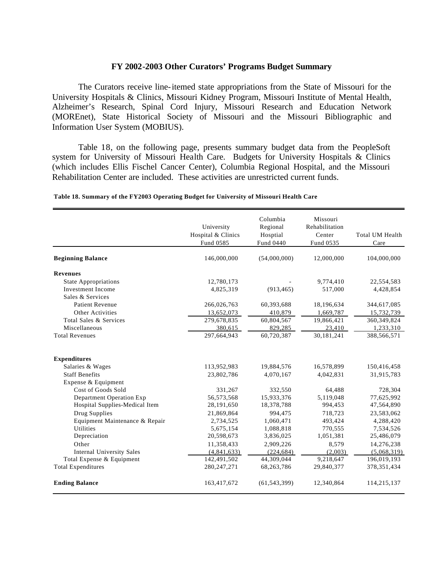### **FY 2002-2003 Other Curators' Programs Budget Summary**

The Curators receive line-itemed state appropriations from the State of Missouri for the University Hospitals & Clinics, Missouri Kidney Program, Missouri Institute of Mental Health, Alzheimer's Research, Spinal Cord Injury, Missouri Research and Education Network (MOREnet), State Historical Society of Missouri and the Missouri Bibliographic and Information User System (MOBIUS).

Table 18, on the following page, presents summary budget data from the PeopleSoft system for University of Missouri Health Care. Budgets for University Hospitals & Clinics (which includes Ellis Fischel Cancer Center), Columbia Regional Hospital, and the Missouri Rehabilitation Center are included. These activities are unrestricted current funds.

|                                  | University<br>Hospital & Clinics<br>Fund 0585 | Columbia<br>Regional<br>Hosptial<br>Fund 0440 | Missouri<br>Rehabilitation<br>Center<br>Fund 0535 | Total UM Health<br>Care |
|----------------------------------|-----------------------------------------------|-----------------------------------------------|---------------------------------------------------|-------------------------|
| <b>Beginning Balance</b>         | 146,000,000                                   | (54,000,000)                                  | 12,000,000                                        | 104,000,000             |
| <b>Revenues</b>                  |                                               |                                               |                                                   |                         |
| <b>State Appropriations</b>      | 12,780,173                                    |                                               | 9,774,410                                         | 22,554,583              |
| <b>Investment Income</b>         | 4,825,319                                     | (913, 465)                                    | 517,000                                           | 4,428,854               |
| Sales & Services                 |                                               |                                               |                                                   |                         |
| <b>Patient Revenue</b>           | 266,026,763                                   | 60,393,688                                    | 18,196,634                                        | 344,617,085             |
| Other Activities                 | 13,652,073                                    | 410,879                                       | 1,669,787                                         | 15,732,739              |
| Total Sales & Services           | 279,678,835                                   | 60,804,567                                    | 19,866,421                                        | 360,349,824             |
| Miscellaneous                    | 380,615                                       | 829,285                                       | 23,410                                            | 1,233,310               |
| <b>Total Revenues</b>            | 297,664,943                                   | 60,720,387                                    | 30,181,241                                        | 388,566,571             |
| <b>Expenditures</b>              |                                               |                                               |                                                   |                         |
| Salaries & Wages                 | 113,952,983                                   | 19,884,576                                    | 16,578,899                                        | 150,416,458             |
| <b>Staff Benefits</b>            | 23,802,786                                    | 4,070,167                                     | 4,042,831                                         | 31,915,783              |
| Expense & Equipment              |                                               |                                               |                                                   |                         |
| Cost of Goods Sold               | 331,267                                       | 332,550                                       | 64,488                                            | 728,304                 |
| Department Operation Exp         | 56,573,568                                    | 15,933,376                                    | 5,119,048                                         | 77,625,992              |
| Hospital Supplies-Medical Item   | 28,191,650                                    | 18,378,788                                    | 994,453                                           | 47,564,890              |
| Drug Supplies                    | 21,869,864                                    | 994,475                                       | 718.723                                           | 23,583,062              |
| Equipment Maintenance & Repair   | 2,734,525                                     | 1,060,471                                     | 493,424                                           | 4,288,420               |
| <b>Utilities</b>                 | 5,675,154                                     | 1,088,818                                     | 770,555                                           | 7,534,526               |
| Depreciation                     | 20,598,673                                    | 3,836,025                                     | 1,051,381                                         | 25,486,079              |
| Other                            | 11,358,433                                    | 2,909,226                                     | 8,579                                             | 14,276,238              |
| <b>Internal University Sales</b> | (4,841,633)                                   | (224, 684)                                    | (2,003)                                           | (5,068,319)             |
| Total Expense & Equipment        | 142,491,502                                   | 44,309,044                                    | 9,218,647                                         | 196,019,193             |
| <b>Total Expenditures</b>        | 280, 247, 271                                 | 68,263,786                                    | 29,840,377                                        | 378, 351, 434           |
| <b>Ending Balance</b>            | 163,417,672                                   | (61, 543, 399)                                | 12,340,864                                        | 114,215,137             |

**Table 18. Summary of the FY2003 Operating Budget for University of Missouri Health Care**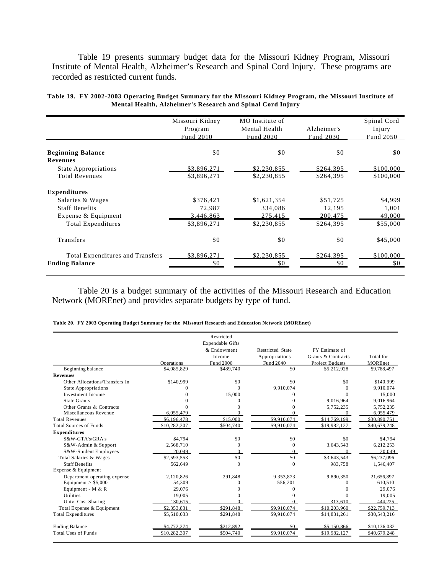Table 19 presents summary budget data for the Missouri Kidney Program, Missouri Institute of Mental Health, Alzheimer's Research and Spinal Cord Injury. These programs are recorded as restricted current funds.

|                                             | Missouri Kidney | MO Institute of |             | Spinal Cord |
|---------------------------------------------|-----------------|-----------------|-------------|-------------|
|                                             | Program         | Mental Health   | Alzheimer's | Injury      |
|                                             | Fund 2010       | Fund 2020       | Fund 2030   | Fund 2050   |
|                                             |                 |                 |             |             |
| <b>Beginning Balance</b><br><b>Revenues</b> | \$0             | \$0             | \$0         | \$0         |
| <b>State Appropriations</b>                 | \$3,896,271     | \$2,230,855     | \$264,395   | \$100,000   |
| <b>Total Revenues</b>                       | \$3,896,271     | \$2,230,855     | \$264,395   | \$100,000   |
| <b>Expenditures</b>                         |                 |                 |             |             |
| Salaries & Wages                            | \$376,421       | \$1,621,354     | \$51,725    | \$4,999     |
| <b>Staff Benefits</b>                       | 72,987          | 334,086         | 12,195      | 1,001       |
| Expense & Equipment                         | 3,446,863       | 275,415         | 200,475     | 49,000      |
| <b>Total Expenditures</b>                   | \$3,896,271     | \$2,230,855     | \$264,395   | \$55,000    |
| Transfers                                   | \$0             | \$0             | \$0         | \$45,000    |
| Total Expenditures and Transfers            | \$3,896,271     | \$2,230,855     | \$264,395   | \$100,000   |
| <b>Ending Balance</b>                       | \$0             | \$0             | \$0         | \$0         |
|                                             |                 |                 |             |             |

| Table 19.  FY 2002-2003 Operating Budget Summary for the Missouri Kidney Program, the Missouri Institute of |                                                            |  |  |
|-------------------------------------------------------------------------------------------------------------|------------------------------------------------------------|--|--|
|                                                                                                             | Mental Health, Alzheimer's Research and Spinal Cord Injury |  |  |

Table 20 is a budget summary of the activities of the Missouri Research and Education Network (MOREnet) and provides separate budgets by type of fund.

|  |  |  | Table 20. FY 2003 Operating Budget Summary for the Missouri Research and Education Network (MOREnet) |
|--|--|--|------------------------------------------------------------------------------------------------------|
|--|--|--|------------------------------------------------------------------------------------------------------|

|                                |              | Restricted              |                         |                        |                |
|--------------------------------|--------------|-------------------------|-------------------------|------------------------|----------------|
|                                |              | <b>Expendable Gifts</b> |                         |                        |                |
|                                |              | & Endowment             | <b>Restricted State</b> | FY Estimate of         |                |
|                                |              | Income                  | Appropriations          | Grants & Contracts     | Total for      |
|                                | Operations   | Fund 2000               | Fund 2040               | <b>Project Budgets</b> | <b>MOREnet</b> |
| Beginning balance              | \$4,085,829  | \$489,740               | \$0                     | \$5,212,928            | \$9,788,497    |
| <b>Revenues</b>                |              |                         |                         |                        |                |
| Other Allocations/Transfers In | \$140,999    | \$0                     | \$0                     | \$0                    | \$140,999      |
| <b>State Appropriations</b>    | 0            | $\Omega$                | 9,910,074               | $\Omega$               | 9,910,074      |
| <b>Investment Income</b>       | O            | 15,000                  | 0                       | $\Omega$               | 15,000         |
| <b>State Grants</b>            |              | 0                       | $\Omega$                | 9,016,964              | 9,016,964      |
| Other Grants & Contracts       |              |                         | $\theta$                | 5,752,235              | 5,752,235      |
| Miscellaneous Revenue          | 6.055.479    | $\Omega$                | $\Omega$                | $\Omega$               | 6,055,479      |
| <b>Total Revenues</b>          | \$6,196,478  | \$15.000                | \$9.910.074             | \$14.769.199           | \$30,890,751   |
| <b>Total Sources of Funds</b>  | \$10,282,307 | \$504,740               | \$9,910,074             | \$19,982,127           | \$40,679,248   |
| <b>Expenditures</b>            |              |                         |                         |                        |                |
| S&W-GTA's/GRA's                | \$4,794      | \$0                     | \$0                     | \$0                    | \$4,794        |
| S&W-Admin & Support            | 2,568,710    | $\Omega$                | $\Omega$                | 3,643,543              | 6,212,253      |
| S&W-Student Employees          | 20.049       | $\Omega$                | $\Omega$                | $\Omega$               | 20.049         |
| Total Salaries & Wages         | \$2,593,553  | \$0                     | \$0                     | \$3,643,543            | \$6,237,096    |
| <b>Staff Benefits</b>          | 562,649      | $\mathbf{0}$            | $\mathbf{0}$            | 983,758                | 1,546,407      |
| Expense & Equipment            |              |                         |                         |                        |                |
| Department operating expense   | 2.120.826    | 291.848                 | 9,353,873               | 9,890,350              | 21,656,897     |
| Equipment $> $5,000$           | 54.309       | 0                       | 556,201                 | $\Omega$               | 610,510        |
| Equipment - $M & R$            | 29,076       |                         | 0                       | 0                      | 29,076         |
| <b>Utilities</b>               | 19,005       |                         | 0                       | $\Omega$               | 19,005         |
| Univ. Cost Sharing             | 130.615      |                         | $\Omega$                | 313.610                | 444.225        |
| Total Expense & Equipment      | \$2.353.831  | \$291.848               | \$9.910.074             | \$10.203.960           | \$22,759,713   |
| <b>Total Expenditures</b>      | \$5,510,033  | \$291,848               | \$9,910,074             | \$14,831,261           | \$30,543,216   |
| <b>Ending Balance</b>          | \$4,772,274  | \$212,892               | \$0                     | \$5,150,866            | \$10,136,032   |
| <b>Total Uses of Funds</b>     | \$10,282,307 | \$504.740               | \$9,910,074             | \$19.982.127           | \$40,679,248   |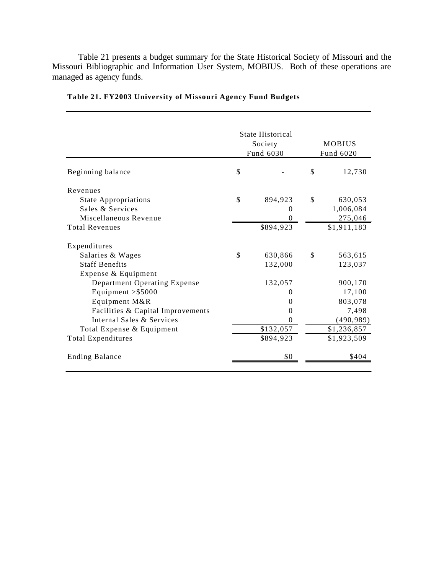Table 21 presents a budget summary for the State Historical Society of Missouri and the Missouri Bibliographic and Information User System, MOBIUS. Both of these operations are managed as agency funds.

|                                   | <b>State Historical</b><br>Society<br>Fund 6030 |    | <b>MOBIUS</b><br>Fund 6020 |
|-----------------------------------|-------------------------------------------------|----|----------------------------|
| Beginning balance                 | \$                                              | \$ | 12,730                     |
| Revenues                          |                                                 |    |                            |
| <b>State Appropriations</b>       | \$<br>894,923                                   | \$ | 630,053                    |
| Sales & Services                  | 0                                               |    | 1,006,084                  |
| Miscellaneous Revenue             | 0                                               |    | 275,046                    |
| <b>Total Revenues</b>             | \$894,923                                       |    | \$1,911,183                |
| Expenditures                      |                                                 |    |                            |
| Salaries & Wages                  | \$<br>630,866                                   | \$ | 563,615                    |
| <b>Staff Benefits</b>             | 132,000                                         |    | 123,037                    |
| Expense & Equipment               |                                                 |    |                            |
| Department Operating Expense      | 132,057                                         |    | 900,170                    |
| Equipment $>$ \$5000              | $\theta$                                        |    | 17,100                     |
| Equipment M&R                     | $\theta$                                        |    | 803,078                    |
| Facilities & Capital Improvements | $\theta$                                        |    | 7,498                      |
| Internal Sales & Services         | $\theta$                                        |    | (490, 989)                 |
| Total Expense & Equipment         | \$132,057                                       |    | \$1,236,857                |
| <b>Total Expenditures</b>         | \$894,923                                       |    | \$1,923,509                |
| <b>Ending Balance</b>             | \$0                                             |    | \$404                      |

**Table 21. FY2003 University of Missouri Agency Fund Budgets**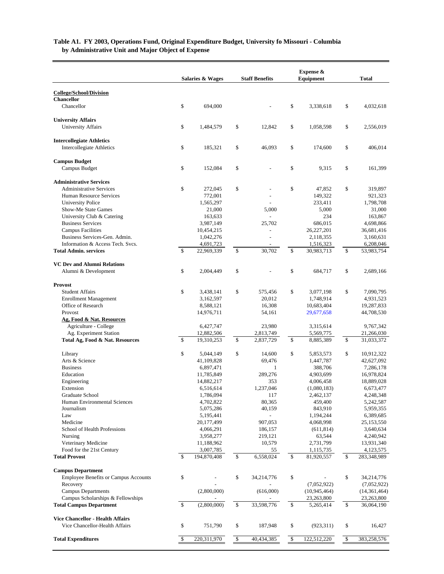## **by Administrative Unit and Major Object of Expense Table A1. FY 2003, Operations Fund, Original Expenditure Budget, University fo Missouri - Columbia**

|                                                     | Salaries & Wages        |                         | <b>Staff Benefits</b> |                    | Expense &<br>Equipment | <b>Total</b>            |
|-----------------------------------------------------|-------------------------|-------------------------|-----------------------|--------------------|------------------------|-------------------------|
|                                                     |                         |                         |                       |                    |                        |                         |
| <b>College/School/Division</b><br><b>Chancellor</b> |                         |                         |                       |                    |                        |                         |
| Chancellor                                          | \$<br>694,000           |                         |                       | \$                 | 3,338,618              | \$<br>4,032,618         |
| <b>University Affairs</b>                           |                         |                         |                       |                    |                        |                         |
| University Affairs                                  | \$<br>1,484,579         | \$                      | 12,842                | \$                 | 1,058,598              | \$<br>2,556,019         |
| <b>Intercollegiate Athletics</b>                    |                         |                         |                       |                    |                        |                         |
| Intercollegiate Athletics                           | \$<br>185,321           | \$                      | 46,093                | \$                 | 174,600                | \$<br>406,014           |
| <b>Campus Budget</b>                                |                         |                         |                       |                    |                        |                         |
| Campus Budget                                       | \$<br>152,084           | \$                      |                       | \$                 | 9,315                  | \$<br>161,399           |
| <b>Administrative Services</b>                      |                         |                         |                       |                    |                        |                         |
| <b>Administrative Services</b>                      | \$<br>272,045           | \$                      |                       | \$                 | 47,852                 | \$<br>319,897           |
| Human Resource Services                             | 772,001                 |                         |                       |                    | 149,322                | 921,323                 |
| <b>University Police</b>                            | 1,565,297               |                         |                       |                    | 233,411                | 1,798,708               |
| Show-Me State Games<br>University Club & Catering   | 21,000<br>163,633       |                         | 5,000                 |                    | 5,000<br>234           | 31,000<br>163,867       |
| <b>Business Services</b>                            | 3,987,149               |                         | 25,702                |                    | 686,015                | 4,698,866               |
| <b>Campus Facilities</b>                            | 10,454,215              |                         |                       |                    | 26,227,201             | 36,681,416              |
| Business Services-Gen. Admin.                       | 1,042,276               |                         |                       |                    | 2,118,355              | 3,160,631               |
| Information & Access Tech. Svcs.                    | 4,691,723               |                         |                       |                    | 1,516,323              | 6,208,046               |
| <b>Total Admin. services</b>                        | \$<br>22,969,339        | \$                      | 30.702                | $\mathbf{s}$       | 30,983,713             | \$<br>53,983,754        |
| <b>VC Dev and Alumni Relations</b>                  |                         |                         |                       |                    |                        |                         |
| Alumni & Development                                | \$<br>2,004,449         | \$                      |                       | \$                 | 684,717                | \$<br>2,689,166         |
| <b>Provost</b>                                      |                         |                         |                       |                    |                        |                         |
| <b>Student Affairs</b>                              | \$<br>3,438,141         | \$                      | 575,456               | \$                 | 3,077,198              | \$<br>7,090,795         |
| <b>Enrollment Management</b>                        | 3,162,597               |                         | 20,012                |                    | 1,748,914              | 4,931,523               |
| Office of Research                                  | 8,588,121               |                         | 16,308                |                    | 10,683,404             | 19,287,833              |
| Provost                                             | 14,976,711              |                         | 54,161                |                    | 29,677,658             | 44,708,530              |
| <b>Ag, Food &amp; Nat. Resources</b>                |                         |                         |                       |                    |                        |                         |
| Agriculture - College                               | 6,427,747               |                         | 23,980                |                    | 3,315,614              | 9,767,342               |
| Ag. Experiment Station                              | 12,882,506              |                         | 2,813,749             |                    | 5,569,775              | 21,266,030              |
| Total Ag, Food & Nat. Resources                     | \$<br>19,310,253        | \$                      | 2,837,729             | $\mathbf{\hat{S}}$ | 8,885,389              | \$<br>31,033,372        |
| Library                                             | \$<br>5,044,149         | \$                      | 14,600                | \$                 | 5,853,573              | \$<br>10,912,322        |
| Arts & Science                                      | 41,109,828              |                         | 69,476                |                    | 1,447,787              | 42,627,092              |
| <b>Business</b>                                     | 6,897,471               |                         | $\mathbf{1}$          |                    | 388,706                | 7,286,178               |
| Education                                           | 11,785,849              |                         | 289,276               |                    | 4,903,699              | 16,978,824              |
| Engineering                                         | 14,882,217              |                         | 353                   |                    | 4,006,458              | 18,889,028              |
| Extension                                           | 6,516,614               |                         | 1,237,046             |                    | (1,080,183)            | 6,673,477               |
| Graduate School                                     | 1,786,094               |                         | 117                   |                    | 2,462,137              | 4,248,348               |
| Human Environmental Sciences                        | 4,702,822               |                         | 80,365                |                    | 459,400                | 5,242,587               |
| Journalism<br>Law                                   | 5,075,286               |                         | 40,159<br>÷,          |                    | 843,910<br>1,194,244   | 5,959,355               |
| Medicine                                            | 5,195,441<br>20,177,499 |                         | 907,053               |                    | 4,068,998              | 6,389,685<br>25,153,550 |
| School of Health Professions                        | 4,066,291               |                         | 186,157               |                    | (611, 814)             | 3,640,634               |
| Nursing                                             | 3,958,277               |                         | 219,121               |                    | 63,544                 | 4,240,942               |
| Veterinary Medicine                                 | 11,188,962              |                         | 10,579                |                    | 2,731,799              | 13,931,340              |
| Food for the 21st Century                           | 3,007,785               |                         | 55                    |                    | 1,115,735              | 4,123,575               |
| <b>Total Provost</b>                                | \$<br>194,870,408       | \$                      | 6,558,024             | \$                 | 81,920,557             | \$<br>283,348,989       |
| <b>Campus Department</b>                            |                         |                         |                       |                    |                        |                         |
| <b>Employee Benefits or Campus Accounts</b>         | \$                      | \$                      | 34,214,776            | \$                 |                        | \$<br>34,214,776        |
| Recovery                                            |                         |                         |                       |                    | (7,052,922)            | (7,052,922)             |
| <b>Campus Departments</b>                           | (2,800,000)             |                         | (616,000)             |                    | (10, 945, 464)         | (14, 361, 464)          |
| Campus Scholarships & Fellowships                   |                         |                         |                       |                    | 23,263,800             | 23,263,800              |
| <b>Total Campus Department</b>                      | \$<br>(2,800,000)       | \$                      | 33,598,776            | $\mathbb{S}$       | 5,265,414              | \$<br>36,064,190        |
| <b>Vice Chancellor - Health Affairs</b>             |                         |                         |                       |                    |                        |                         |
| Vice Chancellor-Health Affairs                      | \$<br>751,790           | \$                      | 187,948               | \$                 | (923, 311)             | \$<br>16,427            |
| <b>Total Expenditures</b>                           | \$<br>220,311,970       | $\sqrt[6]{\frac{1}{2}}$ | 40,434,385            | -\$                | 122,512,220            | \$<br>383,258,576       |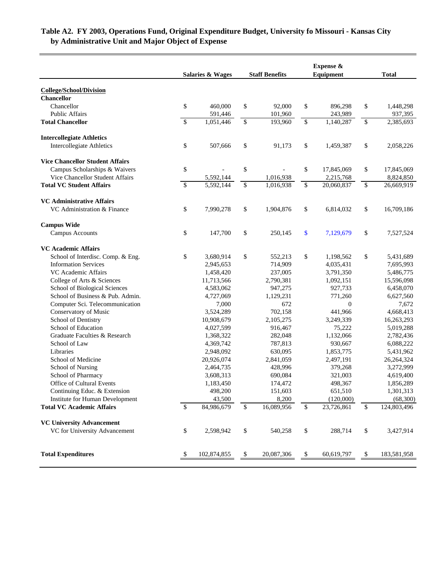# **by Administrative Unit and Major Object of Expense Table A2. FY 2003, Operations Fund, Original Expenditure Budget, University fo Missouri - Kansas City**

|                                        | <b>Staff Benefits</b><br><b>Salaries &amp; Wages</b> |             | Expense &<br>Equipment |            |                          | Total        |               |             |
|----------------------------------------|------------------------------------------------------|-------------|------------------------|------------|--------------------------|--------------|---------------|-------------|
|                                        |                                                      |             |                        |            |                          |              |               |             |
| <b>College/School/Division</b>         |                                                      |             |                        |            |                          |              |               |             |
| <b>Chancellor</b>                      |                                                      |             |                        |            |                          |              |               |             |
| Chancellor                             | \$                                                   | 460,000     | \$                     | 92,000     | \$                       | 896,298      | \$            | 1,448,298   |
| <b>Public Affairs</b>                  |                                                      | 591,446     |                        | 101,960    |                          | 243,989      |               | 937,395     |
| <b>Total Chancellor</b>                | $\mathbb{S}$                                         | 1,051,446   | $\mathbb{S}$           | 193,960    | $\mathbb{S}$             | 1,140,287    | \$            | 2,385,693   |
| <b>Intercollegiate Athletics</b>       |                                                      |             |                        |            |                          |              |               |             |
| <b>Intercollegiate Athletics</b>       | \$                                                   | 507,666     | \$                     | 91,173     | \$                       | 1,459,387    | \$            | 2,058,226   |
| <b>Vice Chancellor Student Affairs</b> |                                                      |             |                        |            |                          |              |               |             |
| Campus Scholarships & Waivers          | \$                                                   |             | \$                     |            | \$                       | 17,845,069   | \$            | 17,845,069  |
| Vice Chancellor Student Affairs        |                                                      | 5,592,144   |                        | 1,016,938  |                          | 2,215,768    |               | 8,824,850   |
| <b>Total VC Student Affairs</b>        | $\mathbb{S}$                                         | 5,592,144   | \$                     | 1,016,938  | \$                       | 20,060,837   | \$            | 26,669,919  |
|                                        |                                                      |             |                        |            |                          |              |               |             |
| <b>VC Administrative Affairs</b>       |                                                      |             |                        |            |                          |              |               |             |
| VC Administration & Finance            | \$                                                   | 7,990,278   | \$                     | 1,904,876  | \$                       | 6,814,032    | \$            | 16,709,186  |
| <b>Campus Wide</b>                     |                                                      |             |                        |            |                          |              |               |             |
| <b>Campus Accounts</b>                 | \$                                                   | 147,700     | \$                     | 250,145    | \$                       | 7,129,679    | \$            | 7,527,524   |
| <b>VC</b> Academic Affairs             |                                                      |             |                        |            |                          |              |               |             |
| School of Interdisc. Comp. & Eng.      | \$                                                   | 3,680,914   | \$                     | 552,213    | \$                       | 1,198,562    | \$            | 5,431,689   |
| <b>Information Services</b>            |                                                      | 2,945,653   |                        | 714,909    |                          | 4,035,431    |               | 7,695,993   |
| VC Academic Affairs                    |                                                      | 1,458,420   |                        | 237,005    |                          | 3,791,350    |               | 5,486,775   |
| College of Arts & Sciences             |                                                      | 11,713,566  |                        | 2,790,381  |                          | 1,092,151    |               | 15,596,098  |
| School of Biological Sciences          |                                                      | 4,583,062   |                        | 947,275    |                          | 927,733      |               | 6,458,070   |
| School of Business & Pub. Admin.       |                                                      | 4,727,069   |                        | 1,129,231  |                          | 771,260      |               | 6,627,560   |
| Computer Sci. Telecommunication        |                                                      | 7,000       |                        | 672        |                          | $\mathbf{0}$ |               | 7,672       |
| Conservatory of Music                  |                                                      | 3,524,289   |                        | 702,158    |                          | 441,966      |               | 4,668,413   |
| School of Dentistry                    |                                                      | 10,908,679  |                        | 2,105,275  |                          | 3,249,339    |               | 16,263,293  |
| School of Education                    |                                                      | 4,027,599   |                        | 916,467    |                          | 75,222       |               | 5,019,288   |
| Graduate Faculties & Research          |                                                      | 1,368,322   |                        | 282,048    |                          | 1,132,066    |               | 2,782,436   |
| School of Law                          |                                                      | 4,369,742   |                        | 787,813    |                          | 930,667      |               | 6,088,222   |
| Libraries                              |                                                      | 2,948,092   |                        | 630,095    |                          | 1,853,775    |               | 5,431,962   |
| School of Medicine                     |                                                      | 20,926,074  |                        | 2,841,059  |                          | 2,497,191    |               | 26,264,324  |
| <b>School of Nursing</b>               |                                                      | 2,464,735   |                        | 428,996    |                          | 379,268      |               | 3,272,999   |
| School of Pharmacy                     |                                                      | 3,608,313   |                        | 690,084    |                          | 321,003      |               | 4,619,400   |
| Office of Cultural Events              |                                                      | 1,183,450   |                        | 174,472    |                          | 498,367      |               | 1,856,289   |
| Continuing Educ. & Extension           |                                                      | 498,200     |                        | 151,603    |                          | 651,510      |               | 1,301,313   |
| Institute for Human Development        |                                                      | 43,500      |                        | 8,200      |                          | (120,000)    |               | (68, 300)   |
| <b>Total VC Academic Affairs</b>       | \$                                                   | 84,986,679  | \$                     | 16,089,956 | $\overline{\mathcal{S}}$ | 23,726,861   | \$            | 124,803,496 |
| <b>VC University Advancement</b>       |                                                      |             |                        |            |                          |              |               |             |
| VC for University Advancement          | \$                                                   | 2,598,942   | \$                     | 540,258    | \$                       | 288,714      | \$            | 3,427,914   |
|                                        |                                                      |             |                        |            |                          |              |               |             |
| <b>Total Expenditures</b>              | -S                                                   | 102,874,855 | \$                     | 20,087,306 | \$                       | 60,619,797   | $\mathcal{S}$ | 183,581,958 |
|                                        |                                                      |             |                        |            |                          |              |               |             |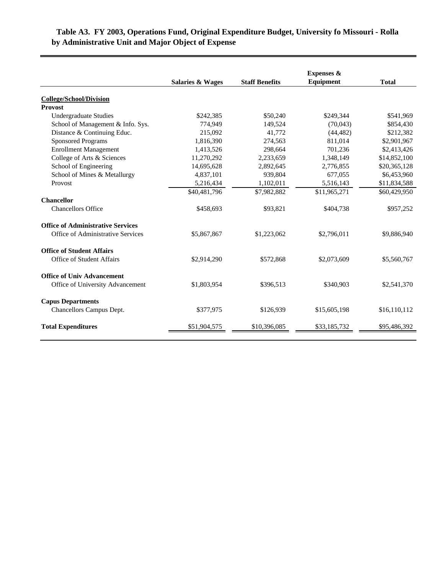# **by Administrative Unit and Major Object of Expense Table A3. FY 2003, Operations Fund, Original Expenditure Budget, University fo Missouri - Rolla**

|                                          |                             |                       | <b>Expenses &amp;</b> |              |
|------------------------------------------|-----------------------------|-----------------------|-----------------------|--------------|
|                                          | <b>Salaries &amp; Wages</b> | <b>Staff Benefits</b> | Equipment             | <b>Total</b> |
| <b>College/School/Division</b>           |                             |                       |                       |              |
| <b>Provost</b>                           |                             |                       |                       |              |
| <b>Undergraduate Studies</b>             | \$242,385                   | \$50,240              | \$249,344             | \$541,969    |
| School of Management & Info. Sys.        | 774,949                     | 149,524               | (70,043)              | \$854,430    |
| Distance & Continuing Educ.              | 215,092                     | 41,772                | (44, 482)             | \$212,382    |
| <b>Sponsored Programs</b>                | 1,816,390                   | 274,563               | 811,014               | \$2,901,967  |
| <b>Enrollment Management</b>             | 1,413,526                   | 298.664               | 701,236               | \$2,413,426  |
| College of Arts & Sciences               | 11,270,292                  | 2,233,659             | 1,348,149             | \$14,852,100 |
| School of Engineering                    | 14,695,628                  | 2,892,645             | 2,776,855             | \$20,365,128 |
| School of Mines & Metallurgy             | 4,837,101                   | 939.804               | 677.055               | \$6,453,960  |
| Provost                                  | 5,216,434                   | 1,102,011             | 5,516,143             | \$11,834,588 |
|                                          | \$40,481,796                | \$7,982,882           | \$11,965,271          | \$60,429,950 |
| <b>Chancellor</b>                        |                             |                       |                       |              |
| <b>Chancellors Office</b>                | \$458,693                   | \$93,821              | \$404,738             | \$957,252    |
| <b>Office of Administrative Services</b> |                             |                       |                       |              |
| Office of Administrative Services        | \$5,867,867                 | \$1,223,062           | \$2,796,011           | \$9,886,940  |
| <b>Office of Student Affairs</b>         |                             |                       |                       |              |
| Office of Student Affairs                | \$2,914,290                 | \$572,868             | \$2,073,609           | \$5,560,767  |
| <b>Office of Univ Advancement</b>        |                             |                       |                       |              |
| Office of University Advancement         | \$1,803,954                 | \$396,513             | \$340,903             | \$2,541,370  |
| <b>Capus Departments</b>                 |                             |                       |                       |              |
| Chancellors Campus Dept.                 | \$377,975                   | \$126,939             | \$15,605,198          | \$16,110,112 |
| <b>Total Expenditures</b>                | \$51,904,575                | \$10,396,085          | \$33,185,732          | \$95,486,392 |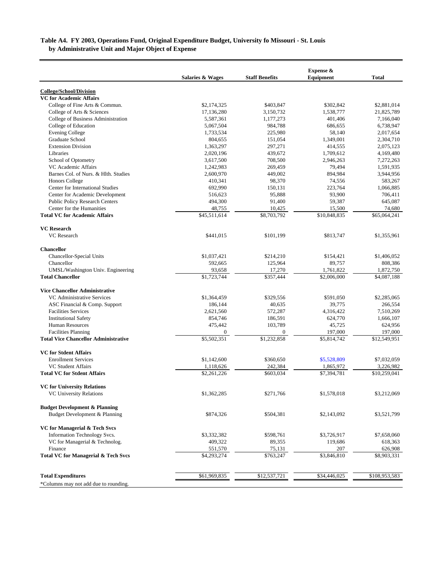### **by Administrative Unit and Major Object of Expense Table A4. FY 2003, Operations Fund, Original Expenditure Budget, University fo Missouri - St. Louis**

|                                                | Salaries & Wages | <b>Staff Benefits</b> | Expense &<br>Equipment | <b>Total</b>  |
|------------------------------------------------|------------------|-----------------------|------------------------|---------------|
| <b>College/School/Division</b>                 |                  |                       |                        |               |
| <b>VC for Academic Affairs</b>                 |                  |                       |                        |               |
| College of Fine Arts & Commun.                 | \$2,174,325      | \$403,847             | \$302,842              | \$2,881,014   |
| College of Arts & Sciences                     | 17,136,280       | 3,150,732             | 1,538,777              | 21,825,789    |
| College of Business Administration             | 5,587,361        | 1,177,273             | 401,406                | 7,166,040     |
| College of Education                           | 5,067,504        | 984,788               | 686,655                | 6,738,947     |
| <b>Evening College</b>                         | 1,733,534        | 225,980               | 58,140                 | 2,017,654     |
| Graduate School                                | 804,655          | 151,054               | 1,349,001              | 2,304,710     |
| <b>Extension Division</b>                      | 1,363,297        | 297,271               | 414,555                | 2,075,123     |
| Libraries                                      | 2,020,196        | 439,672               | 1,709,612              | 4,169,480     |
| School of Optometry                            | 3,617,500        | 708,500               | 2,946,263              | 7,272,263     |
| VC Academic Affairs                            | 1,242,983        | 269,459               | 79,494                 | 1,591,935     |
| Barnes Col. of Nurs. & Hlth. Studies           | 2,600,970        | 449,002               | 894,984                | 3,944,956     |
| <b>Honors College</b>                          | 410,341          | 98,370                | 74,556                 | 583,267       |
| Center for International Studies               | 692,990          | 150,131               | 223,764                | 1,066,885     |
| Center for Academic Development                | 516,623          | 95,888                | 93,900                 | 706,411       |
| Public Policy Research Centers                 | 494,300          | 91,400                | 59,387                 | 645,087       |
| Center for the Humanities                      | 48,755           | 10,425                | 15,500                 | 74,680        |
| <b>Total VC for Academic Affairs</b>           | \$45,511,614     | \$8,703,792           | \$10,848,835           | \$65,064,241  |
| <b>VC</b> Research                             |                  |                       |                        |               |
| <b>VC</b> Research                             | \$441,015        | \$101,199             | \$813,747              | \$1,355,961   |
| <b>Chancellor</b>                              |                  |                       |                        |               |
| <b>Chancellor-Special Units</b>                | \$1,037,421      | \$214,210             | \$154,421              | \$1,406,052   |
| Chancellor                                     | 592,665          | 125,964               | 89,757                 | 808,386       |
| UMSL/Washington Univ. Engineering              | 93,658           | 17,270                | 1,761,822              | 1,872,750     |
| <b>Total Chancellor</b>                        | \$1,723,744      | \$357,444             | \$2,006,000            | \$4,087,188   |
| <b>Vice Chancellor Administrative</b>          |                  |                       |                        |               |
| VC Administrative Services                     | \$1,364,459      | \$329,556             | \$591,050              | \$2,285,065   |
| ASC Financial & Comp. Support                  | 186,144          | 40,635                | 39,775                 | 266,554       |
| <b>Facilities Services</b>                     | 2,621,560        | 572,287               | 4,316,422              | 7,510,269     |
| <b>Institutional Safety</b>                    | 854,746          | 186,591               | 624,770                | 1,666,107     |
| <b>Human Resources</b>                         | 475,442          | 103,789               | 45,725                 | 624,956       |
| <b>Facilities Planning</b>                     | $\mathbf{0}$     | $\mathbf{0}$          | 197,000                | 197,000       |
| <b>Total Vice Chancellor Administrative</b>    | \$5,502,351      | \$1,232,858           | \$5,814,742            | \$12,549,951  |
| <b>VC for Stdent Affairs</b>                   |                  |                       |                        |               |
| <b>Enrollment Services</b>                     | \$1,142,600      | \$360,650             | \$5,528,809            | \$7,032,059   |
| <b>VC Student Affairs</b>                      | 1,118,626        | 242,384               | 1,865,972              | 3,226,982     |
| <b>Total VC for Stdent Affairs</b>             | \$2,261,226      | \$603,034             | \$7,394,781            | \$10,259,041  |
| <b>VC for University Relations</b>             |                  |                       |                        |               |
| <b>VC University Relations</b>                 | \$1,362,285      | \$271,766             | \$1,578,018            | \$3,212,069   |
| <b>Budget Development &amp; Planning</b>       |                  |                       |                        |               |
| Budget Development & Planning                  | \$874,326        | \$504,381             | \$2,143,092            | \$3,521,799   |
| VC for Managerial & Tech Svcs                  |                  |                       |                        |               |
| Information Technology Svcs.                   | \$3,332,382      | \$598,761             | \$3,726,917            | \$7,658,060   |
| VC for Managerial & Technolog.                 | 409,322          | 89,355                | 119,686                | 618,363       |
| Finance                                        | 551,570          | 75,131                | 207                    | 626,908       |
| <b>Total VC for Managerial &amp; Tech Svcs</b> | \$4,293,274      | \$763,247             | \$3,846,810            | \$8,903,331   |
| <b>Total Expenditures</b>                      | \$61,969,835     |                       | \$34,446,025           | \$108,953,583 |
|                                                |                  | \$12,537,721          |                        |               |
| *Columns may not add due to rounding.          |                  |                       |                        |               |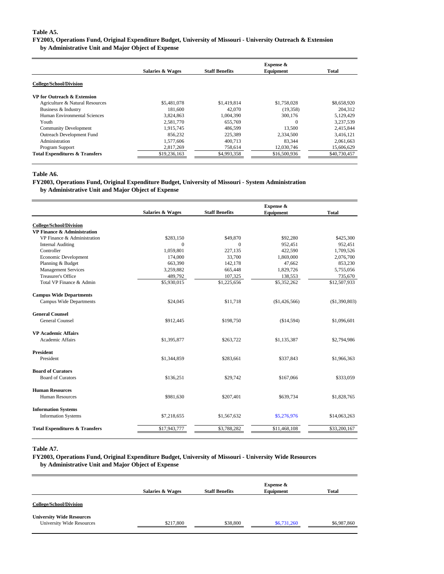#### **Table A5.**

### **FY2003, Operations Fund, Original Expenditure Budget, University of Missouri - University Outreach & Extension**

**by Administrative Unit and Major Object of Expense**

|                                           | <b>Salaries &amp; Wages</b> | <b>Staff Benefits</b> | <b>Expense &amp;</b><br>Equipment | Total        |
|-------------------------------------------|-----------------------------|-----------------------|-----------------------------------|--------------|
|                                           |                             |                       |                                   |              |
| <b>College/School/Division</b>            |                             |                       |                                   |              |
| VP for Outreach & Extension               |                             |                       |                                   |              |
| Agriculture & Natural Resources           | \$5,481,078                 | \$1,419,814           | \$1,758,028                       | \$8,658,920  |
| Business & Industry                       | 181.600                     | 42,070                | (19,358)                          | 204,312      |
| Human Environmental Sciences              | 3,824,863                   | 1,004,390             | 300,176                           | 5,129,429    |
| Youth                                     | 2,581,770                   | 655,769               | $\Omega$                          | 3,237,539    |
| <b>Community Development</b>              | 1.915.745                   | 486,599               | 13,500                            | 2,415,844    |
| <b>Outreach Development Fund</b>          | 856.232                     | 225,389               | 2.334.500                         | 3.416.121    |
| Administration                            | 1,577,606                   | 400.713               | 83.344                            | 2,061,663    |
| Program Support                           | 2,817,269                   | 758,614               | 12,030,746                        | 15,606,629   |
| <b>Total Expenditures &amp; Transfers</b> | \$19,236,163                | \$4,993,358           | \$16,500,936                      | \$40,730,457 |

#### **Table A6.**

#### **FY2003, Operations Fund, Original Expenditure Budget, University of Missouri - System Administration by Administrative Unit and Major Object of Expense**

|                                           |                             | Expense &             |               |               |  |  |  |
|-------------------------------------------|-----------------------------|-----------------------|---------------|---------------|--|--|--|
|                                           | <b>Salaries &amp; Wages</b> | <b>Staff Benefits</b> | Equipment     | <b>Total</b>  |  |  |  |
| <b>College/School/Division</b>            |                             |                       |               |               |  |  |  |
| VP Finance & Administration               |                             |                       |               |               |  |  |  |
| VP Finance & Administration               | \$283,150                   | \$49,870              | \$92,280      | \$425,300     |  |  |  |
| <b>Internal Auditing</b>                  | $\Omega$                    | $\Omega$              | 952,451       | 952,451       |  |  |  |
| Controller                                | 1,059,801                   | 227,135               | 422.590       | 1,709,526     |  |  |  |
| Economic Development                      | 174,000                     | 33,700                | 1,869,000     | 2,076,700     |  |  |  |
| Planning & Budget                         | 663,390                     | 142,178               | 47,662        | 853,230       |  |  |  |
| <b>Management Services</b>                | 3,259,882                   | 665,448               | 1,829,726     | 5,755,056     |  |  |  |
| <b>Treasurer's Office</b>                 | 489,792                     | 107,325               | 138,553       | 735,670       |  |  |  |
| Total VP Finance & Admin                  | \$5,930,015                 | \$1,225,656           | \$5,352,262   | \$12,507,933  |  |  |  |
| <b>Campus Wide Departments</b>            |                             |                       |               |               |  |  |  |
| <b>Campus Wide Departments</b>            | \$24,045                    | \$11,718              | (\$1,426,566) | (\$1,390,803) |  |  |  |
| <b>General Counsel</b>                    |                             |                       |               |               |  |  |  |
| <b>General Counsel</b>                    | \$912,445                   | \$198,750             | (\$14,594)    | \$1,096,601   |  |  |  |
| <b>VP Academic Affairs</b>                |                             |                       |               |               |  |  |  |
| <b>Academic Affairs</b>                   | \$1,395,877                 | \$263,722             | \$1,135,387   | \$2,794,986   |  |  |  |
| <b>President</b>                          |                             |                       |               |               |  |  |  |
| President                                 | \$1,344,859                 | \$283,661             | \$337,843     | \$1,966,363   |  |  |  |
| <b>Board of Curators</b>                  |                             |                       |               |               |  |  |  |
| <b>Board of Curators</b>                  | \$136,251                   | \$29,742              | \$167,066     | \$333,059     |  |  |  |
| <b>Human Resources</b>                    |                             |                       |               |               |  |  |  |
| Human Resources                           | \$981,630                   | \$207,401             | \$639,734     | \$1,828,765   |  |  |  |
| <b>Information Systems</b>                |                             |                       |               |               |  |  |  |
| <b>Information Systems</b>                | \$7,218,655                 | \$1,567,632           | \$5,276,976   | \$14,063,263  |  |  |  |
| <b>Total Expenditures &amp; Transfers</b> | \$17,943,777                | \$3,788,282           | \$11,468,108  | \$33,200,167  |  |  |  |
|                                           |                             |                       |               |               |  |  |  |

#### **Table A7.**

**FY2003, Operations Fund, Original Expenditure Budget, University of Missouri - University Wide Resources by Administrative Unit and Major Object of Expense**

|                                                                      | <b>Salaries &amp; Wages</b> | <b>Staff Benefits</b> | Expense &<br>Equipment | <b>Total</b> |
|----------------------------------------------------------------------|-----------------------------|-----------------------|------------------------|--------------|
| <b>College/School/Division</b>                                       |                             |                       |                        |              |
| <b>University Wide Resources</b><br><b>University Wide Resources</b> | \$217,800                   | \$38,800              | \$6,731,260            | \$6,987,860  |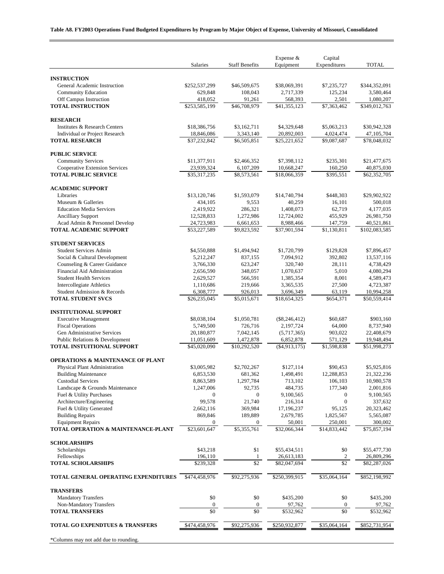### **Table A8. FY2003 Operations Fund Budgeted Expenditures by Program by Major Object of Expense, University of Missouri, Consolidated**

|                                                                | Salaries                   | <b>Staff Benefits</b>    | Expense $&$<br>Equipment   | Capital<br>Expenditures  | <b>TOTAL</b>                 |
|----------------------------------------------------------------|----------------------------|--------------------------|----------------------------|--------------------------|------------------------------|
|                                                                |                            |                          |                            |                          |                              |
| <b>INSTRUCTION</b><br>General Academic Instruction             | \$252,537,299              | \$46,509,675             | \$38,069,391               | \$7,235,727              | \$344,352,091                |
| <b>Community Education</b>                                     | 629,848                    | 108,043                  | 2,717,339                  | 125,234                  | 3,580,464                    |
| Off Campus Instruction                                         | 418,052                    | 91,261                   | 568,393                    | 2,501                    | 1,080,207                    |
| <b>TOTAL INSTRUCTION</b>                                       | \$253,585,199              | \$46,708,979             | \$41,355,123               | \$7,363,462              | \$349,012,763                |
| <b>RESEARCH</b>                                                |                            |                          |                            |                          |                              |
| Institutes & Research Centers                                  | \$18,386,756               | \$3,162,711              | \$4,329,648                | \$5,063,213              | \$30,942,328                 |
| <b>Individual or Project Research</b><br><b>TOTAL RESEARCH</b> | 18,846,086<br>\$37,232,842 | 3,343,140<br>\$6,505,851 | 20,892,003<br>\$25,221,652 | 4,024,474<br>\$9,087,687 | 47, 105, 704<br>\$78,048,032 |
|                                                                |                            |                          |                            |                          |                              |
| <b>PUBLIC SERVICE</b><br><b>Community Services</b>             | \$11,377,911               | \$2,466,352              | \$7,398,112                | \$235,301                | \$21,477,675                 |
| <b>Cooperative Extension Services</b>                          | 23,939,324                 | 6,107,209                | 10,668,247                 | 160,250                  | 40,875,030                   |
| <b>TOTAL PUBLIC SERVICE</b>                                    | \$35,317,235               | \$8,573,561              | \$18,066,359               | \$395,551                | \$62,352,705                 |
| <b>ACADEMIC SUPPORT</b>                                        |                            |                          |                            |                          |                              |
| Libraries                                                      | \$13,120,746               | \$1,593,079              | \$14,740,794               | \$448,303                | \$29,902,922                 |
| Museum & Galleries                                             | 434,105                    | 9,553                    | 40,259                     | 16,101                   | 500,018                      |
| <b>Education Media Services</b>                                | 2,419,922                  | 286,321                  | 1,408,073                  | 62,719                   | 4,177,035                    |
| <b>Ancilliary Support</b>                                      | 12,528,833                 | 1,272,986                | 12,724,002                 | 455,929                  | 26,981,750                   |
| Acad Admin & Personnel Develop                                 | 24,723,983                 | 6,661,653                | 8,988,466                  | 147,759                  | 40,521,861                   |
| <b>TOTAL ACADEMIC SUPPORT</b>                                  | \$53,227,589               | \$9,823,592              | \$37,901,594               | \$1,130,811              | \$102,083,585                |
| <b>STUDENT SERVICES</b>                                        |                            |                          |                            |                          |                              |
| <b>Student Services Admin</b>                                  | \$4,550,888                | \$1,494,942              | \$1,720,799                | \$129,828                | \$7,896,457                  |
| Social & Cultural Development                                  | 5,212,247                  | 837,155                  | 7,094,912                  | 392,802                  | 13,537,116                   |
| Counseling & Career Guidance<br>Financial Aid Administration   | 3,766,330<br>2,656,590     | 623,247<br>348,057       | 320,740<br>1,070,637       | 28,111<br>5,010          | 4,738,429                    |
| <b>Student Health Services</b>                                 | 2,629,527                  | 566,591                  | 1,385,354                  | 8,001                    | 4,080,294<br>4,589,473       |
| Intercollegiate Athletics                                      | 1,110,686                  | 219,666                  | 3,365,535                  | 27,500                   | 4,723,387                    |
| Student Admission & Records                                    | 6,308,777                  | 926,013                  | 3,696,349                  | 63,119                   | 10,994,258                   |
| <b>TOTAL STUDENT SVCS</b>                                      | \$26,235,045               | \$5,015,671              | \$18,654,325               | \$654,371                | \$50,559,414                 |
| <b>INSTITUTIONAL SUPPORT</b>                                   |                            |                          |                            |                          |                              |
| <b>Executive Management</b>                                    | \$8,038,104                | \$1,050,781              | $(\$8,246,412)$            | \$60,687                 | \$903,160                    |
| <b>Fiscal Operations</b>                                       | 5,749,500                  | 726,716                  | 2,197,724                  | 64,000                   | 8,737,940                    |
| Gen Administrative Services                                    | 20,180,877                 | 7,042,145                | (5,717,365)                | 903,022                  | 22,408,679                   |
| Public Relations & Development                                 | 11,051,609                 | 1,472,878                | 6,852,878                  | 571,129                  | 19,948,494                   |
| <b>TOTAL INSTUITIONAL SUPPORT</b>                              | \$45,020,090               | \$10,292,520             | $(\$4,913,175)$            | \$1,598,838              | \$51,998,273                 |
| <b>OPERATIONS &amp; MAINTENANCE OF PLANT</b>                   |                            |                          |                            |                          |                              |
| Physical Plant Administration                                  | \$3,005,982                | \$2,702,267              | \$127,114                  | \$90,453                 | \$5,925,816                  |
| <b>Building Maintenance</b>                                    | 6,853,530                  | 681,362                  | 1,498,491                  | 12,288,853               | 21.322.236                   |
| <b>Custodial Services</b><br>Landscape & Grounds Maintenance   | 8,863,589<br>1,247,006     | 1,297,784<br>92,735      | 713,102<br>484,735         | 106,103<br>177,340       | 10,980,578<br>2,001,816      |
| Fuel & Utility Purchases                                       | $\boldsymbol{0}$           | 0                        | 9,100,565                  | 0                        | 9,100,565                    |
| Architecture/Engineering                                       | 99,578                     | 21,740                   | 216,314                    | $\boldsymbol{0}$         | 337,632                      |
| Fuel & Utility Generated                                       | 2,662,116                  | 369,984                  | 17,196,237                 | 95,125                   | 20,323,462                   |
| <b>Building Repairs</b>                                        | 869,846                    | 189,889                  | 2,679,785                  | 1,825,567                | 5,565,087                    |
| <b>Equipment Repairs</b>                                       | $\bf{0}$                   | 0                        | 50,001                     | 250,001                  | 300,002                      |
| TOTAL OPERATION & MAINTENANCE-PLANT                            | \$23,601,647               | \$5,355,761              | \$32,066,344               | \$14,833,442             | \$75,857,194                 |
| <b>SCHOLARSHIPS</b>                                            |                            |                          |                            |                          |                              |
| Scholarships                                                   | \$43,218                   | \$1                      | \$55,434,511               | \$0                      | \$55,477,730                 |
| Fellowships                                                    | 196,110                    | 1                        | 26,613,183                 | $\overline{\mathbf{c}}$  | 26,809,296                   |
| <b>TOTAL SCHOLARSHIPS</b>                                      | \$239,328                  | \$2                      | \$82,047,694               | $\$2$                    | \$82,287,026                 |
| <b>TOTAL GENERAL OPERATING EXPENDITURES</b>                    | \$474,458,976              | \$92,275,936             | \$250,399,915              | \$35,064,164             | \$852,198,992                |
| <b>TRANSFERS</b>                                               |                            |                          |                            |                          |                              |
| <b>Mandatory Transfers</b>                                     | \$0                        | \$0                      | \$435,200                  | \$0                      | \$435,200                    |
| Non-Mandatory Transfers                                        | $\boldsymbol{0}$           | $\boldsymbol{0}$         | 97,762                     | $\boldsymbol{0}$         | 97,762                       |
| <b>TOTAL TRANSFERS</b>                                         | \$0                        | \$0                      | \$532,962                  | \$0                      | \$532,962                    |
| <b>TOTAL GO EXPENDTUES &amp; TRANSFERS</b>                     | \$474,458,976              | \$92,275,936             | \$250,932,877              | \$35,064,164             | \$852,731,954                |
| *Columns may not add due to rounding.                          |                            |                          |                            |                          |                              |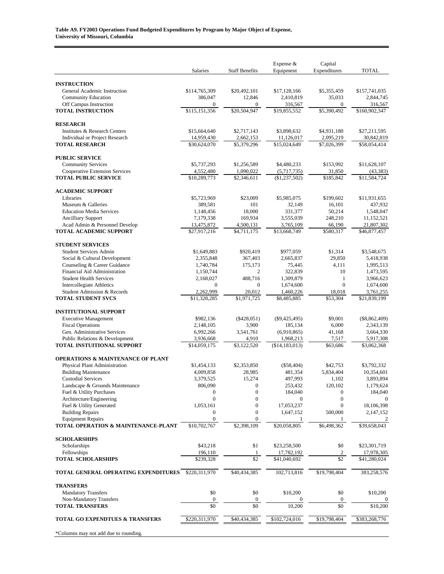|                                                                 | Salaries                   | <b>Staff Benefits</b>              | Expense &<br>Equipment    | Capital<br>Expenditures     | <b>TOTAL</b>               |
|-----------------------------------------------------------------|----------------------------|------------------------------------|---------------------------|-----------------------------|----------------------------|
|                                                                 |                            |                                    |                           |                             |                            |
| <b>INSTRUCTION</b>                                              |                            |                                    |                           |                             |                            |
| General Academic Instruction<br><b>Community Education</b>      | \$114,765,309<br>386,047   | \$20,492,101<br>12,846             | \$17,128,166<br>2,410,819 | \$5,355,459<br>35,033       | \$157,741,035<br>2,844,745 |
| Off Campus Instruction                                          | $\mathbf{0}$               | $\boldsymbol{0}$                   | 316,567                   | 0                           | 316,567                    |
| <b>TOTAL INSTRUCTION</b>                                        | \$115,151,356              | \$20,504,947                       | \$19,855,552              | \$5,390,492                 | \$160,902,347              |
| <b>RESEARCH</b>                                                 |                            |                                    |                           |                             |                            |
| Institutes & Research Centers                                   | \$15,664,640               | \$2,717,143                        | \$3,898,632               | \$4,931,180                 | \$27,211,595               |
| Individual or Project Research                                  | 14,959,430                 | 2,662,153                          | 11,126,017                | 2,095,219                   | 30,842,819                 |
| <b>TOTAL RESEARCH</b>                                           | \$30,624,070               | \$5,379,296                        | \$15,024,649              | \$7,026,399                 | \$58,054,414               |
| <b>PUBLIC SERVICE</b>                                           |                            |                                    |                           |                             |                            |
| <b>Community Services</b>                                       | \$5,737,293                | \$1,256,589                        | \$4,480,233               | \$153,992                   | \$11,628,107               |
| Cooperative Extension Services                                  | 4,552,480                  | 1,090,022                          | (5,717,735)               | 31,850                      | (43, 383)                  |
| <b>TOTAL PUBLIC SERVICE</b>                                     | \$10,289,773               | \$2,346,611                        | (\$1,237,502)             | \$185,842                   | \$11,584,724               |
| <b>ACADEMIC SUPPORT</b>                                         |                            |                                    |                           |                             |                            |
| Libraries                                                       | \$5,723,969                | \$23,009                           | \$5,985,075               | \$199,602                   | \$11,931,655               |
| Museum & Galleries                                              | 389,581                    | 101                                | 32,149                    | 16,101                      | 437,932                    |
| <b>Education Media Services</b>                                 | 1,148,456                  | 18,000                             | 331,377                   | 50,214                      | 1,548,047                  |
| <b>Ancilliary Support</b>                                       | 7,179,338                  | 169,934                            | 3,555,039                 | 248,210                     | 11,152,521                 |
| Acad Admin & Personnel Develop<br><b>TOTAL ACADEMIC SUPPORT</b> | 13,475,872<br>\$27,917,216 | 4,500,131<br>\$4,711,175           | 3,765,109<br>\$13,668,749 | 66,190<br>\$580,317         | 21,807,302<br>\$46,877,457 |
|                                                                 |                            |                                    |                           |                             |                            |
| <b>STUDENT SERVICES</b>                                         |                            |                                    |                           |                             |                            |
| <b>Student Services Admin</b>                                   | \$1,649,883                | \$920,419                          | \$977,059                 | \$1,314                     | \$3,548,675                |
| Social & Cultural Development                                   | 2,355,848                  | 367,403                            | 2,665,837                 | 29,850                      | 5,418,938                  |
| Counseling & Career Guidance<br>Financial Aid Administration    | 1,740,784                  | 175,173<br>$\overline{2}$          | 75,445                    | 4,111<br>10                 | 1,995,513                  |
| <b>Student Health Services</b>                                  | 1,150,744<br>2,168,027     | 488,716                            | 322,839<br>1,309,879      | $\mathbf{1}$                | 1,473,595<br>3,966,623     |
| <b>Intercollegiate Athletics</b>                                | $\mathbf{0}$               | $\overline{0}$                     | 1,674,600                 | $\overline{0}$              | 1,674,600                  |
| Student Admission & Records                                     | 2,262,999                  | 20,012                             | 1,460,226                 | 18,018                      | 3,761,255                  |
| <b>TOTAL STUDENT SVCS</b>                                       | \$11,328,285               | \$1,971,725                        | \$8,485,885               | \$53,304                    | \$21,839,199               |
| <b>INSTITUTIONAL SUPPORT</b>                                    |                            |                                    |                           |                             |                            |
| <b>Executive Management</b>                                     | \$982,136                  | $(\$428,051)$                      | $(\$9,425,495)$           | \$9,001                     | $(\$8,862,409)$            |
| <b>Fiscal Operations</b>                                        | 2,148,105                  | 3,900                              | 185,134                   | 6,000                       | 2,343,139                  |
| Gen. Administrative Services                                    | 6,992,266                  | 3,541,761                          | (6,910,865)               | 41,168                      | 3,664,330                  |
| Public Relations & Development                                  | 3,936,668                  | 4,910                              | 1,968,213                 | 7,517                       | 5,917,308                  |
| <b>TOTAL INSTUITIONAL SUPPORT</b>                               | \$14,059,175               | \$3,122,520                        | (\$14,183,013)            | \$63,686                    | \$3,062,368                |
| <b>OPERATIONS &amp; MAINTENANCE OF PLANT</b>                    |                            |                                    |                           |                             |                            |
| Physical Plant Administration                                   | \$1,454,133                | \$2,353,850                        | (\$58,404)                | \$42,753                    | \$3,792,332                |
| <b>Building Maintenance</b>                                     | 4,009,858                  | 28.985                             | 481,354                   | 5.834.404                   | 10,354,601                 |
| <b>Custodial Services</b>                                       | 3,379,525                  | 15,274                             | 497,993                   | 1,102                       | 3,893,894                  |
| Landscape & Grounds Maintenance<br>Fuel & Utility Purchases     | 806,090<br>$\mathbf{0}$    | $\boldsymbol{0}$<br>$\overline{0}$ | 253,432<br>184,040        | 120,102<br>$\boldsymbol{0}$ | 1,179,624<br>184,040       |
| Architecture/Engineering                                        | $\mathbf{0}$               | $\overline{0}$                     | $\mathbf{0}$              | $\overline{0}$              | $\boldsymbol{0}$           |
| Fuel & Utility Generated                                        | 1,053,161                  | $\mathbf{0}$                       | 17,053,237                | $\overline{0}$              | 18,106,398                 |
| <b>Building Repairs</b>                                         | $\mathbf{0}$               | $\mathbf{0}$                       | 1,647,152                 | 500,000                     | 2,147,152                  |
| <b>Equipment Repairs</b>                                        | $\boldsymbol{0}$           | $\overline{0}$                     | 1                         | 1                           | 2                          |
| TOTAL OPERATION & MAINTENANCE-PLANT                             | \$10,702,767               | \$2,398,109                        | \$20,058,805              | \$6,498,362                 | \$39,658,043               |
| <b>SCHOLARSHIPS</b>                                             |                            |                                    |                           |                             |                            |
| Scholarships                                                    | \$43,218                   | \$1                                | \$23,258,500              | \$0                         | \$23,301,719               |
| Fellowships                                                     | 196,110                    | $\mathbf{1}$                       | 17,782,192                | $\boldsymbol{2}$            | 17,978,305                 |
| <b>TOTAL SCHOLARSHIPS</b>                                       | \$239,328                  | $\overline{32}$                    | \$41,040,692              | $\overline{32}$             | \$41,280,024               |
| TOTAL GENERAL OPERATING EXPENDITURES                            | \$220,311,970              | \$40,434,385                       | 102,713,816               | \$19,798,404                | 383,258,576                |
| <b>TRANSFERS</b>                                                |                            |                                    |                           |                             |                            |
| <b>Mandatory Transfers</b>                                      | \$0                        | \$0                                | \$10,200                  | \$0                         | \$10,200                   |
| Non-Mandatory Transfers                                         | $\boldsymbol{0}$           | $\boldsymbol{0}$                   |                           | $\boldsymbol{0}$            |                            |
| <b>TOTAL TRANSFERS</b>                                          | \$0                        | \$0                                | 10,200                    | \$0                         | \$10,200                   |
| <b>TOTAL GO EXPENDTUES &amp; TRANSFERS</b>                      | \$220,311,970              | \$40,434,385                       | \$102,724,016             | \$19,798,404                | \$383,268,776              |
| *Columns may not add due to rounding.                           |                            |                                    |                           |                             |                            |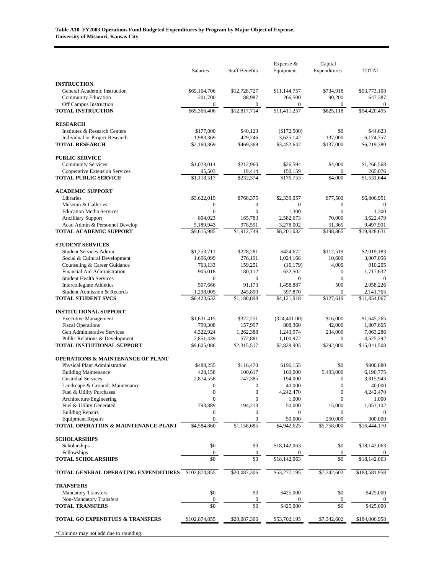|                                                                 | Salaries                         | <b>Staff Benefits</b>            | Expense &<br>Equipment   | Capital<br>Expenditures          | <b>TOTAL</b>              |
|-----------------------------------------------------------------|----------------------------------|----------------------------------|--------------------------|----------------------------------|---------------------------|
|                                                                 |                                  |                                  |                          |                                  |                           |
| <b>INSTRUCTION</b><br>General Academic Instruction              | \$69,164,706                     | \$12,728,727                     | \$11,144,757             | \$734,918                        | \$93,773,108              |
| <b>Community Education</b>                                      | 201,700                          | 88,987                           | 266,500                  | 90,200                           | 647,387                   |
| Off Campus Instruction                                          | $\boldsymbol{0}$                 | $\boldsymbol{0}$                 | $\mathbf{0}$             | $\boldsymbol{0}$                 | $\boldsymbol{0}$          |
| <b>TOTAL INSTRUCTION</b>                                        | \$69,366,406                     | \$12,817,714                     | \$11,411,257             | \$825,118                        | \$94,420,495              |
| <b>RESEARCH</b>                                                 |                                  |                                  |                          |                                  |                           |
| Institutes & Research Centers                                   | \$177,000                        | \$40,123                         | (\$172,500)              | \$0                              | \$44,623                  |
| Individual or Project Research                                  | 1,983,369                        | 429,246                          | 3,625,142                | 137,000                          | 6,174,757                 |
| <b>TOTAL RESEARCH</b>                                           | \$2,160,369                      | \$469,369                        | \$3,452,642              | \$137,000                        | \$6,219,380               |
| <b>PUBLIC SERVICE</b>                                           |                                  |                                  |                          |                                  |                           |
| <b>Community Services</b>                                       | \$1,023,014                      | \$212,960                        | \$26,594                 | \$4,000                          | \$1,266,568               |
| Cooperative Extension Services                                  | 95,503                           | 19,414                           | 150,159                  | $\overline{0}$                   | 265,076                   |
| <b>TOTAL PUBLIC SERVICE</b>                                     | \$1,118,517                      | \$232,374                        | \$176,753                | \$4,000                          | \$1,531,644               |
| <b>ACADEMIC SUPPORT</b>                                         |                                  |                                  |                          |                                  |                           |
| Libraries                                                       | \$3,622,019                      | \$768,375                        | \$2,339,057              | \$77,500                         | \$6,806,951               |
| Museum & Galleries                                              | $\boldsymbol{0}$                 | $\boldsymbol{0}$                 | $\boldsymbol{0}$         | $\boldsymbol{0}$                 | $\theta$                  |
| <b>Education Media Services</b>                                 | $\mathbf{0}$                     | $\overline{0}$                   | 1,300                    | $\mathbf{0}$                     | 1,300                     |
| <b>Ancilliary Support</b>                                       | 804,023                          | 165,783                          | 2,582,673                | 70,000                           | 3,622,479                 |
| Acad Admin & Personnel Develop<br><b>TOTAL ACADEMIC SUPPORT</b> | 5,189,943<br>\$9,615,985         | 978,591<br>\$1,912,749           | 3,278,002<br>\$8,201,032 | 51,365<br>\$198,865              | 9,497,901<br>\$19,928,631 |
|                                                                 |                                  |                                  |                          |                                  |                           |
| <b>STUDENT SERVICES</b>                                         |                                  |                                  |                          |                                  |                           |
| <b>Student Services Admin</b>                                   | \$1,253,711                      | \$228,281                        | \$424,672                | \$112,519                        | \$2,019,183               |
| Social & Cultural Development                                   | 1,696,099                        | 276,191                          | 1,024,166                | 10,600                           | 3,007,056                 |
| Counseling & Career Guidance<br>Financial Aid Administration    | 763,133<br>905,018               | 159,251<br>180,112               | (16, 179)<br>632,502     | 4,000<br>$\boldsymbol{0}$        | 910,205<br>1,717,632      |
| <b>Student Health Services</b>                                  | $\mathbf{0}$                     | $\mathbf{0}$                     | $\mathbf{0}$             | $\mathbf{0}$                     | $\theta$                  |
| Intercollegiate Athletics                                       | 507,666                          | 91,173                           | 1,458,887                | 500                              | 2,058,226                 |
| Student Admission & Records                                     | 1,298,005                        | 245,890                          | 597,870                  | $\boldsymbol{0}$                 | 2,141,765                 |
| <b>TOTAL STUDENT SVCS</b>                                       | \$6,423,632                      | \$1,180,898                      | \$4,121,918              | \$127,619                        | \$11,854,067              |
| <b>INSTITUTIONAL SUPPORT</b>                                    |                                  |                                  |                          |                                  |                           |
| <b>Executive Management</b>                                     | \$1,631,415                      | \$322,251                        | (324, 401.00)            | \$16,000                         | \$1,645,265               |
| <b>Fiscal Operations</b>                                        | 799,308                          | 157,997                          | 808,360                  | 42,000                           | 1,807,665                 |
| Gen Administrative Services                                     | 4,322,924                        | 1,262,388                        | 1,243,974                | 234,000                          | 7,063,286                 |
| Public Relations & Development                                  | 2,851,439                        | 572,881                          | 1,100,972                | $\overline{0}$                   | 4,525,292                 |
| <b>TOTAL INSTUITIONAL SUPPORT</b>                               | \$9,605,086                      | \$2,315,517                      | \$2,828,905              | \$292,000                        | \$15,041,508              |
| <b>OPERATIONS &amp; MAINTENANCE OF PLANT</b>                    |                                  |                                  |                          |                                  |                           |
| Physical Plant Administration                                   | \$488,255                        | \$116,470                        | \$196,155                | \$0                              | \$800,880                 |
| <b>Building Maintenance</b>                                     | 428,158                          | 100,617                          | 169,000                  | 5,493,000                        | 6,190,775                 |
| <b>Custodial Services</b>                                       | 2,874,558                        | 747,385                          | 194,000                  | $\mathbf{0}$                     | 3,815,943                 |
| Landscape & Grounds Maintenance                                 | $\boldsymbol{0}$                 | $\boldsymbol{0}$                 | 40,000                   | $\boldsymbol{0}$                 | 40,000                    |
| Fuel & Utility Purchases<br>Architecture/Engineering            | $\overline{0}$<br>$\overline{0}$ | $\boldsymbol{0}$<br>$\mathbf{0}$ | 4,242,470<br>1,000       | $\overline{0}$<br>$\overline{0}$ | 4,242,470<br>1,000        |
| Fuel & Utility Generated                                        | 793,889                          | 194,213                          | 50,000                   | 15,000                           | 1,053,102                 |
| <b>Building Repairs</b>                                         | $\boldsymbol{0}$                 | 0                                | $\boldsymbol{0}$         | $\mathbf{0}$                     | $\mathbf{0}$              |
| <b>Equipment Repairs</b>                                        | $\mathbf{0}$                     | $\mathbf{0}$                     | 50,000                   | 250,000                          | 300,000                   |
| TOTAL OPERATION & MAINTENANCE-PLANT                             | \$4,584,860                      | \$1,158,685                      | \$4,942,625              | \$5,758,000                      | \$16,444,170              |
| <b>SCHOLARSHIPS</b>                                             |                                  |                                  |                          |                                  |                           |
| Scholarships                                                    | \$0                              | \$0                              | \$18,142,063             | \$0                              | \$18,142,063              |
| Fellowships                                                     | $\boldsymbol{0}$                 | $\boldsymbol{0}$                 |                          | $\boldsymbol{0}$                 |                           |
| <b>TOTAL SCHOLARSHIPS</b>                                       | \$0                              | \$0                              | \$18,142,063             | \$0                              | \$18,142,063              |
| TOTAL GENERAL OPERATING EXPENDITURES                            | \$102,874,855                    | \$20,087,306                     | \$53,277,195             | \$7,342,602                      | \$183,581,958             |
| <b>TRANSFERS</b>                                                |                                  |                                  |                          |                                  |                           |
| <b>Mandatory Transfers</b>                                      | \$0                              | \$0                              | \$425,000                | \$0                              | \$425,000                 |
| Non-Mandatory Transfers                                         | $\boldsymbol{0}$                 | $\boldsymbol{0}$                 |                          | $\boldsymbol{0}$                 |                           |
| <b>TOTAL TRANSFERS</b>                                          | \$0                              | \$0                              | \$425,000                | \$0                              | \$425,000                 |
| TOTAL GO EXPENDTUES & TRANSFERS                                 | \$102,874,855                    | \$20,087,306                     | \$53,702,195             | \$7,342,602                      | \$184,006,958             |
| *Columns may not add due to rounding.                           |                                  |                                  |                          |                                  |                           |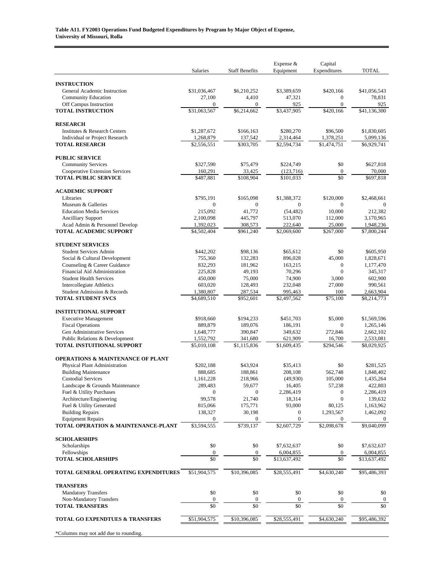|                                                                 | Salaries                 | <b>Staff Benefits</b>      | Expense &<br>Equipment  | Capital<br>Expenditures          | <b>TOTAL</b>             |
|-----------------------------------------------------------------|--------------------------|----------------------------|-------------------------|----------------------------------|--------------------------|
|                                                                 |                          |                            |                         |                                  |                          |
| <b>INSTRUCTION</b>                                              |                          |                            |                         |                                  |                          |
| General Academic Instruction                                    | \$31,036,467<br>27,100   | \$6,210,252<br>4,410       | \$3,389,659<br>47,321   | \$420,166<br>$\mathbf{0}$        | \$41,056,543<br>78,831   |
| <b>Community Education</b><br>Off Campus Instruction            | $\boldsymbol{0}$         | $\boldsymbol{0}$           | 925                     | $\boldsymbol{0}$                 | 925                      |
| <b>TOTAL INSTRUCTION</b>                                        | \$31,063,567             | \$6,214,662                | \$3,437,905             | \$420,166                        | \$41,136,300             |
| <b>RESEARCH</b>                                                 |                          |                            |                         |                                  |                          |
| Institutes & Research Centers                                   | \$1,287,672              | \$166,163                  | \$280,270               | \$96,500                         | \$1,830,605              |
| Individual or Project Research                                  | 1,268,879                | 137,542                    | 2,314,464               | 1,378,251                        | 5,099,136                |
| <b>TOTAL RESEARCH</b>                                           | \$2,556,551              | \$303,705                  | \$2,594,734             | \$1,474,751                      | \$6,929,741              |
| <b>PUBLIC SERVICE</b>                                           |                          |                            |                         |                                  |                          |
| <b>Community Services</b>                                       | \$327,590                | \$75,479                   | \$224,749               | \$0                              | \$627,818                |
| Cooperative Extension Services                                  | 160,291                  | 33,425                     | (123,716)               | $\boldsymbol{0}$                 | 70,000                   |
| <b>TOTAL PUBLIC SERVICE</b>                                     | \$487,881                | \$108,904                  | \$101,033               | \$0                              | \$697,818                |
| <b>ACADEMIC SUPPORT</b>                                         |                          |                            |                         |                                  |                          |
| Libraries                                                       | \$795,191                | \$165,098                  | \$1,388,372             | \$120,000                        | \$2,468,661              |
| Museum & Galleries                                              | $\mathbf{0}$             | $\boldsymbol{0}$           | $\boldsymbol{0}$        | $\mathbf{0}$                     | $\mathbf{0}$             |
| <b>Education Media Services</b>                                 | 215,092                  | 41,772                     | (54, 482)               | 10,000                           | 212,382                  |
| <b>Ancilliary Support</b>                                       | 2,100,098                | 445,797                    | 513,070                 | 112,000                          | 3,170,965                |
| Acad Admin & Personnel Develop<br><b>TOTAL ACADEMIC SUPPORT</b> | 1,392,023<br>\$4,502,404 | 308,573<br>\$961,240       | 222,640<br>\$2,069,600  | 25,000<br>\$267,000              | 1,948,236<br>\$7,800,244 |
|                                                                 |                          |                            |                         |                                  |                          |
| <b>STUDENT SERVICES</b>                                         |                          |                            |                         |                                  |                          |
| <b>Student Services Admin</b>                                   | \$442,202                | \$98,136                   | \$65,612                | \$0                              | \$605,950                |
| Social & Cultural Development                                   | 755,360                  | 132,283                    | 896.028                 | 45,000                           | 1,828,671                |
| Counseling & Career Guidance<br>Financial Aid Administration    | 832,293<br>225,828       | 181,962<br>49,193          | 163,215<br>70,296       | $\boldsymbol{0}$<br>$\mathbf{0}$ | 1,177,470<br>345,317     |
| <b>Student Health Services</b>                                  | 450,000                  | 75,000                     | 74,900                  | 3,000                            | 602,900                  |
| Intercollegiate Athletics                                       | 603,020                  | 128,493                    | 232,048                 | 27,000                           | 990,561                  |
| Student Admission & Records                                     | 1,380,807                | 287,534                    | 995,463                 | 100                              | 2,663,904                |
| <b>TOTAL STUDENT SVCS</b>                                       | \$4,689,510              | \$952,601                  | \$2,497,562             | \$75,100                         | \$8,214,773              |
| <b>INSTITUTIONAL SUPPORT</b>                                    |                          |                            |                         |                                  |                          |
| <b>Executive Management</b>                                     | \$918,660                | \$194,233                  | \$451,703               | \$5,000                          | \$1,569,596              |
| <b>Fiscal Operations</b>                                        | 889,879                  | 189,076                    | 186,191                 | $\mathbf{0}$                     | 1,265,146                |
| Gen Administrative Services                                     | 1,648,777                | 390,847                    | 349,632                 | 272,846                          | 2,662,102                |
| Public Relations & Development                                  | 1,552,792                | 341,680                    | 621,909                 | 16,700                           | 2,533,081                |
| <b>TOTAL INSTUITIONAL SUPPORT</b>                               | \$5,010,108              | \$1,115,836                | \$1,609,435             | \$294,546                        | \$8,029,925              |
| <b>OPERATIONS &amp; MAINTENANCE OF PLANT</b>                    |                          |                            |                         |                                  |                          |
| Physical Plant Administration                                   | \$202,188                | \$43,924                   | \$35,413                | \$0                              | \$281,525                |
| <b>Building Maintenance</b>                                     | 888,685                  | 188,861                    | 208,108                 | 562,748                          | 1,848,402                |
| <b>Custodial Services</b>                                       | 1,161,228<br>289,483     | 218,966                    | (49,930)<br>16,405      | 105,000                          | 1,435,264<br>422,803     |
| Landscape & Grounds Maintenance<br>Fuel & Utility Purchases     | $\boldsymbol{0}$         | 59,677<br>$\boldsymbol{0}$ | 2,286,419               | 57,238<br>0                      | 2,286,419                |
| Architecture/Engineering                                        | 99,578                   | 21,740                     | 18,314                  | $\boldsymbol{0}$                 | 139,632                  |
| Fuel & Utility Generated                                        | 815,066                  | 175,771                    | 93,000                  | 80,125                           | 1,163,962                |
| <b>Building Repairs</b>                                         | 138,327                  | 30,198                     | 0                       | 1,293,567                        | 1,462,092                |
| <b>Equipment Repairs</b>                                        | $\boldsymbol{0}$         | 0                          | $\mathbf{0}$            | 0                                | 0                        |
| TOTAL OPERATION & MAINTENANCE-PLANT                             | \$3,594,555              | \$739,137                  | \$2,607,729             | \$2,098,678                      | \$9,040,099              |
| <b>SCHOLARSHIPS</b>                                             |                          |                            |                         |                                  |                          |
| Scholarships                                                    | \$0                      | \$0                        | \$7,632,637             | \$0                              | \$7,632,637              |
| Fellowships                                                     | $\boldsymbol{0}$         | $\boldsymbol{0}$           | 6,004,855               | $\boldsymbol{0}$                 | 6,004,855                |
| <b>TOTAL SCHOLARSHIPS</b>                                       | \$0                      | \$0                        | \$13,637,492            | \$0                              | \$13,637,492             |
| TOTAL GENERAL OPERATING EXPENDITURES                            | \$51,904,575             | \$10,396,085               | \$28,555,491            | \$4,630,240                      | \$95,486,393             |
| <b>TRANSFERS</b>                                                |                          |                            |                         |                                  |                          |
| <b>Mandatory Transfers</b>                                      | \$0                      | \$0                        | \$0                     | \$0                              | \$0                      |
| Non-Mandatory Transfers<br><b>TOTAL TRANSFERS</b>               | $\boldsymbol{0}$<br>\$0  | $\boldsymbol{0}$<br>\$0    | $\boldsymbol{0}$<br>\$0 | $\boldsymbol{0}$<br>\$0          | $\boldsymbol{0}$<br>\$0  |
|                                                                 |                          |                            |                         |                                  |                          |
| <b>TOTAL GO EXPENDTUES &amp; TRANSFERS</b>                      | \$51,904,575             | \$10,396,085               | \$28,555,491            | \$4,630,240                      | \$95,486,392             |
| *Columns may not add due to rounding.                           |                          |                            |                         |                                  |                          |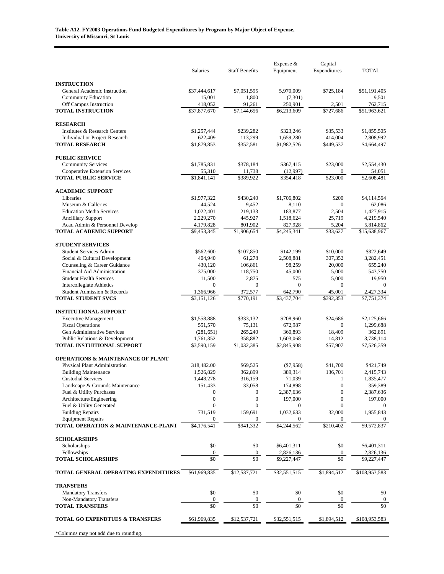|                                                                 | Salaries                             | <b>Staff Benefits</b>                | Expense $&$<br>Equipment | Capital<br>Expenditures          | <b>TOTAL</b>             |
|-----------------------------------------------------------------|--------------------------------------|--------------------------------------|--------------------------|----------------------------------|--------------------------|
| <b>INSTRUCTION</b>                                              |                                      |                                      |                          |                                  |                          |
| General Academic Instruction                                    | \$37,444,617                         | \$7,051,595                          | 5,970,009                | \$725,184                        | \$51,191,405             |
| <b>Community Education</b>                                      | 15,001                               | 1,800                                | (7, 301)                 | 1                                | 9,501                    |
| Off Campus Instruction                                          | 418,052                              | 91,261                               | 250,901                  | 2,501                            | 762,715                  |
| <b>TOTAL INSTRUCTION</b>                                        | \$37,877,670                         | \$7,144,656                          | \$6,213,609              | \$727,686                        | \$51,963,621             |
| <b>RESEARCH</b>                                                 |                                      |                                      |                          |                                  |                          |
| Institutes & Research Centers                                   | \$1,257,444                          | \$239,282                            | \$323,246                | \$35,533                         | \$1,855,505              |
| Individual or Project Research<br><b>TOTAL RESEARCH</b>         | 622,409<br>\$1,879,853               | 113,299<br>\$352,581                 | 1,659,280<br>\$1,982,526 | 414,004<br>\$449,537             | 2,808,992<br>\$4,664,497 |
|                                                                 |                                      |                                      |                          |                                  |                          |
| <b>PUBLIC SERVICE</b>                                           |                                      |                                      |                          |                                  |                          |
| <b>Community Services</b><br>Cooperative Extension Services     | \$1,785,831<br>55,310                | \$378,184<br>11,738                  | \$367,415<br>(12,997)    | \$23,000<br>$\overline{0}$       | \$2,554,430<br>54,051    |
| <b>TOTAL PUBLIC SERVICE</b>                                     | \$1,841,141                          | \$389,922                            | \$354,418                | \$23,000                         | \$2,608,481              |
|                                                                 |                                      |                                      |                          |                                  |                          |
| <b>ACADEMIC SUPPORT</b><br>Libraries                            | \$1,977,322                          | \$430,240                            | \$1,706,802              | \$200                            | \$4,114,564              |
| Museum & Galleries                                              | 44,524                               | 9,452                                | 8,110                    | $\mathbf{0}$                     | 62,086                   |
| <b>Education Media Services</b>                                 | 1,022,401                            | 219,133                              | 183,877                  | 2,504                            | 1,427,915                |
| <b>Ancilliary Support</b><br>Acad Admin & Personnel Develop     | 2,229,270<br>4,179,828               | 445,927<br>801,902                   | 1,518,624<br>827,928     | 25,719<br>5,204                  | 4,219,540<br>5,814,862   |
| <b>TOTAL ACADEMIC SUPPORT</b>                                   | \$9,453,345                          | \$1,906,654                          | \$4,245,341              | \$33,627                         | \$15,638,967             |
|                                                                 |                                      |                                      |                          |                                  |                          |
| <b>STUDENT SERVICES</b><br><b>Student Services Admin</b>        | \$562,600                            | \$107,850                            | \$142,199                | \$10,000                         | \$822,649                |
| Social & Cultural Development                                   | 404,940                              | 61,278                               | 2,508,881                | 307,352                          | 3,282,451                |
| Counseling & Career Guidance                                    | 430,120                              | 106,861                              | 98,259                   | 20,000                           | 655,240                  |
| Financial Aid Administration                                    | 375,000                              | 118,750                              | 45,000                   | 5,000                            | 543,750                  |
| <b>Student Health Services</b><br>Intercollegiate Athletics     | 11,500<br>$\mathbf{0}$               | 2,875<br>$\boldsymbol{0}$            | 575<br>$\mathbf{0}$      | 5,000<br>$\mathbf{0}$            | 19,950<br>$\mathbf{0}$   |
| Student Admission & Records                                     | 1,366,966                            | 372,577                              | 642,790                  | 45,001                           | 2,427,334                |
| <b>TOTAL STUDENT SVCS</b>                                       | \$3,151,126                          | \$770,191                            | \$3,437,704              | \$392,353                        | $\overline{57,}751,374$  |
| <b>INSTITUTIONAL SUPPORT</b>                                    |                                      |                                      |                          |                                  |                          |
| <b>Executive Management</b>                                     | \$1,558,888                          | \$333,132                            | \$208,960                | \$24,686                         | \$2,125,666              |
| <b>Fiscal Operations</b>                                        | 551,570                              | 75,131                               | 672,987                  | $\mathbf{0}$                     | 1,299,688                |
| Gen Administrative Services<br>Public Relations & Development   | (281, 651)                           | 265,240                              | 360,893                  | 18,409                           | 362,891                  |
| <b>TOTAL INSTUITIONAL SUPPORT</b>                               | 1,761,352<br>\$3,590,159             | 358,882<br>\$1,032,385               | 1,603,068<br>\$2,845,908 | 14,812<br>\$57,907               | 3,738,114<br>\$7,526,359 |
|                                                                 |                                      |                                      |                          |                                  |                          |
| <b>OPERATIONS &amp; MAINTENANCE OF PLANT</b>                    |                                      |                                      |                          |                                  |                          |
| Physical Plant Administration<br><b>Building Maintenance</b>    | 318,482.00<br>1,526,829              | \$69,525<br>362,899                  | ( \$7,958)<br>389,314    | \$41,700<br>136,701              | \$421,749<br>2,415,743   |
| <b>Custodial Services</b>                                       | 1,448,278                            | 316,159                              | 71,039                   | 1                                | 1,835,477                |
| Landscape & Grounds Maintenance                                 | 151,433                              | 33,058                               | 174,898                  | $\boldsymbol{0}$                 | 359,389                  |
| Fuel & Utility Purchases<br>Architecture/Engineering            | $\boldsymbol{0}$<br>$\boldsymbol{0}$ | $\boldsymbol{0}$<br>$\boldsymbol{0}$ | 2,387,636<br>197,000     | $\boldsymbol{0}$<br>$\mathbf{0}$ | 2,387,636<br>197,000     |
| Fuel & Utility Generated                                        | $\overline{0}$                       | $\mathbf{0}$                         | $\mathbf{0}$             | $\overline{0}$                   | 0                        |
| <b>Building Repairs</b>                                         | 731,519                              | 159,691                              | 1,032,633                | 32,000                           | 1,955,843                |
| <b>Equipment Repairs</b><br>TOTAL OPERATION & MAINTENANCE-PLANT | 0<br>\$4,176,541                     | 0<br>\$941,332                       |                          | $\overline{0}$<br>\$210,402      | \$9,572,837              |
|                                                                 |                                      |                                      | \$4,244,562              |                                  |                          |
| <b>SCHOLARSHIPS</b>                                             |                                      |                                      |                          |                                  |                          |
| Scholarships                                                    | \$0                                  | \$0                                  | \$6,401,311              | \$0                              | \$6,401,311              |
| Fellowships<br><b>TOTAL SCHOLARSHIPS</b>                        | $\mathbf{0}$<br>\$0                  | $\mathbf{0}$<br>\$0                  | 2,826,136<br>\$9,227,447 | $\boldsymbol{0}$<br>\$0          | 2,826,136<br>\$9,227,447 |
|                                                                 |                                      |                                      |                          |                                  |                          |
| TOTAL GENERAL OPERATING EXPENDITURES                            | \$61,969,835                         | \$12,537,721                         | \$32,551,515             | \$1,894,512                      | \$108,953,583            |
| <b>TRANSFERS</b>                                                |                                      |                                      |                          |                                  |                          |
| <b>Mandatory Transfers</b>                                      | \$0                                  | \$0                                  | \$0                      | \$0                              | \$0                      |
| Non-Mandatory Transfers<br><b>TOTAL TRANSFERS</b>               | $\boldsymbol{0}$<br>\$0              | $\boldsymbol{0}$<br>\$0              | $\boldsymbol{0}$<br>\$0  | $\boldsymbol{0}$<br>\$0          | $\boldsymbol{0}$<br>\$0  |
|                                                                 |                                      |                                      |                          |                                  |                          |
| TOTAL GO EXPENDTUES & TRANSFERS                                 | \$61,969,835                         | \$12,537,721                         | \$32,551,515             | \$1,894,512                      | \$108,953,583            |
| *Columns may not add due to rounding.                           |                                      |                                      |                          |                                  |                          |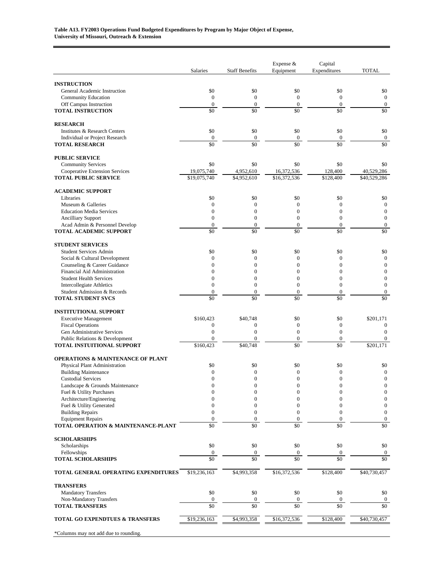|                                                                     | Salaries                           | <b>Staff Benefits</b>                | Expense &<br>Equipment               | Capital<br>Expenditures          | <b>TOTAL</b>                         |
|---------------------------------------------------------------------|------------------------------------|--------------------------------------|--------------------------------------|----------------------------------|--------------------------------------|
|                                                                     |                                    |                                      |                                      |                                  |                                      |
| <b>INSTRUCTION</b><br>General Academic Instruction                  | \$0                                | \$0                                  | \$0                                  | \$0                              | \$0                                  |
| <b>Community Education</b>                                          | $\mathbf{0}$                       | $\mathbf{0}$                         | $\mathbf{0}$                         | $\mathbf{0}$                     | $\mathbf{0}$                         |
| Off Campus Instruction                                              | $\boldsymbol{0}$                   | $\boldsymbol{0}$                     | $\mathbf{0}$                         | $\boldsymbol{0}$                 | $\boldsymbol{0}$                     |
| <b>TOTAL INSTRUCTION</b>                                            | \$0                                | \$0                                  | \$0                                  | \$0                              | \$0                                  |
| <b>RESEARCH</b>                                                     |                                    |                                      |                                      |                                  |                                      |
| Institutes & Research Centers                                       | \$0                                | \$0                                  | \$0                                  | \$0                              | \$0                                  |
| Individual or Project Research<br><b>TOTAL RESEARCH</b>             | $\boldsymbol{0}$<br>\$0            | $\boldsymbol{0}$<br>\$0              | $\boldsymbol{0}$<br>\$0              | $\mathbf{0}$<br>\$0              | $\boldsymbol{0}$<br>\$0              |
|                                                                     |                                    |                                      |                                      |                                  |                                      |
| <b>PUBLIC SERVICE</b>                                               | \$0                                | \$0                                  | \$0                                  | \$0                              |                                      |
| <b>Community Services</b><br>Cooperative Extension Services         | 19,075,740                         | 4,952,610                            | 16,372,536                           | 128,400                          | \$0<br>40,529,286                    |
| <b>TOTAL PUBLIC SERVICE</b>                                         | \$19,075,740                       | \$4,952,610                          | \$16,372,536                         | \$128,400                        | \$40,529,286                         |
| <b>ACADEMIC SUPPORT</b>                                             |                                    |                                      |                                      |                                  |                                      |
| Libraries                                                           | \$0                                | \$0                                  | \$0                                  | \$0                              | \$0                                  |
| Museum & Galleries                                                  | $\boldsymbol{0}$                   | $\mathbf{0}$                         | $\mathbf{0}$                         | $\mathbf{0}$                     | $\boldsymbol{0}$                     |
| <b>Education Media Services</b>                                     | $\mathbf{0}$                       | $\mathbf{0}$                         | $\overline{0}$                       | $\mathbf{0}$                     | $\boldsymbol{0}$                     |
| <b>Ancilliary Support</b><br>Acad Admin & Personnel Develop         | $\mathbf{0}$<br>$\boldsymbol{0}$   | $\mathbf{0}$<br>$\boldsymbol{0}$     | $\mathbf{0}$<br>$\boldsymbol{0}$     | $\mathbf{0}$<br>$\boldsymbol{0}$ | $\mathbf{0}$<br>$\boldsymbol{0}$     |
| <b>TOTAL ACADEMIC SUPPORT</b>                                       | \$0                                | \$0                                  | \$0                                  | $\overline{50}$                  | \$0                                  |
|                                                                     |                                    |                                      |                                      |                                  |                                      |
| <b>STUDENT SERVICES</b><br><b>Student Services Admin</b>            | \$0                                | \$0                                  | \$0                                  | \$0                              | \$0                                  |
| Social & Cultural Development                                       | $\mathbf{0}$                       | $\mathbf{0}$                         | $\overline{0}$                       | $\mathbf{0}$                     | $\mathbf{0}$                         |
| Counseling & Career Guidance                                        | $\mathbf{0}$                       | $\mathbf{0}$                         | $\overline{0}$                       | $\mathbf{0}$                     | $\overline{0}$                       |
| Financial Aid Administration                                        | $\theta$                           | $\mathbf{0}$                         | $\theta$                             | $\Omega$                         | $\overline{0}$                       |
| <b>Student Health Services</b>                                      | $\boldsymbol{0}$<br>$\overline{0}$ | $\boldsymbol{0}$<br>$\boldsymbol{0}$ | $\mathbf{0}$<br>$\overline{0}$       | $\mathbf{0}$<br>$\mathbf{0}$     | $\boldsymbol{0}$<br>$\boldsymbol{0}$ |
| <b>Intercollegiate Athletics</b><br>Student Admission & Records     | $\boldsymbol{0}$                   | $\mathbf{0}$                         | $\boldsymbol{0}$                     | $\mathbf{0}$                     | $\boldsymbol{0}$                     |
| <b>TOTAL STUDENT SVCS</b>                                           | \$0                                | \$0                                  | \$0                                  | \$0                              | \$0                                  |
| <b>INSTITUTIONAL SUPPORT</b>                                        |                                    |                                      |                                      |                                  |                                      |
| <b>Executive Management</b>                                         | \$160,423                          | \$40,748                             | \$0                                  | \$0                              | \$201,171                            |
| <b>Fiscal Operations</b>                                            | $\mathbf{0}$                       | $\boldsymbol{0}$                     | $\boldsymbol{0}$                     | $\mathbf{0}$                     | $\mathbf{0}$                         |
| Gen Administrative Services                                         | $\boldsymbol{0}$                   | $\mathbf{0}$                         | $\boldsymbol{0}$                     | $\mathbf{0}$                     | $\mathbf{0}$                         |
| Public Relations & Development<br><b>TOTAL INSTUITIONAL SUPPORT</b> | $\boldsymbol{0}$<br>\$160,423      | $\boldsymbol{0}$<br>\$40.748         | $\boldsymbol{0}$<br>\$0              | $\mathbf{0}$<br>\$0              | $\boldsymbol{0}$<br>\$201,171        |
|                                                                     |                                    |                                      |                                      |                                  |                                      |
| <b>OPERATIONS &amp; MAINTENANCE OF PLANT</b>                        |                                    |                                      |                                      |                                  |                                      |
| Physical Plant Administration<br><b>Building Maintenance</b>        | \$0<br>$\mathbf{0}$                | \$0<br>$\boldsymbol{0}$              | \$0<br>$\mathbf{0}$                  | \$0<br>$\theta$                  | \$0<br>$\boldsymbol{0}$              |
| <b>Custodial Services</b>                                           | $\mathbf{0}$                       | $\mathbf{0}$                         | $\mathbf{0}$                         | $\mathbf{0}$                     | $\mathbf{0}$                         |
| Landscape & Grounds Maintenance                                     | $\boldsymbol{0}$                   | $\boldsymbol{0}$                     | $\boldsymbol{0}$                     | $\mathbf{0}$                     | $\boldsymbol{0}$                     |
| Fuel & Utility Purchases                                            | $\boldsymbol{0}$                   | $\boldsymbol{0}$                     | $\overline{0}$                       | $\mathbf{0}$                     | $\boldsymbol{0}$                     |
| Architecture/Engineering                                            | $\mathbf{0}$                       | $\mathbf{0}$                         | $\mathbf{0}$                         | $\mathbf{0}$<br>$\boldsymbol{0}$ | $\boldsymbol{0}$<br>$\boldsymbol{0}$ |
| Fuel & Utility Generated<br><b>Building Repairs</b>                 | $\mathbf{0}$<br>$\boldsymbol{0}$   | $\boldsymbol{0}$<br>$\boldsymbol{0}$ | $\boldsymbol{0}$<br>$\boldsymbol{0}$ | $\boldsymbol{0}$                 | $\boldsymbol{0}$                     |
| <b>Equipment Repairs</b>                                            | $\mathbf{0}$                       | $\boldsymbol{0}$                     | $\mathbf{0}$                         | $\boldsymbol{0}$                 | $\boldsymbol{0}$                     |
| TOTAL OPERATION & MAINTENANCE-PLANT                                 | \$0                                | \$0                                  | \$0                                  | \$0                              | \$0                                  |
| <b>SCHOLARSHIPS</b>                                                 |                                    |                                      |                                      |                                  |                                      |
| Scholarships                                                        | \$0                                | \$0                                  | \$0                                  | \$0                              | \$0                                  |
| Fellowships                                                         | $\boldsymbol{0}$                   | $\boldsymbol{0}$                     | $\mathbf{0}$                         | $\mathbf{0}$                     | $\boldsymbol{0}$                     |
| <b>TOTAL SCHOLARSHIPS</b>                                           | \$0                                | \$0                                  | \$0                                  | \$0                              | \$0                                  |
| TOTAL GENERAL OPERATING EXPENDITURES                                | \$19,236,163                       | \$4,993,358                          | \$16,372,536                         | \$128,400                        | \$40,730,457                         |
| <b>TRANSFERS</b>                                                    |                                    |                                      |                                      |                                  |                                      |
| <b>Mandatory Transfers</b>                                          | \$0                                | \$0                                  | \$0                                  | \$0                              | \$0                                  |
| Non-Mandatory Transfers<br><b>TOTAL TRANSFERS</b>                   | $\boldsymbol{0}$<br>\$0            | $\mathbf{0}$<br>\$0                  | $\boldsymbol{0}$<br>\$0              | $\boldsymbol{0}$<br>\$0          | $\boldsymbol{0}$<br>\$0              |
| TOTAL GO EXPENDTUES & TRANSFERS                                     | \$19,236,163                       | \$4,993,358                          | \$16,372,536                         | \$128,400                        | \$40,730,457                         |
| *Columns may not add due to rounding.                               |                                    |                                      |                                      |                                  |                                      |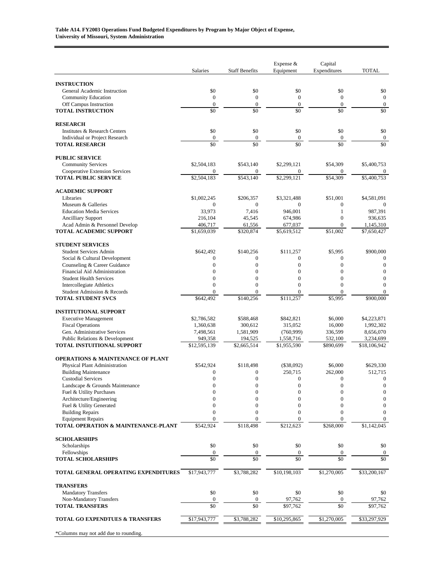|                                                               | Salaries                         | <b>Staff Benefits</b>        | Expense &<br>Equipment           | Capital<br>Expenditures          | <b>TOTAL</b>                     |
|---------------------------------------------------------------|----------------------------------|------------------------------|----------------------------------|----------------------------------|----------------------------------|
| <b>INSTRUCTION</b>                                            |                                  |                              |                                  |                                  |                                  |
| General Academic Instruction                                  | \$0                              | \$0                          | \$0                              | \$0                              | \$0                              |
| <b>Community Education</b>                                    | $\overline{0}$                   | $\boldsymbol{0}$             | $\boldsymbol{0}$                 | $\boldsymbol{0}$                 | $\mathbf{0}$                     |
| Off Campus Instruction                                        | $\mathbf{0}$                     | $\mathbf{0}$                 | $\mathbf{0}$                     | $\boldsymbol{0}$                 | $\boldsymbol{0}$                 |
| <b>TOTAL INSTRUCTION</b>                                      | \$0                              | \$0                          | \$0                              | \$0                              | \$0                              |
| <b>RESEARCH</b>                                               |                                  |                              |                                  |                                  |                                  |
| Institutes & Research Centers                                 | \$0                              | \$0                          | \$0                              | \$0                              | \$0                              |
| Individual or Project Research                                | $\boldsymbol{0}$<br>\$0          | $\mathbf{0}$<br>\$0          | $\mathbf{0}$<br>\$0              | $\boldsymbol{0}$<br>\$0          | $\boldsymbol{0}$<br>\$0          |
| <b>TOTAL RESEARCH</b>                                         |                                  |                              |                                  |                                  |                                  |
| <b>PUBLIC SERVICE</b>                                         |                                  |                              |                                  |                                  |                                  |
| <b>Community Services</b>                                     | \$2,504,183                      | \$543,140                    | \$2,299,121                      | \$54,309                         | \$5,400,753                      |
| Cooperative Extension Services<br><b>TOTAL PUBLIC SERVICE</b> | $\mathbf{0}$<br>\$2,504,183      | $\mathbf{0}$<br>\$543,140    | $\overline{0}$<br>\$2,299,121    | $\mathbf{0}$<br>\$54,309         | $\mathbf{0}$<br>\$5,400,753      |
|                                                               |                                  |                              |                                  |                                  |                                  |
| <b>ACADEMIC SUPPORT</b>                                       |                                  |                              |                                  |                                  |                                  |
| Libraries<br>Museum & Galleries                               | \$1,002,245<br>$\mathbf{0}$      | \$206,357<br>$\mathbf{0}$    | \$3,321,488<br>$\Omega$          | \$51,001<br>$\boldsymbol{0}$     | \$4,581,091<br>$\theta$          |
| <b>Education Media Services</b>                               | 33,973                           | 7,416                        | 946,001                          | $\mathbf{1}$                     | 987,391                          |
| <b>Ancilliary Support</b>                                     | 216,104                          | 45,545                       | 674,986                          | $\mathbf{0}$                     | 936,635                          |
| Acad Admin & Personnel Develop                                | 406,717                          | 61,556                       | 677,037                          | $\mathbf{0}$                     | 1,145,310                        |
| <b>TOTAL ACADEMIC SUPPORT</b>                                 | \$1,659,039                      | \$320,874                    | \$5,619,512                      | \$51.002                         | \$7,650,427                      |
| <b>STUDENT SERVICES</b>                                       |                                  |                              |                                  |                                  |                                  |
| <b>Student Services Admin</b>                                 | \$642,492                        | \$140,256                    | \$111,257                        | \$5,995                          | \$900,000                        |
| Social & Cultural Development                                 | $\overline{0}$                   | $\mathbf{0}$                 | $\overline{0}$                   | $\boldsymbol{0}$                 | $\boldsymbol{0}$                 |
| Counseling & Career Guidance                                  | $\overline{0}$                   | $\mathbf{0}$                 | $\overline{0}$                   | $\overline{0}$                   | $\boldsymbol{0}$                 |
| Financial Aid Administration                                  | $\overline{0}$                   | $\mathbf{0}$                 | $\overline{0}$                   | $\overline{0}$                   | $\mathbf{0}$                     |
| <b>Student Health Services</b>                                | $\overline{0}$<br>$\overline{0}$ | $\mathbf{0}$<br>$\mathbf{0}$ | $\overline{0}$<br>$\overline{0}$ | $\overline{0}$<br>$\overline{0}$ | $\overline{0}$<br>$\overline{0}$ |
| Intercollegiate Athletics<br>Student Admission & Records      | $\Omega$                         | $\Omega$                     | $\Omega$                         | $\Omega$                         | $\overline{0}$                   |
| <b>TOTAL STUDENT SVCS</b>                                     | \$642,492                        | \$140,256                    | \$111,257                        | \$5,995                          | \$900,000                        |
|                                                               |                                  |                              |                                  |                                  |                                  |
| <b>INSTITUTIONAL SUPPORT</b>                                  |                                  |                              |                                  |                                  | \$4,223,871                      |
| <b>Executive Management</b><br><b>Fiscal Operations</b>       | \$2,786,582<br>1,360,638         | \$588,468<br>300,612         | \$842,821<br>315,052             | \$6,000<br>16,000                | 1,992,302                        |
| Gen. Administrative Services                                  | 7,498,561                        | 1,581,909                    | (760, 999)                       | 336,599                          | 8,656,070                        |
| Public Relations & Development                                | 949,358                          | 194,525                      | 1,558,716                        | 532,100                          | 3,234,699                        |
| <b>TOTAL INSTUITIONAL SUPPORT</b>                             | \$12,595,139                     | \$2,665,514                  | \$1,955,590                      | \$890,699                        | \$18,106,942                     |
| <b>OPERATIONS &amp; MAINTENANCE OF PLANT</b>                  |                                  |                              |                                  |                                  |                                  |
| Physical Plant Administration                                 | \$542,924                        | \$118,498                    | $(\$38,092)$                     | \$6,000                          | \$629,330                        |
| <b>Building Maintenance</b>                                   | $\theta$                         | $\mathbf{0}$                 | 250,715                          | 262,000                          | 512,715                          |
| <b>Custodial Services</b>                                     | $\theta$                         | $\overline{0}$               | $\overline{0}$                   | $\overline{0}$                   | $\mathbf{0}$                     |
| Landscape & Grounds Maintenance                               | 0                                | $\boldsymbol{0}$             | $\boldsymbol{0}$                 | $\boldsymbol{0}$                 | $\boldsymbol{0}$                 |
| Fuel & Utility Purchases                                      | $\mathbf{0}$<br>$\theta$         | $\mathbf{0}$                 | $\overline{0}$<br>$\Omega$       | $\overline{0}$<br>$\Omega$       | $\boldsymbol{0}$                 |
| Architecture/Engineering<br>Fuel & Utility Generated          | $\mathbf{0}$                     | $\mathbf{0}$<br>$\mathbf{0}$ | $\mathbf{0}$                     | $\overline{0}$                   | 0<br>$\boldsymbol{0}$            |
| <b>Building Repairs</b>                                       | $\overline{0}$                   | $\mathbf{0}$                 | $\mathbf{0}$                     | $\overline{0}$                   | $\boldsymbol{0}$                 |
| <b>Equipment Repairs</b>                                      | $\Omega$                         | $\mathbf{0}$                 | $\Omega$                         | $\Omega$                         | $\mathbf{0}$                     |
| TOTAL OPERATION & MAINTENANCE-PLANT                           | \$542,924                        | \$118,498                    | \$212,623                        | \$268,000                        | \$1,142,045                      |
| <b>SCHOLARSHIPS</b>                                           |                                  |                              |                                  |                                  |                                  |
| Scholarships                                                  | \$0                              | \$0                          | \$0                              | \$0                              | \$0                              |
| Fellowships                                                   | $\boldsymbol{0}$                 | $\boldsymbol{0}$             | $\boldsymbol{0}$                 | $\boldsymbol{0}$                 | 0                                |
| <b>TOTAL SCHOLARSHIPS</b>                                     | \$0                              | \$0                          | \$0                              | \$0                              | \$0                              |
| TOTAL GENERAL OPERATING EXPENDITURES                          | \$17,943,777                     | \$3,788,282                  | \$10,198,103                     | \$1,270,005                      | \$33,200,167                     |
| <b>TRANSFERS</b>                                              |                                  |                              |                                  |                                  |                                  |
| <b>Mandatory Transfers</b>                                    | \$0                              | \$0                          | \$0                              | \$0                              | \$0                              |
| Non-Mandatory Transfers                                       | $\boldsymbol{0}$                 | $\boldsymbol{0}$             | 97,762                           | $\boldsymbol{0}$                 | 97,762                           |
| <b>TOTAL TRANSFERS</b>                                        | \$0                              | $\overline{50}$              | \$97,762                         | \$0                              | \$97,762                         |
| TOTAL GO EXPENDTUES & TRANSFERS                               | \$17,943,777                     | \$3,788,282                  | \$10,295,865                     | \$1,270,005                      | \$33,297,929                     |
| *Columns may not add due to rounding.                         |                                  |                              |                                  |                                  |                                  |